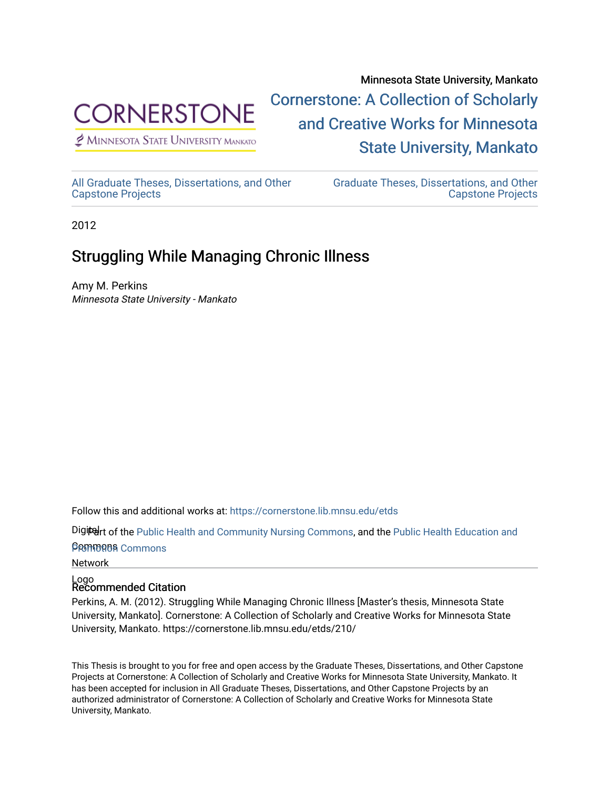

 $<sup>2</sup>$  Minnesota State University Mankato</sup>

Minnesota State University, Mankato [Cornerstone: A Collection of Scholarly](https://cornerstone.lib.mnsu.edu/)  [and Creative Works for Minnesota](https://cornerstone.lib.mnsu.edu/)  [State University, Mankato](https://cornerstone.lib.mnsu.edu/) 

[All Graduate Theses, Dissertations, and Other](https://cornerstone.lib.mnsu.edu/etds)  [Capstone Projects](https://cornerstone.lib.mnsu.edu/etds) 

[Graduate Theses, Dissertations, and Other](https://cornerstone.lib.mnsu.edu/theses_dissertations-capstone)  [Capstone Projects](https://cornerstone.lib.mnsu.edu/theses_dissertations-capstone) 

2012

## Struggling While Managing Chronic Illness

Amy M. Perkins Minnesota State University - Mankato

Follow this and additional works at: [https://cornerstone.lib.mnsu.edu/etds](https://cornerstone.lib.mnsu.edu/etds?utm_source=cornerstone.lib.mnsu.edu%2Fetds%2F210&utm_medium=PDF&utm_campaign=PDFCoverPages) 

Digitelrt of the [Public Health and Community Nursing Commons,](http://network.bepress.com/hgg/discipline/725?utm_source=cornerstone.lib.mnsu.edu%2Fetds%2F210&utm_medium=PDF&utm_campaign=PDFCoverPages) and the Public Health Education and

**Promoton** Commons

Network

# Logo Recommended Citation

Perkins, A. M. (2012). Struggling While Managing Chronic Illness [Master's thesis, Minnesota State University, Mankato]. Cornerstone: A Collection of Scholarly and Creative Works for Minnesota State University, Mankato. https://cornerstone.lib.mnsu.edu/etds/210/

This Thesis is brought to you for free and open access by the Graduate Theses, Dissertations, and Other Capstone Projects at Cornerstone: A Collection of Scholarly and Creative Works for Minnesota State University, Mankato. It has been accepted for inclusion in All Graduate Theses, Dissertations, and Other Capstone Projects by an authorized administrator of Cornerstone: A Collection of Scholarly and Creative Works for Minnesota State University, Mankato.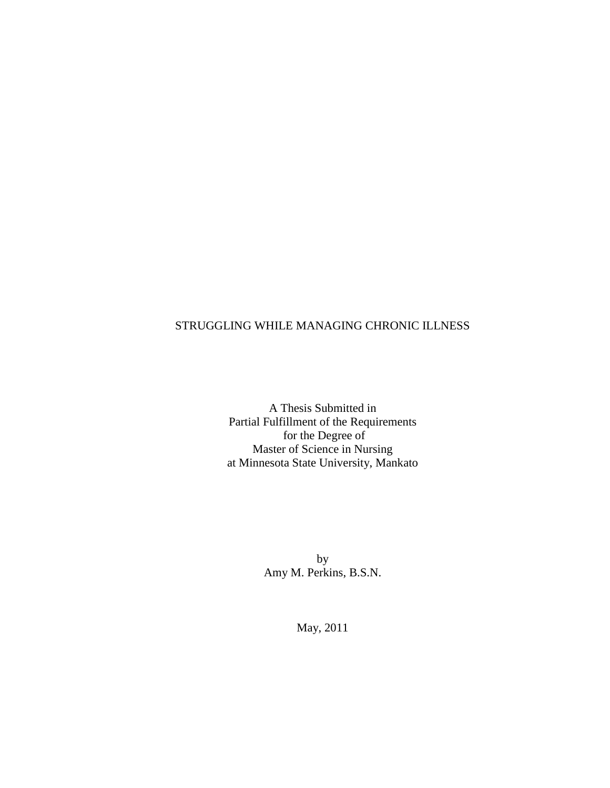## STRUGGLING WHILE MANAGING CHRONIC ILLNESS

A Thesis Submitted in Partial Fulfillment of the Requirements for the Degree of Master of Science in Nursing at Minnesota State University, Mankato

> by Amy M. Perkins, B.S.N.

> > May, 2011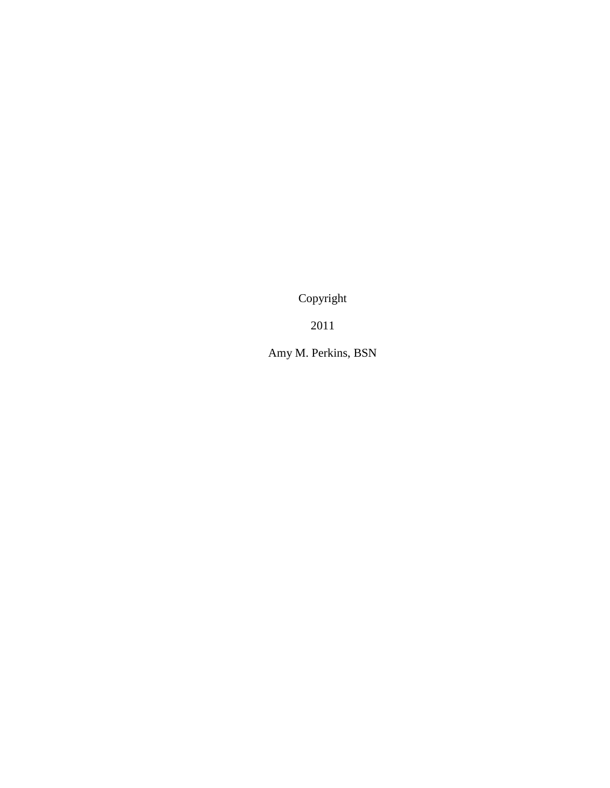Copyright

2011

Amy M. Perkins, BSN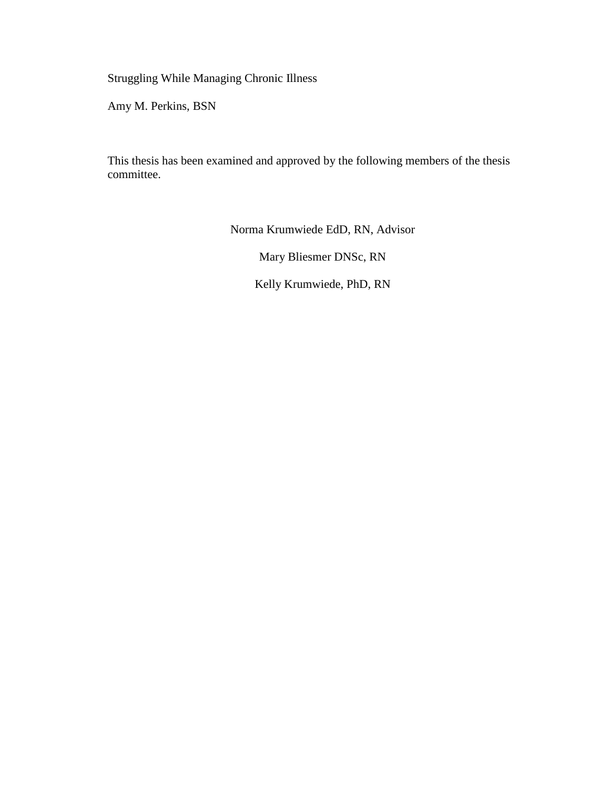Struggling While Managing Chronic Illness

Amy M. Perkins, BSN

This thesis has been examined and approved by the following members of the thesis committee.

Norma Krumwiede EdD, RN, Advisor

Mary Bliesmer DNSc, RN

Kelly Krumwiede, PhD, RN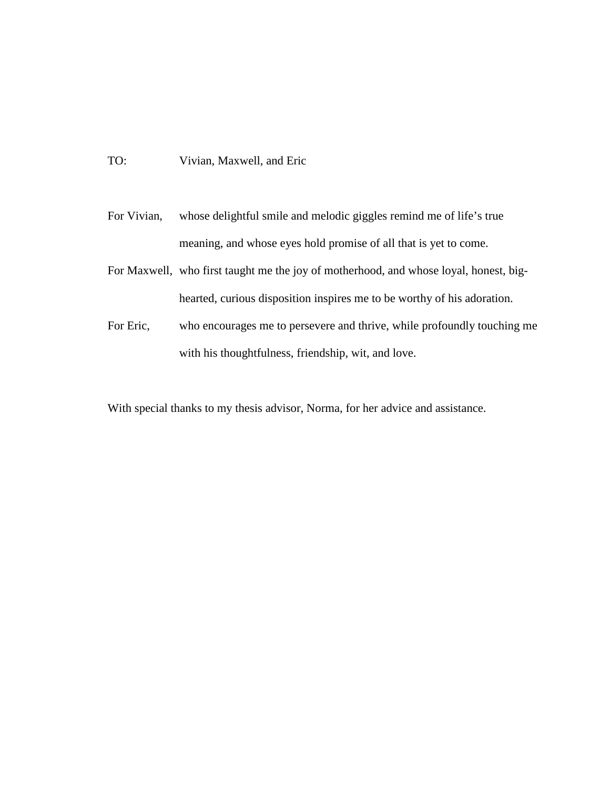TO: Vivian, Maxwell, and Eric

- For Vivian, whose delightful smile and melodic giggles remind me of life's true meaning, and whose eyes hold promise of all that is yet to come.
- For Maxwell, who first taught me the joy of motherhood, and whose loyal, honest, bighearted, curious disposition inspires me to be worthy of his adoration.
- For Eric, who encourages me to persevere and thrive, while profoundly touching me with his thoughtfulness, friendship, wit, and love.

With special thanks to my thesis advisor, Norma, for her advice and assistance.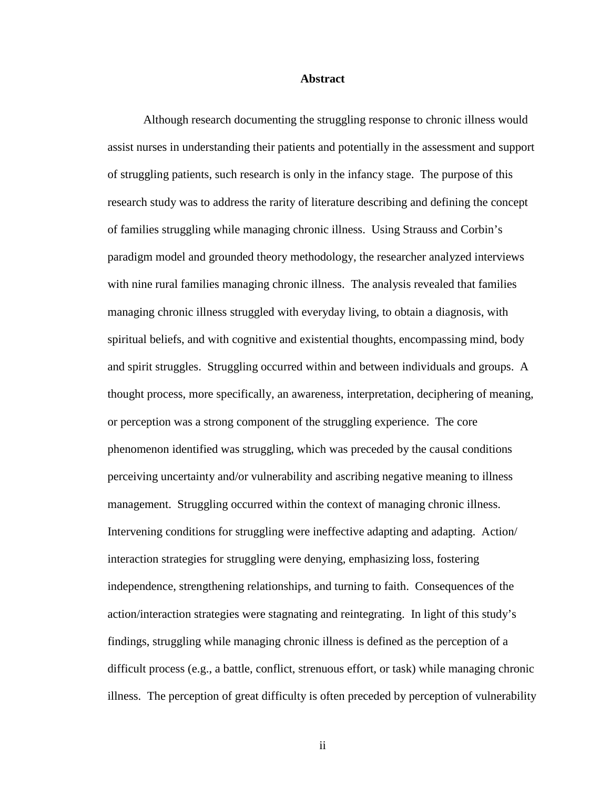### **Abstract**

Although research documenting the struggling response to chronic illness would assist nurses in understanding their patients and potentially in the assessment and support of struggling patients, such research is only in the infancy stage. The purpose of this research study was to address the rarity of literature describing and defining the concept of families struggling while managing chronic illness. Using Strauss and Corbin's paradigm model and grounded theory methodology, the researcher analyzed interviews with nine rural families managing chronic illness. The analysis revealed that families managing chronic illness struggled with everyday living, to obtain a diagnosis, with spiritual beliefs, and with cognitive and existential thoughts, encompassing mind, body and spirit struggles. Struggling occurred within and between individuals and groups. A thought process, more specifically, an awareness, interpretation, deciphering of meaning, or perception was a strong component of the struggling experience. The core phenomenon identified was struggling, which was preceded by the causal conditions perceiving uncertainty and/or vulnerability and ascribing negative meaning to illness management. Struggling occurred within the context of managing chronic illness. Intervening conditions for struggling were ineffective adapting and adapting. Action/ interaction strategies for struggling were denying, emphasizing loss, fostering independence, strengthening relationships, and turning to faith. Consequences of the action/interaction strategies were stagnating and reintegrating. In light of this study's findings, struggling while managing chronic illness is defined as the perception of a difficult process (e.g., a battle, conflict, strenuous effort, or task) while managing chronic illness. The perception of great difficulty is often preceded by perception of vulnerability

ii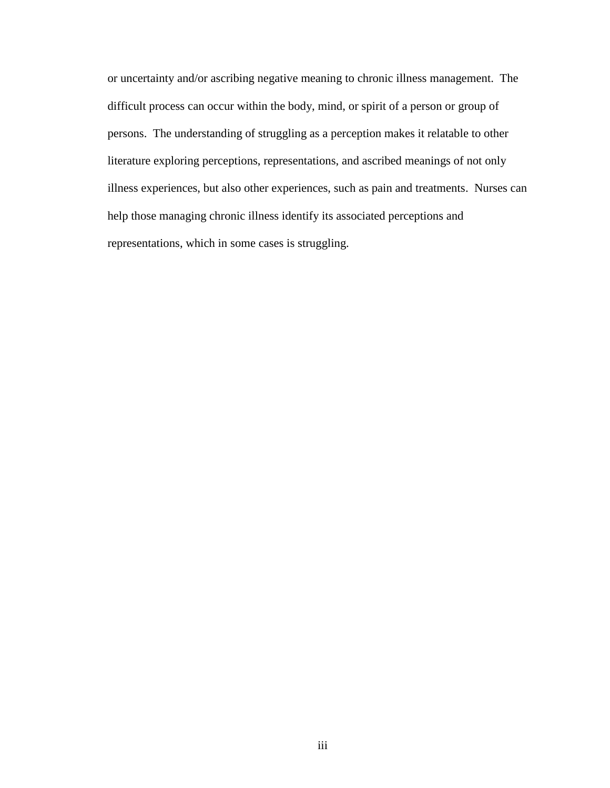or uncertainty and/or ascribing negative meaning to chronic illness management. The difficult process can occur within the body, mind, or spirit of a person or group of persons. The understanding of struggling as a perception makes it relatable to other literature exploring perceptions, representations, and ascribed meanings of not only illness experiences, but also other experiences, such as pain and treatments. Nurses can help those managing chronic illness identify its associated perceptions and representations, which in some cases is struggling.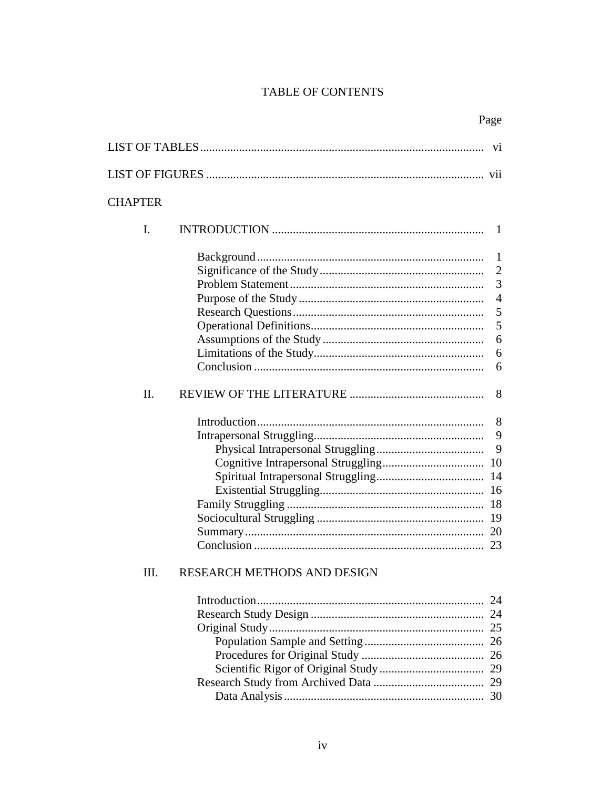## TABLE OF CONTENTS

|                |                             | V1                                                                  |
|----------------|-----------------------------|---------------------------------------------------------------------|
|                |                             |                                                                     |
| <b>CHAPTER</b> |                             |                                                                     |
|                |                             |                                                                     |
| $\mathbf{I}$ . |                             | 1                                                                   |
|                |                             | 1<br>$\overline{2}$<br>3<br>$\overline{4}$<br>5<br>5<br>6<br>6<br>6 |
| II.            |                             | 8                                                                   |
| Ш              | RESEARCH METHODS AND DESIGN | 8<br>9<br>9<br>10<br>14<br>20<br>23                                 |
|                |                             | 24                                                                  |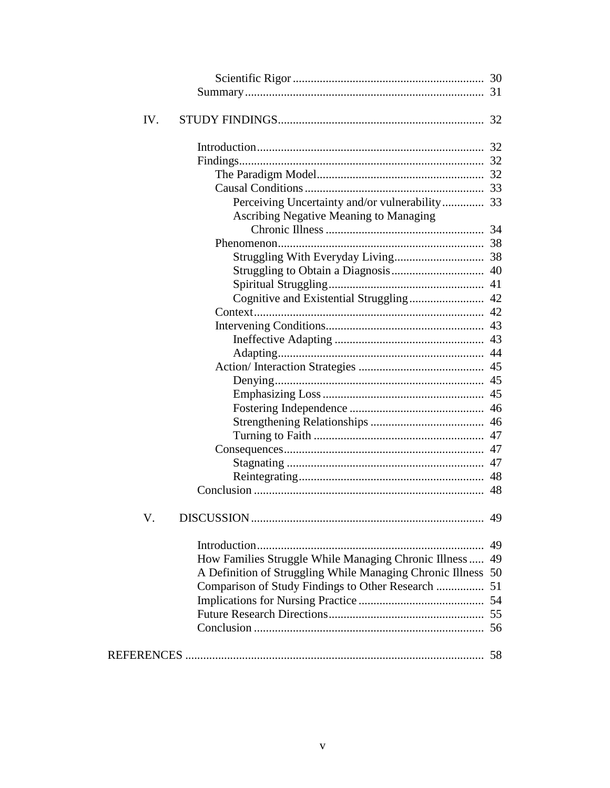| IV.                                                          |    |
|--------------------------------------------------------------|----|
|                                                              |    |
|                                                              |    |
|                                                              |    |
|                                                              |    |
|                                                              |    |
| <b>Ascribing Negative Meaning to Managing</b>                |    |
|                                                              |    |
|                                                              |    |
|                                                              |    |
|                                                              |    |
|                                                              |    |
|                                                              |    |
|                                                              |    |
|                                                              |    |
|                                                              |    |
|                                                              |    |
|                                                              |    |
|                                                              |    |
|                                                              |    |
|                                                              |    |
|                                                              |    |
|                                                              |    |
|                                                              |    |
|                                                              |    |
|                                                              |    |
|                                                              |    |
| V.                                                           | 49 |
|                                                              | 49 |
| How Families Struggle While Managing Chronic Illness         | 49 |
| A Definition of Struggling While Managing Chronic Illness 50 |    |
| Comparison of Study Findings to Other Research  51           |    |
|                                                              |    |
|                                                              |    |
|                                                              |    |
|                                                              |    |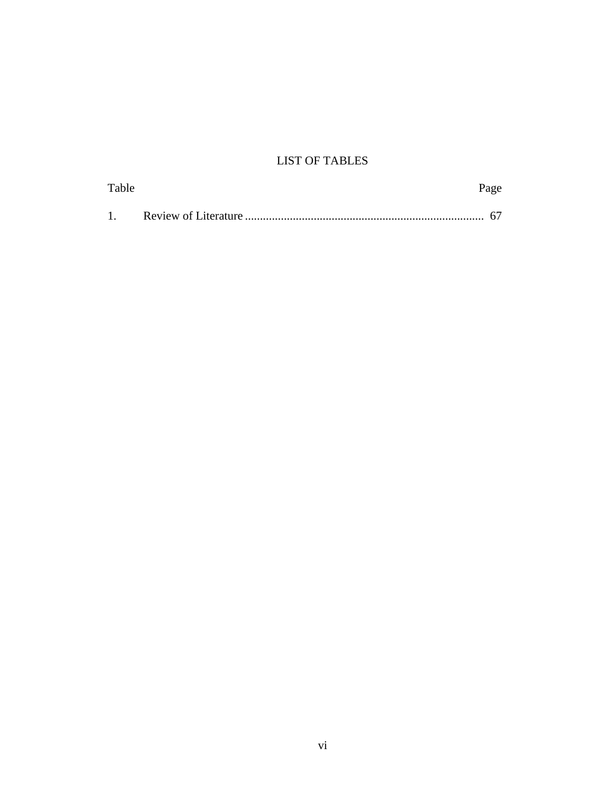## LIST OF TABLES

| Table | rage |
|-------|------|
|       |      |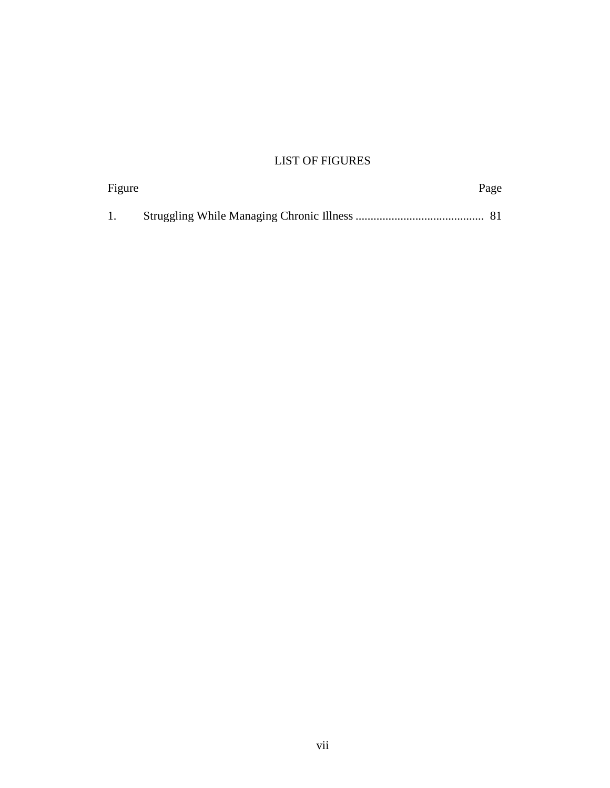## LIST OF FIGURES

| Figure |  | Page |  |
|--------|--|------|--|
|        |  |      |  |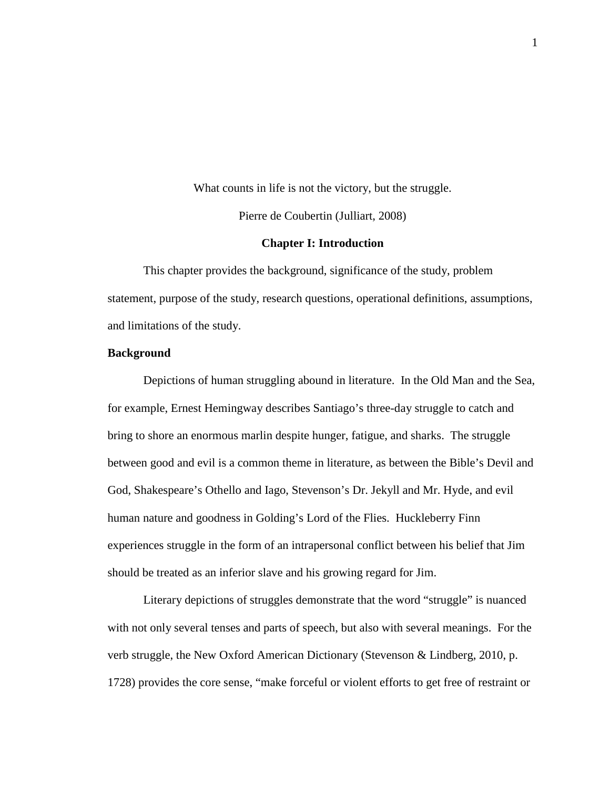What counts in life is not the victory, but the struggle. Pierre de Coubertin (Julliart, 2008)

## **Chapter I: Introduction**

This chapter provides the background, significance of the study, problem statement, purpose of the study, research questions, operational definitions, assumptions, and limitations of the study.

## **Background**

Depictions of human struggling abound in literature. In the Old Man and the Sea, for example, Ernest Hemingway describes Santiago's three-day struggle to catch and bring to shore an enormous marlin despite hunger, fatigue, and sharks. The struggle between good and evil is a common theme in literature, as between the Bible's Devil and God, Shakespeare's Othello and Iago, Stevenson's Dr. Jekyll and Mr. Hyde, and evil human nature and goodness in Golding's Lord of the Flies. Huckleberry Finn experiences struggle in the form of an intrapersonal conflict between his belief that Jim should be treated as an inferior slave and his growing regard for Jim.

Literary depictions of struggles demonstrate that the word "struggle" is nuanced with not only several tenses and parts of speech, but also with several meanings. For the verb struggle, the New Oxford American Dictionary (Stevenson & Lindberg, 2010, p. 1728) provides the core sense, "make forceful or violent efforts to get free of restraint or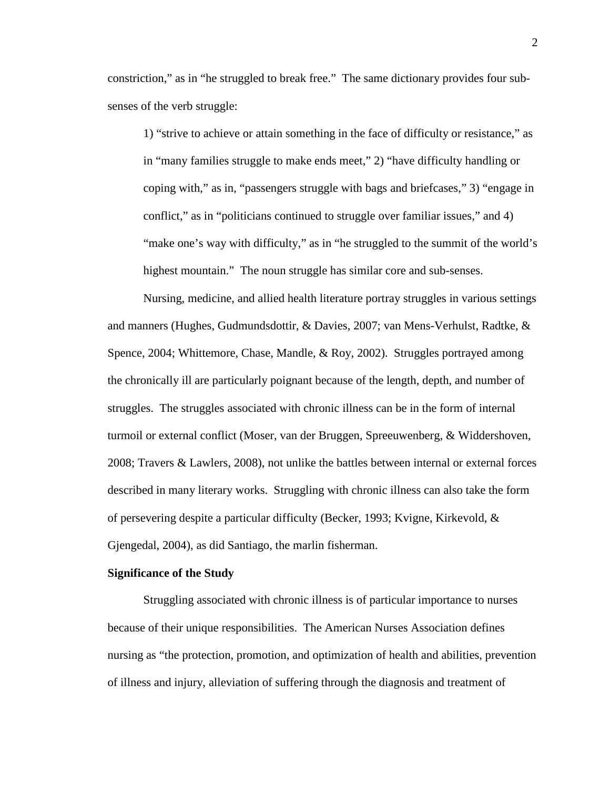constriction," as in "he struggled to break free." The same dictionary provides four subsenses of the verb struggle:

1) "strive to achieve or attain something in the face of difficulty or resistance," as in "many families struggle to make ends meet," 2) "have difficulty handling or coping with," as in, "passengers struggle with bags and briefcases," 3) "engage in conflict," as in "politicians continued to struggle over familiar issues," and 4) "make one's way with difficulty," as in "he struggled to the summit of the world's highest mountain." The noun struggle has similar core and sub-senses.

Nursing, medicine, and allied health literature portray struggles in various settings and manners (Hughes, Gudmundsdottir, & Davies, 2007; van Mens-Verhulst, Radtke, & Spence, 2004; Whittemore, Chase, Mandle, & Roy, 2002). Struggles portrayed among the chronically ill are particularly poignant because of the length, depth, and number of struggles. The struggles associated with chronic illness can be in the form of internal turmoil or external conflict (Moser, van der Bruggen, Spreeuwenberg, & Widdershoven, 2008; Travers & Lawlers, 2008), not unlike the battles between internal or external forces described in many literary works. Struggling with chronic illness can also take the form of persevering despite a particular difficulty (Becker, 1993; Kvigne, Kirkevold, & Gjengedal, 2004), as did Santiago, the marlin fisherman.

## **Significance of the Study**

Struggling associated with chronic illness is of particular importance to nurses because of their unique responsibilities. The American Nurses Association defines nursing as "the protection, promotion, and optimization of health and abilities, prevention of illness and injury, alleviation of suffering through the diagnosis and treatment of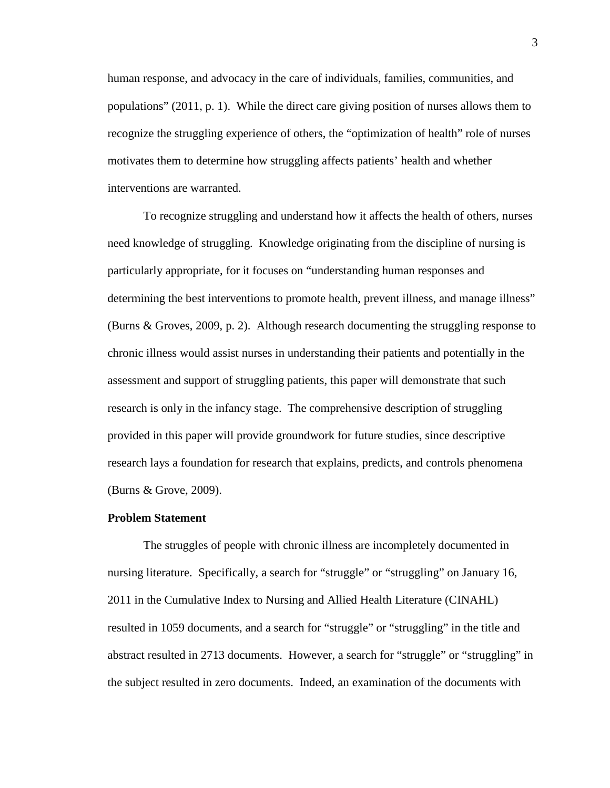human response, and advocacy in the care of individuals, families, communities, and populations" (2011, p. 1). While the direct care giving position of nurses allows them to recognize the struggling experience of others, the "optimization of health" role of nurses motivates them to determine how struggling affects patients' health and whether interventions are warranted.

To recognize struggling and understand how it affects the health of others, nurses need knowledge of struggling. Knowledge originating from the discipline of nursing is particularly appropriate, for it focuses on "understanding human responses and determining the best interventions to promote health, prevent illness, and manage illness" (Burns & Groves, 2009, p. 2). Although research documenting the struggling response to chronic illness would assist nurses in understanding their patients and potentially in the assessment and support of struggling patients, this paper will demonstrate that such research is only in the infancy stage. The comprehensive description of struggling provided in this paper will provide groundwork for future studies, since descriptive research lays a foundation for research that explains, predicts, and controls phenomena (Burns & Grove, 2009).

#### **Problem Statement**

The struggles of people with chronic illness are incompletely documented in nursing literature. Specifically, a search for "struggle" or "struggling" on January 16, 2011 in the Cumulative Index to Nursing and Allied Health Literature (CINAHL) resulted in 1059 documents, and a search for "struggle" or "struggling" in the title and abstract resulted in 2713 documents. However, a search for "struggle" or "struggling" in the subject resulted in zero documents. Indeed, an examination of the documents with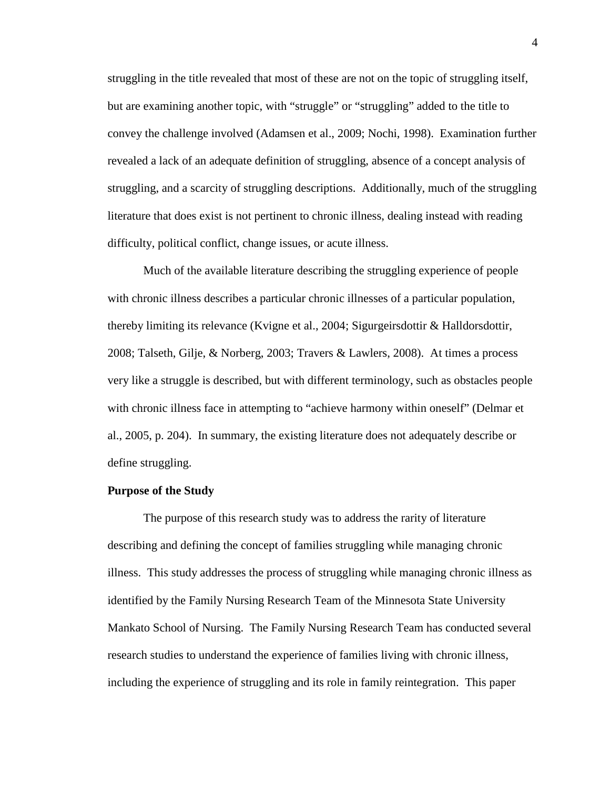struggling in the title revealed that most of these are not on the topic of struggling itself, but are examining another topic, with "struggle" or "struggling" added to the title to convey the challenge involved (Adamsen et al., 2009; Nochi, 1998). Examination further revealed a lack of an adequate definition of struggling, absence of a concept analysis of struggling, and a scarcity of struggling descriptions. Additionally, much of the struggling literature that does exist is not pertinent to chronic illness, dealing instead with reading difficulty, political conflict, change issues, or acute illness.

Much of the available literature describing the struggling experience of people with chronic illness describes a particular chronic illnesses of a particular population, thereby limiting its relevance (Kvigne et al., 2004; Sigurgeirsdottir & Halldorsdottir, 2008; Talseth, Gilje, & Norberg, 2003; Travers & Lawlers, 2008). At times a process very like a struggle is described, but with different terminology, such as obstacles people with chronic illness face in attempting to "achieve harmony within oneself" (Delmar et al., 2005, p. 204). In summary, the existing literature does not adequately describe or define struggling.

#### **Purpose of the Study**

The purpose of this research study was to address the rarity of literature describing and defining the concept of families struggling while managing chronic illness. This study addresses the process of struggling while managing chronic illness as identified by the Family Nursing Research Team of the Minnesota State University Mankato School of Nursing. The Family Nursing Research Team has conducted several research studies to understand the experience of families living with chronic illness, including the experience of struggling and its role in family reintegration. This paper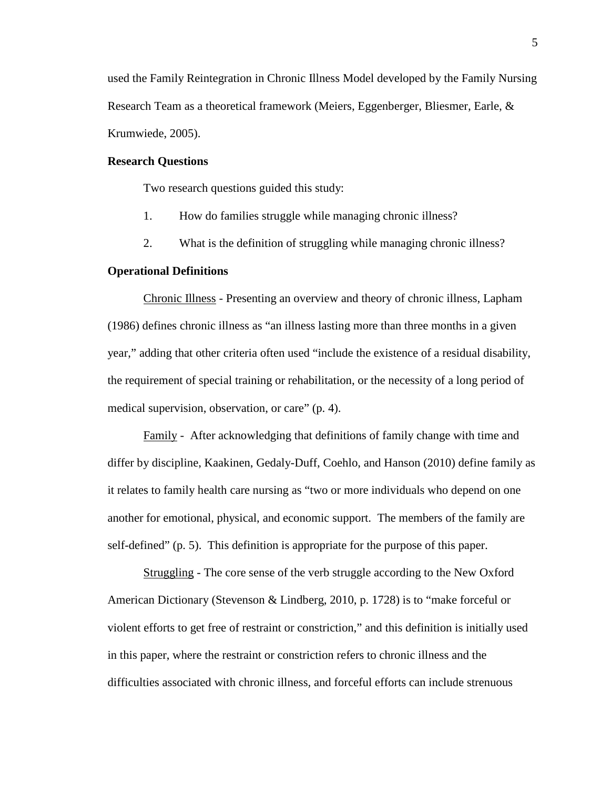used the Family Reintegration in Chronic Illness Model developed by the Family Nursing Research Team as a theoretical framework (Meiers, Eggenberger, Bliesmer, Earle, & Krumwiede, 2005).

## **Research Questions**

Two research questions guided this study:

- 1. How do families struggle while managing chronic illness?
- 2. What is the definition of struggling while managing chronic illness?

#### **Operational Definitions**

 Chronic Illness - Presenting an overview and theory of chronic illness, Lapham (1986) defines chronic illness as "an illness lasting more than three months in a given year," adding that other criteria often used "include the existence of a residual disability, the requirement of special training or rehabilitation, or the necessity of a long period of medical supervision, observation, or care" (p. 4).

Family - After acknowledging that definitions of family change with time and differ by discipline, Kaakinen, Gedaly-Duff, Coehlo, and Hanson (2010) define family as it relates to family health care nursing as "two or more individuals who depend on one another for emotional, physical, and economic support. The members of the family are self-defined" (p. 5). This definition is appropriate for the purpose of this paper.

 Struggling - The core sense of the verb struggle according to the New Oxford American Dictionary (Stevenson & Lindberg, 2010, p. 1728) is to "make forceful or violent efforts to get free of restraint or constriction," and this definition is initially used in this paper, where the restraint or constriction refers to chronic illness and the difficulties associated with chronic illness, and forceful efforts can include strenuous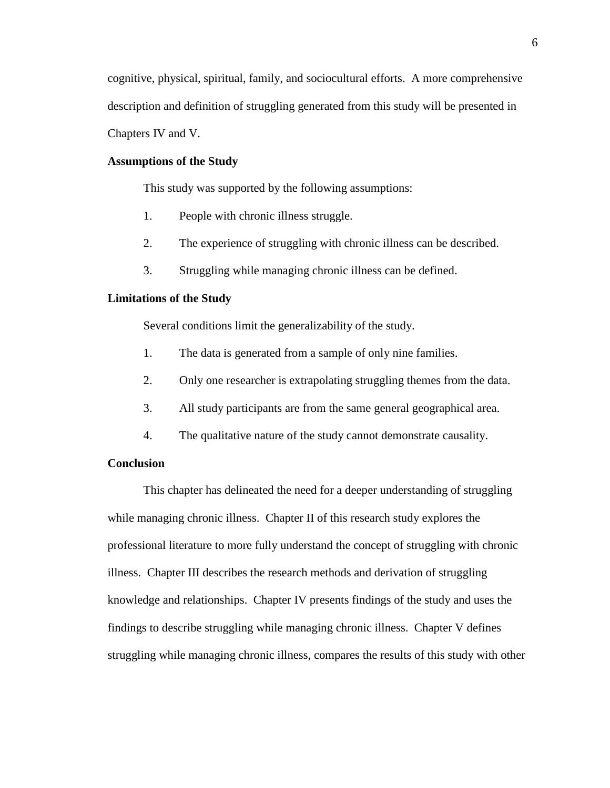cognitive, physical, spiritual, family, and sociocultural efforts. A more comprehensive description and definition of struggling generated from this study will be presented in Chapters IV and V.

## **Assumptions of the Study**

This study was supported by the following assumptions:

- 1. People with chronic illness struggle.
- 2. The experience of struggling with chronic illness can be described.
- 3. Struggling while managing chronic illness can be defined.

### **Limitations of the Study**

Several conditions limit the generalizability of the study.

- 1. The data is generated from a sample of only nine families.
- 2. Only one researcher is extrapolating struggling themes from the data.
- 3. All study participants are from the same general geographical area.
- 4. The qualitative nature of the study cannot demonstrate causality.

## **Conclusion**

This chapter has delineated the need for a deeper understanding of struggling while managing chronic illness. Chapter II of this research study explores the professional literature to more fully understand the concept of struggling with chronic illness. Chapter III describes the research methods and derivation of struggling knowledge and relationships. Chapter IV presents findings of the study and uses the findings to describe struggling while managing chronic illness. Chapter V defines struggling while managing chronic illness, compares the results of this study with other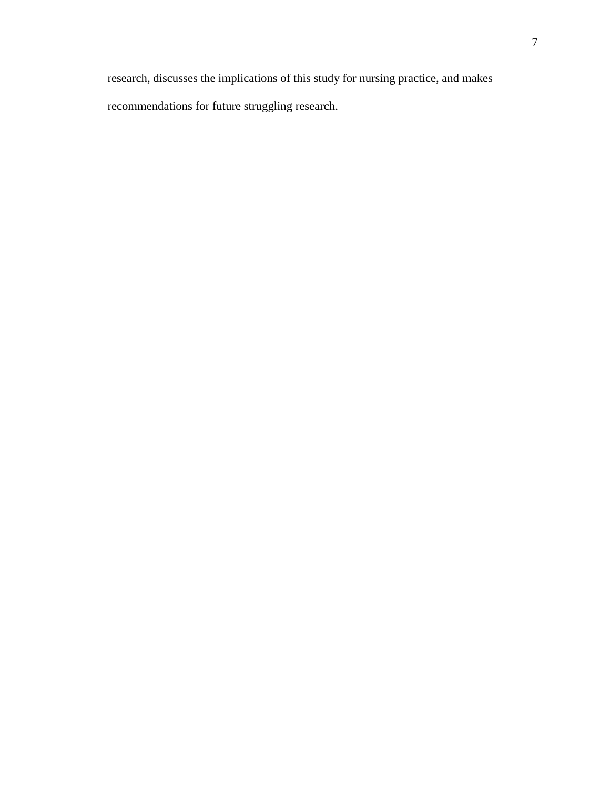research, discusses the implications of this study for nursing practice, and makes recommendations for future struggling research.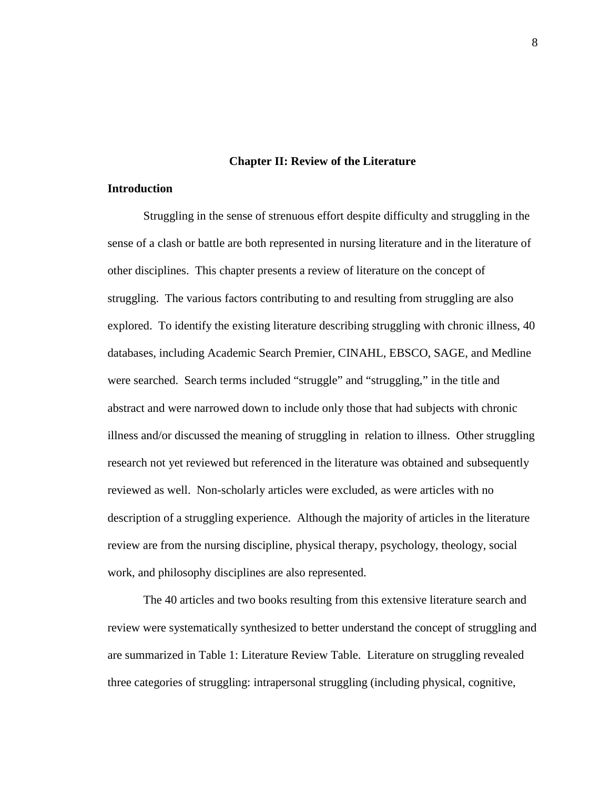#### **Chapter II: Review of the Literature**

## **Introduction**

Struggling in the sense of strenuous effort despite difficulty and struggling in the sense of a clash or battle are both represented in nursing literature and in the literature of other disciplines. This chapter presents a review of literature on the concept of struggling. The various factors contributing to and resulting from struggling are also explored. To identify the existing literature describing struggling with chronic illness, 40 databases, including Academic Search Premier, CINAHL, EBSCO, SAGE, and Medline were searched. Search terms included "struggle" and "struggling," in the title and abstract and were narrowed down to include only those that had subjects with chronic illness and/or discussed the meaning of struggling in relation to illness. Other struggling research not yet reviewed but referenced in the literature was obtained and subsequently reviewed as well. Non-scholarly articles were excluded, as were articles with no description of a struggling experience. Although the majority of articles in the literature review are from the nursing discipline, physical therapy, psychology, theology, social work, and philosophy disciplines are also represented.

The 40 articles and two books resulting from this extensive literature search and review were systematically synthesized to better understand the concept of struggling and are summarized in Table 1: Literature Review Table. Literature on struggling revealed three categories of struggling: intrapersonal struggling (including physical, cognitive,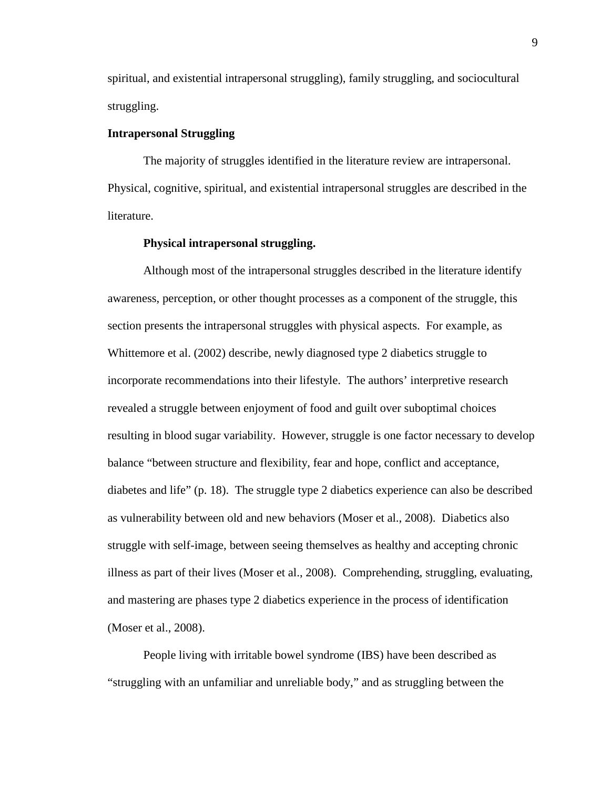spiritual, and existential intrapersonal struggling), family struggling, and sociocultural struggling.

## **Intrapersonal Struggling**

 The majority of struggles identified in the literature review are intrapersonal. Physical, cognitive, spiritual, and existential intrapersonal struggles are described in the literature.

## **Physical intrapersonal struggling.**

Although most of the intrapersonal struggles described in the literature identify awareness, perception, or other thought processes as a component of the struggle, this section presents the intrapersonal struggles with physical aspects. For example, as Whittemore et al. (2002) describe, newly diagnosed type 2 diabetics struggle to incorporate recommendations into their lifestyle. The authors' interpretive research revealed a struggle between enjoyment of food and guilt over suboptimal choices resulting in blood sugar variability. However, struggle is one factor necessary to develop balance "between structure and flexibility, fear and hope, conflict and acceptance, diabetes and life" (p. 18). The struggle type 2 diabetics experience can also be described as vulnerability between old and new behaviors (Moser et al., 2008). Diabetics also struggle with self-image, between seeing themselves as healthy and accepting chronic illness as part of their lives (Moser et al., 2008). Comprehending, struggling, evaluating, and mastering are phases type 2 diabetics experience in the process of identification (Moser et al., 2008).

 People living with irritable bowel syndrome (IBS) have been described as "struggling with an unfamiliar and unreliable body," and as struggling between the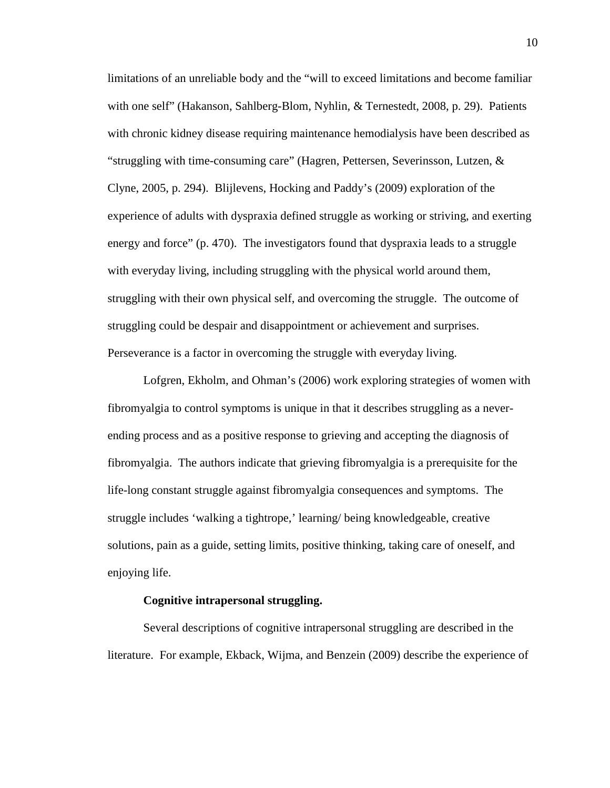limitations of an unreliable body and the "will to exceed limitations and become familiar with one self" (Hakanson, Sahlberg-Blom, Nyhlin, & Ternestedt, 2008, p. 29). Patients with chronic kidney disease requiring maintenance hemodialysis have been described as "struggling with time-consuming care" (Hagren, Pettersen, Severinsson, Lutzen,  $\&$ Clyne, 2005, p. 294). Blijlevens, Hocking and Paddy's (2009) exploration of the experience of adults with dyspraxia defined struggle as working or striving, and exerting energy and force" (p. 470). The investigators found that dyspraxia leads to a struggle with everyday living, including struggling with the physical world around them, struggling with their own physical self, and overcoming the struggle. The outcome of struggling could be despair and disappointment or achievement and surprises. Perseverance is a factor in overcoming the struggle with everyday living.

Lofgren, Ekholm, and Ohman's (2006) work exploring strategies of women with fibromyalgia to control symptoms is unique in that it describes struggling as a neverending process and as a positive response to grieving and accepting the diagnosis of fibromyalgia. The authors indicate that grieving fibromyalgia is a prerequisite for the life-long constant struggle against fibromyalgia consequences and symptoms. The struggle includes 'walking a tightrope,' learning/ being knowledgeable, creative solutions, pain as a guide, setting limits, positive thinking, taking care of oneself, and enjoying life.

## **Cognitive intrapersonal struggling.**

Several descriptions of cognitive intrapersonal struggling are described in the literature. For example, Ekback, Wijma, and Benzein (2009) describe the experience of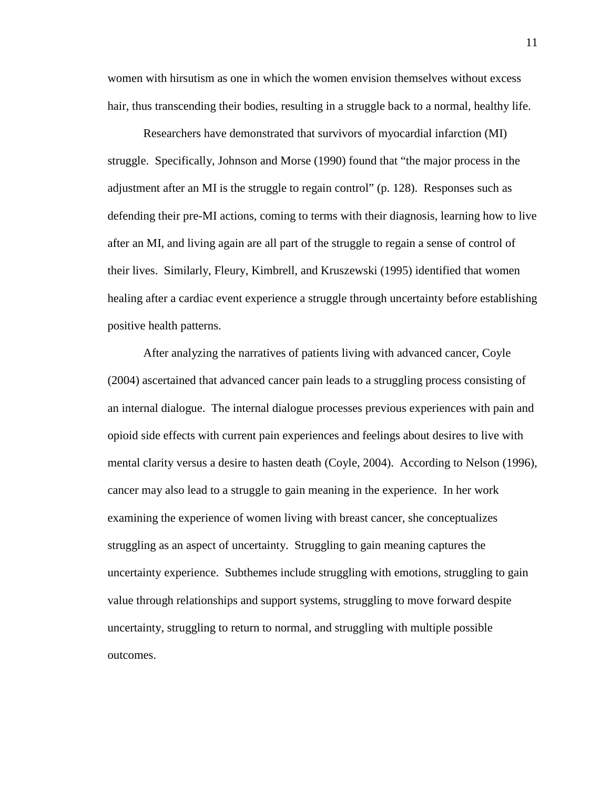women with hirsutism as one in which the women envision themselves without excess hair, thus transcending their bodies, resulting in a struggle back to a normal, healthy life.

Researchers have demonstrated that survivors of myocardial infarction (MI) struggle. Specifically, Johnson and Morse (1990) found that "the major process in the adjustment after an MI is the struggle to regain control" (p. 128). Responses such as defending their pre-MI actions, coming to terms with their diagnosis, learning how to live after an MI, and living again are all part of the struggle to regain a sense of control of their lives. Similarly, Fleury, Kimbrell, and Kruszewski (1995) identified that women healing after a cardiac event experience a struggle through uncertainty before establishing positive health patterns.

After analyzing the narratives of patients living with advanced cancer, Coyle (2004) ascertained that advanced cancer pain leads to a struggling process consisting of an internal dialogue. The internal dialogue processes previous experiences with pain and opioid side effects with current pain experiences and feelings about desires to live with mental clarity versus a desire to hasten death (Coyle, 2004). According to Nelson (1996), cancer may also lead to a struggle to gain meaning in the experience. In her work examining the experience of women living with breast cancer, she conceptualizes struggling as an aspect of uncertainty. Struggling to gain meaning captures the uncertainty experience. Subthemes include struggling with emotions, struggling to gain value through relationships and support systems, struggling to move forward despite uncertainty, struggling to return to normal, and struggling with multiple possible outcomes.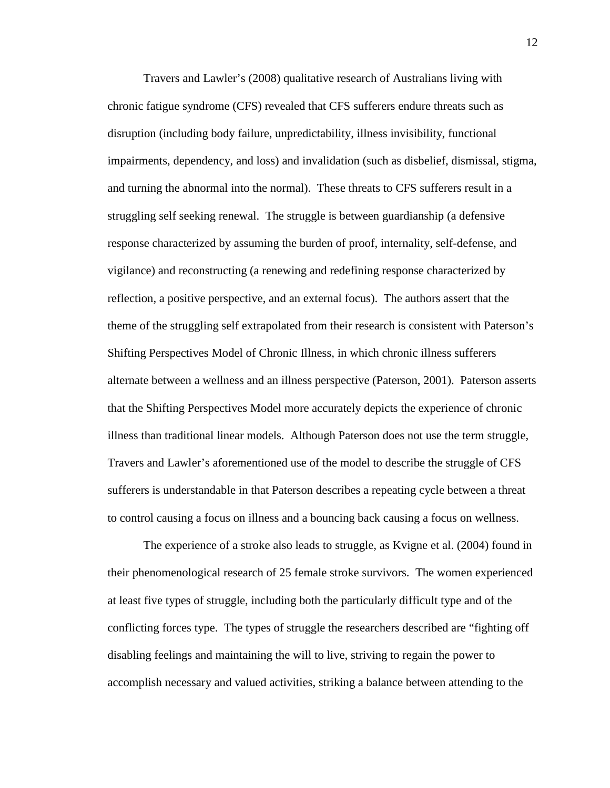Travers and Lawler's (2008) qualitative research of Australians living with chronic fatigue syndrome (CFS) revealed that CFS sufferers endure threats such as disruption (including body failure, unpredictability, illness invisibility, functional impairments, dependency, and loss) and invalidation (such as disbelief, dismissal, stigma, and turning the abnormal into the normal). These threats to CFS sufferers result in a struggling self seeking renewal. The struggle is between guardianship (a defensive response characterized by assuming the burden of proof, internality, self-defense, and vigilance) and reconstructing (a renewing and redefining response characterized by reflection, a positive perspective, and an external focus). The authors assert that the theme of the struggling self extrapolated from their research is consistent with Paterson's Shifting Perspectives Model of Chronic Illness, in which chronic illness sufferers alternate between a wellness and an illness perspective (Paterson, 2001). Paterson asserts that the Shifting Perspectives Model more accurately depicts the experience of chronic illness than traditional linear models. Although Paterson does not use the term struggle, Travers and Lawler's aforementioned use of the model to describe the struggle of CFS sufferers is understandable in that Paterson describes a repeating cycle between a threat to control causing a focus on illness and a bouncing back causing a focus on wellness.

The experience of a stroke also leads to struggle, as Kvigne et al. (2004) found in their phenomenological research of 25 female stroke survivors. The women experienced at least five types of struggle, including both the particularly difficult type and of the conflicting forces type. The types of struggle the researchers described are "fighting off disabling feelings and maintaining the will to live, striving to regain the power to accomplish necessary and valued activities, striking a balance between attending to the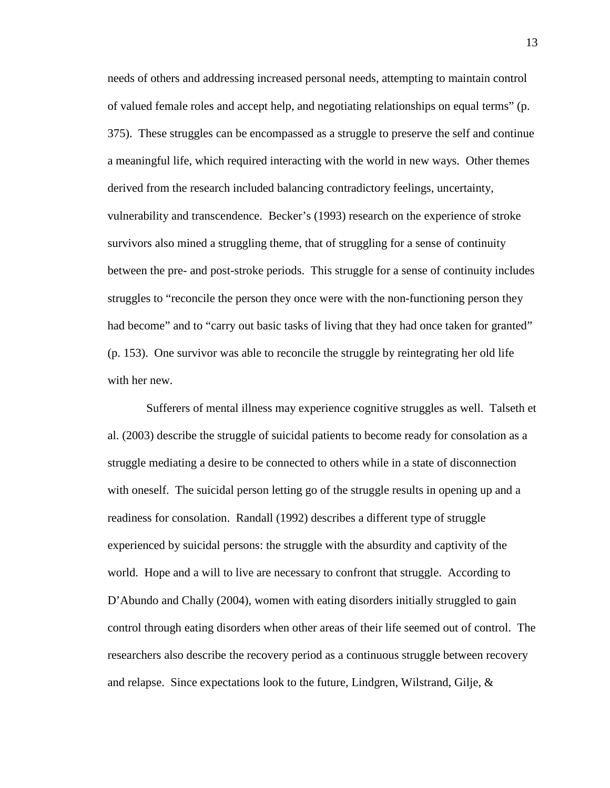needs of others and addressing increased personal needs, attempting to maintain control of valued female roles and accept help, and negotiating relationships on equal terms" (p. 375). These struggles can be encompassed as a struggle to preserve the self and continue a meaningful life, which required interacting with the world in new ways. Other themes derived from the research included balancing contradictory feelings, uncertainty, vulnerability and transcendence. Becker's (1993) research on the experience of stroke survivors also mined a struggling theme, that of struggling for a sense of continuity between the pre- and post-stroke periods. This struggle for a sense of continuity includes struggles to "reconcile the person they once were with the non-functioning person they had become" and to "carry out basic tasks of living that they had once taken for granted" (p. 153). One survivor was able to reconcile the struggle by reintegrating her old life with her new.

 Sufferers of mental illness may experience cognitive struggles as well. Talseth et al. (2003) describe the struggle of suicidal patients to become ready for consolation as a struggle mediating a desire to be connected to others while in a state of disconnection with oneself. The suicidal person letting go of the struggle results in opening up and a readiness for consolation. Randall (1992) describes a different type of struggle experienced by suicidal persons: the struggle with the absurdity and captivity of the world. Hope and a will to live are necessary to confront that struggle. According to D'Abundo and Chally (2004), women with eating disorders initially struggled to gain control through eating disorders when other areas of their life seemed out of control. The researchers also describe the recovery period as a continuous struggle between recovery and relapse. Since expectations look to the future, Lindgren, Wilstrand, Gilje, &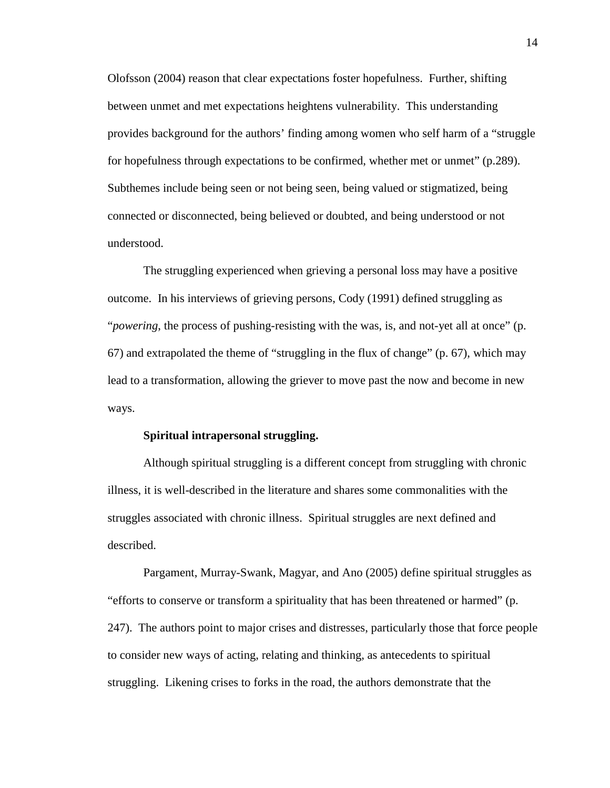Olofsson (2004) reason that clear expectations foster hopefulness. Further, shifting between unmet and met expectations heightens vulnerability. This understanding provides background for the authors' finding among women who self harm of a "struggle for hopefulness through expectations to be confirmed, whether met or unmet" (p.289). Subthemes include being seen or not being seen, being valued or stigmatized, being connected or disconnected, being believed or doubted, and being understood or not understood.

The struggling experienced when grieving a personal loss may have a positive outcome. In his interviews of grieving persons, Cody (1991) defined struggling as "*powering*, the process of pushing-resisting with the was, is, and not-yet all at once" (p. 67) and extrapolated the theme of "struggling in the flux of change" (p. 67), which may lead to a transformation, allowing the griever to move past the now and become in new ways.

#### **Spiritual intrapersonal struggling.**

Although spiritual struggling is a different concept from struggling with chronic illness, it is well-described in the literature and shares some commonalities with the struggles associated with chronic illness. Spiritual struggles are next defined and described.

Pargament, Murray-Swank, Magyar, and Ano (2005) define spiritual struggles as "efforts to conserve or transform a spirituality that has been threatened or harmed" (p. 247). The authors point to major crises and distresses, particularly those that force people to consider new ways of acting, relating and thinking, as antecedents to spiritual struggling. Likening crises to forks in the road, the authors demonstrate that the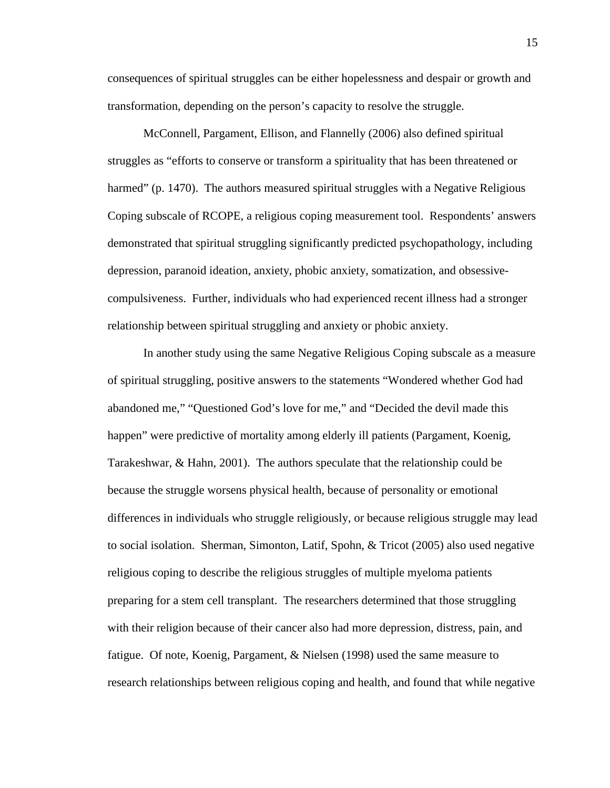consequences of spiritual struggles can be either hopelessness and despair or growth and transformation, depending on the person's capacity to resolve the struggle.

McConnell, Pargament, Ellison, and Flannelly (2006) also defined spiritual struggles as "efforts to conserve or transform a spirituality that has been threatened or harmed" (p. 1470). The authors measured spiritual struggles with a Negative Religious Coping subscale of RCOPE, a religious coping measurement tool. Respondents' answers demonstrated that spiritual struggling significantly predicted psychopathology, including depression, paranoid ideation, anxiety, phobic anxiety, somatization, and obsessivecompulsiveness. Further, individuals who had experienced recent illness had a stronger relationship between spiritual struggling and anxiety or phobic anxiety.

In another study using the same Negative Religious Coping subscale as a measure of spiritual struggling, positive answers to the statements "Wondered whether God had abandoned me," "Questioned God's love for me," and "Decided the devil made this happen" were predictive of mortality among elderly ill patients (Pargament, Koenig, Tarakeshwar, & Hahn, 2001). The authors speculate that the relationship could be because the struggle worsens physical health, because of personality or emotional differences in individuals who struggle religiously, or because religious struggle may lead to social isolation. Sherman, Simonton, Latif, Spohn, & Tricot (2005) also used negative religious coping to describe the religious struggles of multiple myeloma patients preparing for a stem cell transplant. The researchers determined that those struggling with their religion because of their cancer also had more depression, distress, pain, and fatigue. Of note, Koenig, Pargament, & Nielsen (1998) used the same measure to research relationships between religious coping and health, and found that while negative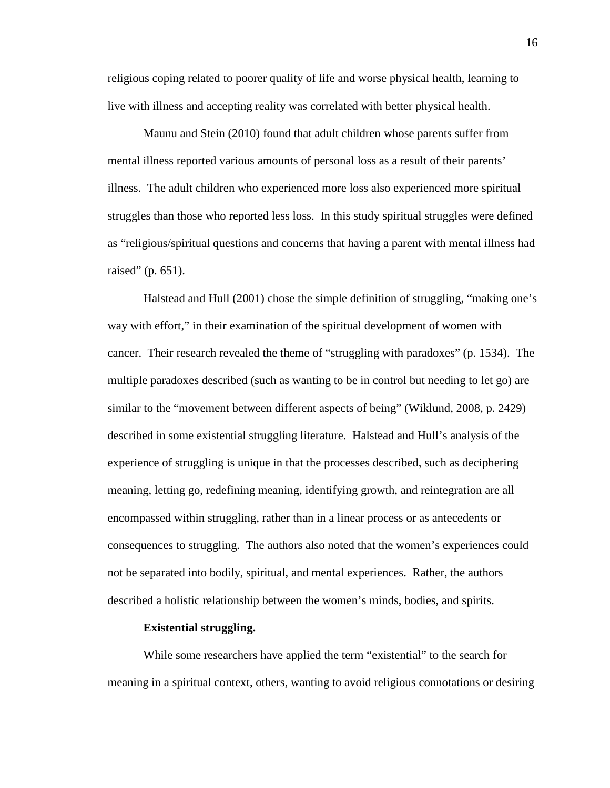religious coping related to poorer quality of life and worse physical health, learning to live with illness and accepting reality was correlated with better physical health.

Maunu and Stein (2010) found that adult children whose parents suffer from mental illness reported various amounts of personal loss as a result of their parents' illness. The adult children who experienced more loss also experienced more spiritual struggles than those who reported less loss. In this study spiritual struggles were defined as "religious/spiritual questions and concerns that having a parent with mental illness had raised" (p. 651).

Halstead and Hull (2001) chose the simple definition of struggling, "making one's way with effort," in their examination of the spiritual development of women with cancer. Their research revealed the theme of "struggling with paradoxes" (p. 1534). The multiple paradoxes described (such as wanting to be in control but needing to let go) are similar to the "movement between different aspects of being" (Wiklund, 2008, p. 2429) described in some existential struggling literature. Halstead and Hull's analysis of the experience of struggling is unique in that the processes described, such as deciphering meaning, letting go, redefining meaning, identifying growth, and reintegration are all encompassed within struggling, rather than in a linear process or as antecedents or consequences to struggling. The authors also noted that the women's experiences could not be separated into bodily, spiritual, and mental experiences. Rather, the authors described a holistic relationship between the women's minds, bodies, and spirits.

### **Existential struggling.**

While some researchers have applied the term "existential" to the search for meaning in a spiritual context, others, wanting to avoid religious connotations or desiring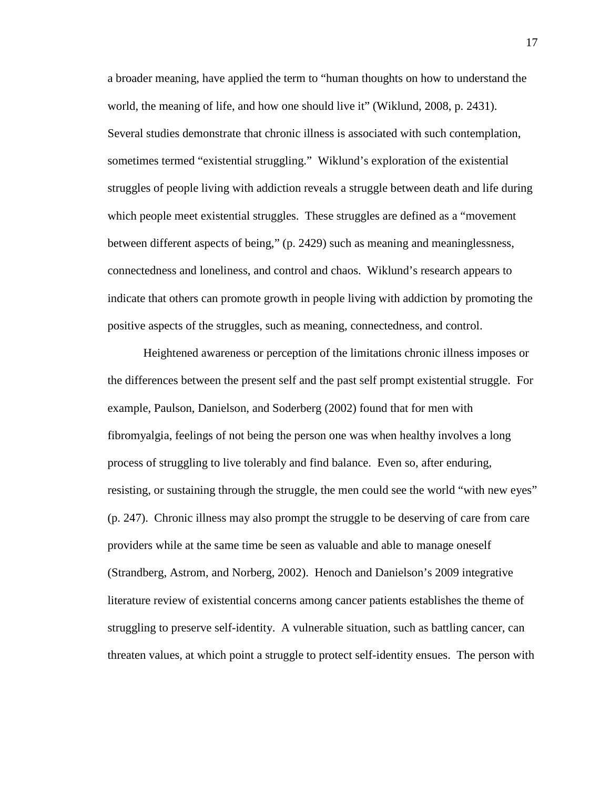a broader meaning, have applied the term to "human thoughts on how to understand the world, the meaning of life, and how one should live it" (Wiklund, 2008, p. 2431). Several studies demonstrate that chronic illness is associated with such contemplation, sometimes termed "existential struggling." Wiklund's exploration of the existential struggles of people living with addiction reveals a struggle between death and life during which people meet existential struggles. These struggles are defined as a "movement between different aspects of being," (p. 2429) such as meaning and meaninglessness, connectedness and loneliness, and control and chaos. Wiklund's research appears to indicate that others can promote growth in people living with addiction by promoting the positive aspects of the struggles, such as meaning, connectedness, and control.

Heightened awareness or perception of the limitations chronic illness imposes or the differences between the present self and the past self prompt existential struggle. For example, Paulson, Danielson, and Soderberg (2002) found that for men with fibromyalgia, feelings of not being the person one was when healthy involves a long process of struggling to live tolerably and find balance. Even so, after enduring, resisting, or sustaining through the struggle, the men could see the world "with new eyes" (p. 247). Chronic illness may also prompt the struggle to be deserving of care from care providers while at the same time be seen as valuable and able to manage oneself (Strandberg, Astrom, and Norberg, 2002). Henoch and Danielson's 2009 integrative literature review of existential concerns among cancer patients establishes the theme of struggling to preserve self-identity. A vulnerable situation, such as battling cancer, can threaten values, at which point a struggle to protect self-identity ensues. The person with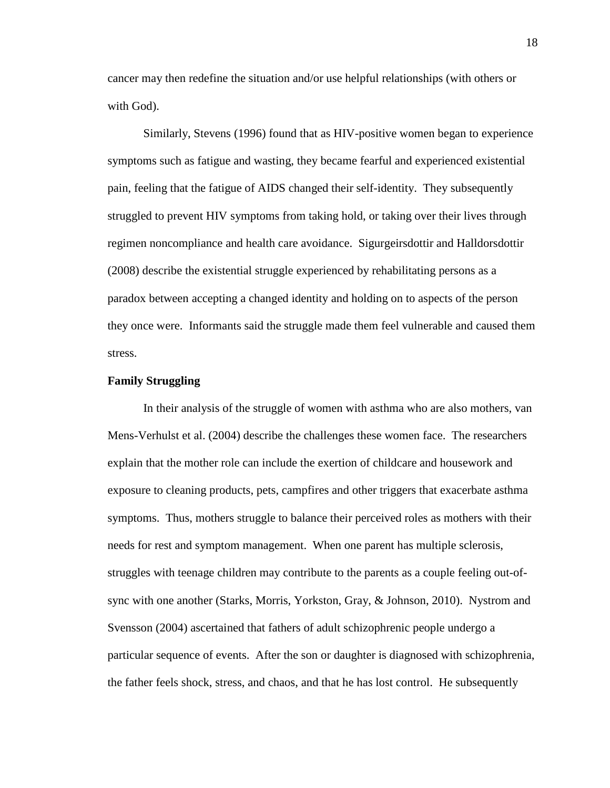cancer may then redefine the situation and/or use helpful relationships (with others or with God).

Similarly, Stevens (1996) found that as HIV-positive women began to experience symptoms such as fatigue and wasting, they became fearful and experienced existential pain, feeling that the fatigue of AIDS changed their self-identity. They subsequently struggled to prevent HIV symptoms from taking hold, or taking over their lives through regimen noncompliance and health care avoidance. Sigurgeirsdottir and Halldorsdottir (2008) describe the existential struggle experienced by rehabilitating persons as a paradox between accepting a changed identity and holding on to aspects of the person they once were. Informants said the struggle made them feel vulnerable and caused them stress.

#### **Family Struggling**

In their analysis of the struggle of women with asthma who are also mothers, van Mens-Verhulst et al. (2004) describe the challenges these women face. The researchers explain that the mother role can include the exertion of childcare and housework and exposure to cleaning products, pets, campfires and other triggers that exacerbate asthma symptoms. Thus, mothers struggle to balance their perceived roles as mothers with their needs for rest and symptom management. When one parent has multiple sclerosis, struggles with teenage children may contribute to the parents as a couple feeling out-ofsync with one another (Starks, Morris, Yorkston, Gray, & Johnson, 2010). Nystrom and Svensson (2004) ascertained that fathers of adult schizophrenic people undergo a particular sequence of events. After the son or daughter is diagnosed with schizophrenia, the father feels shock, stress, and chaos, and that he has lost control. He subsequently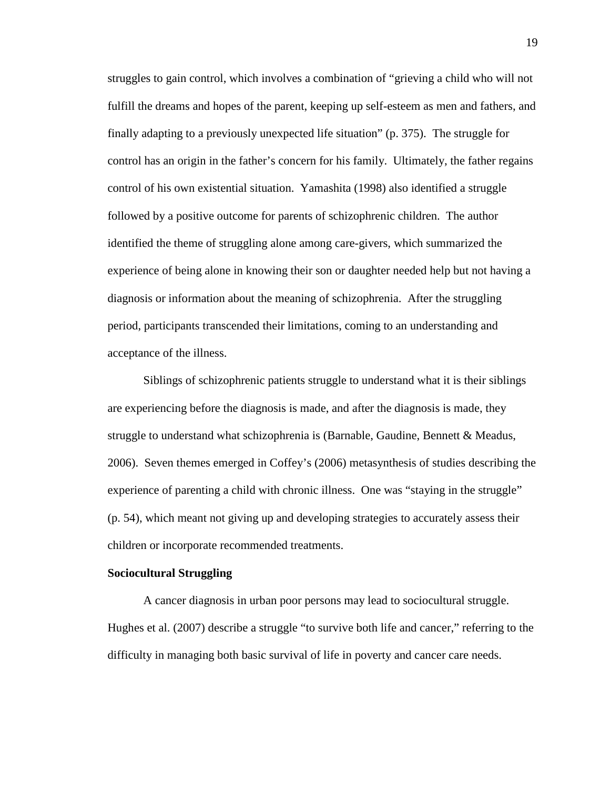struggles to gain control, which involves a combination of "grieving a child who will not fulfill the dreams and hopes of the parent, keeping up self-esteem as men and fathers, and finally adapting to a previously unexpected life situation" (p. 375). The struggle for control has an origin in the father's concern for his family. Ultimately, the father regains control of his own existential situation. Yamashita (1998) also identified a struggle followed by a positive outcome for parents of schizophrenic children. The author identified the theme of struggling alone among care-givers, which summarized the experience of being alone in knowing their son or daughter needed help but not having a diagnosis or information about the meaning of schizophrenia. After the struggling period, participants transcended their limitations, coming to an understanding and acceptance of the illness.

Siblings of schizophrenic patients struggle to understand what it is their siblings are experiencing before the diagnosis is made, and after the diagnosis is made, they struggle to understand what schizophrenia is (Barnable, Gaudine, Bennett & Meadus, 2006). Seven themes emerged in Coffey's (2006) metasynthesis of studies describing the experience of parenting a child with chronic illness. One was "staying in the struggle" (p. 54), which meant not giving up and developing strategies to accurately assess their children or incorporate recommended treatments.

#### **Sociocultural Struggling**

A cancer diagnosis in urban poor persons may lead to sociocultural struggle. Hughes et al. (2007) describe a struggle "to survive both life and cancer," referring to the difficulty in managing both basic survival of life in poverty and cancer care needs.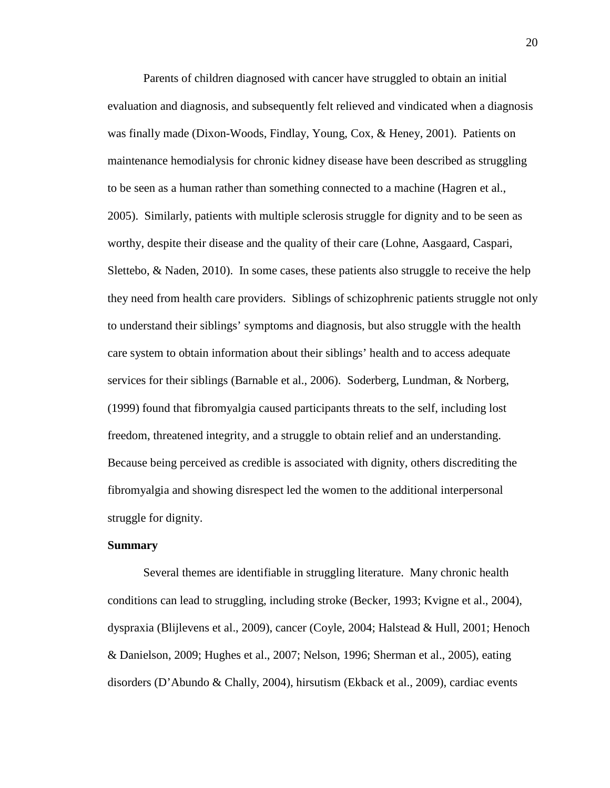Parents of children diagnosed with cancer have struggled to obtain an initial evaluation and diagnosis, and subsequently felt relieved and vindicated when a diagnosis was finally made (Dixon-Woods, Findlay, Young, Cox, & Heney, 2001). Patients on maintenance hemodialysis for chronic kidney disease have been described as struggling to be seen as a human rather than something connected to a machine (Hagren et al., 2005). Similarly, patients with multiple sclerosis struggle for dignity and to be seen as worthy, despite their disease and the quality of their care (Lohne, Aasgaard, Caspari, Slettebo, & Naden, 2010). In some cases, these patients also struggle to receive the help they need from health care providers. Siblings of schizophrenic patients struggle not only to understand their siblings' symptoms and diagnosis, but also struggle with the health care system to obtain information about their siblings' health and to access adequate services for their siblings (Barnable et al., 2006). Soderberg, Lundman, & Norberg, (1999) found that fibromyalgia caused participants threats to the self, including lost freedom, threatened integrity, and a struggle to obtain relief and an understanding. Because being perceived as credible is associated with dignity, others discrediting the fibromyalgia and showing disrespect led the women to the additional interpersonal struggle for dignity.

## **Summary**

Several themes are identifiable in struggling literature. Many chronic health conditions can lead to struggling, including stroke (Becker, 1993; Kvigne et al., 2004), dyspraxia (Blijlevens et al., 2009), cancer (Coyle, 2004; Halstead & Hull, 2001; Henoch & Danielson, 2009; Hughes et al., 2007; Nelson, 1996; Sherman et al., 2005), eating disorders (D'Abundo & Chally, 2004), hirsutism (Ekback et al., 2009), cardiac events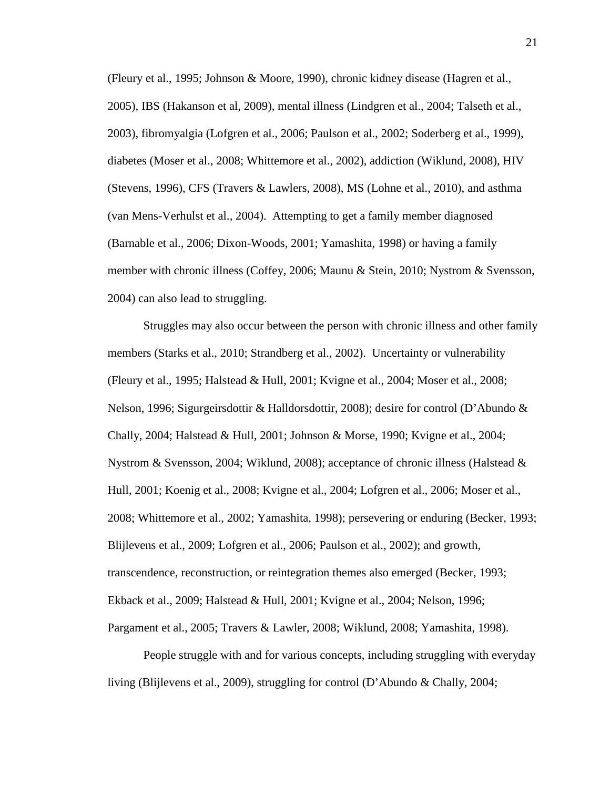(Fleury et al., 1995; Johnson & Moore, 1990), chronic kidney disease (Hagren et al., 2005), IBS (Hakanson et al, 2009), mental illness (Lindgren et al., 2004; Talseth et al., 2003), fibromyalgia (Lofgren et al., 2006; Paulson et al., 2002; Soderberg et al., 1999), diabetes (Moser et al., 2008; Whittemore et al., 2002), addiction (Wiklund, 2008), HIV (Stevens, 1996), CFS (Travers & Lawlers, 2008), MS (Lohne et al., 2010), and asthma (van Mens-Verhulst et al., 2004). Attempting to get a family member diagnosed (Barnable et al., 2006; Dixon-Woods, 2001; Yamashita, 1998) or having a family member with chronic illness (Coffey, 2006; Maunu & Stein, 2010; Nystrom & Svensson, 2004) can also lead to struggling.

Struggles may also occur between the person with chronic illness and other family members (Starks et al., 2010; Strandberg et al., 2002). Uncertainty or vulnerability (Fleury et al., 1995; Halstead & Hull, 2001; Kvigne et al., 2004; Moser et al., 2008; Nelson, 1996; Sigurgeirsdottir & Halldorsdottir, 2008); desire for control (D'Abundo & Chally, 2004; Halstead & Hull, 2001; Johnson & Morse, 1990; Kvigne et al., 2004; Nystrom & Svensson, 2004; Wiklund, 2008); acceptance of chronic illness (Halstead & Hull, 2001; Koenig et al., 2008; Kvigne et al., 2004; Lofgren et al., 2006; Moser et al., 2008; Whittemore et al., 2002; Yamashita, 1998); persevering or enduring (Becker, 1993; Blijlevens et al., 2009; Lofgren et al., 2006; Paulson et al., 2002); and growth, transcendence, reconstruction, or reintegration themes also emerged (Becker, 1993; Ekback et al., 2009; Halstead & Hull, 2001; Kvigne et al., 2004; Nelson, 1996; Pargament et al., 2005; Travers & Lawler, 2008; Wiklund, 2008; Yamashita, 1998).

People struggle with and for various concepts, including struggling with everyday living (Blijlevens et al., 2009), struggling for control (D'Abundo & Chally, 2004;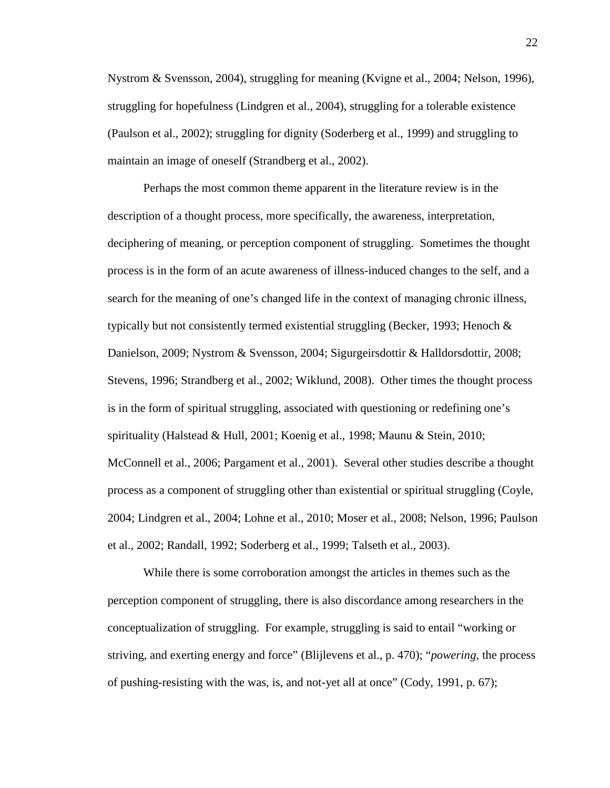Nystrom & Svensson, 2004), struggling for meaning (Kvigne et al., 2004; Nelson, 1996), struggling for hopefulness (Lindgren et al., 2004), struggling for a tolerable existence (Paulson et al., 2002); struggling for dignity (Soderberg et al., 1999) and struggling to maintain an image of oneself (Strandberg et al., 2002).

Perhaps the most common theme apparent in the literature review is in the description of a thought process, more specifically, the awareness, interpretation, deciphering of meaning, or perception component of struggling. Sometimes the thought process is in the form of an acute awareness of illness-induced changes to the self, and a search for the meaning of one's changed life in the context of managing chronic illness, typically but not consistently termed existential struggling (Becker, 1993; Henoch  $\&$ Danielson, 2009; Nystrom & Svensson, 2004; Sigurgeirsdottir & Halldorsdottir, 2008; Stevens, 1996; Strandberg et al., 2002; Wiklund, 2008). Other times the thought process is in the form of spiritual struggling, associated with questioning or redefining one's spirituality (Halstead & Hull, 2001; Koenig et al., 1998; Maunu & Stein, 2010; McConnell et al., 2006; Pargament et al., 2001). Several other studies describe a thought process as a component of struggling other than existential or spiritual struggling (Coyle, 2004; Lindgren et al., 2004; Lohne et al., 2010; Moser et al., 2008; Nelson, 1996; Paulson et al., 2002; Randall, 1992; Soderberg et al., 1999; Talseth et al., 2003).

While there is some corroboration amongst the articles in themes such as the perception component of struggling, there is also discordance among researchers in the conceptualization of struggling. For example, struggling is said to entail "working or striving, and exerting energy and force" (Blijlevens et al., p. 470); "*powering*, the process of pushing-resisting with the was, is, and not-yet all at once" (Cody, 1991, p. 67);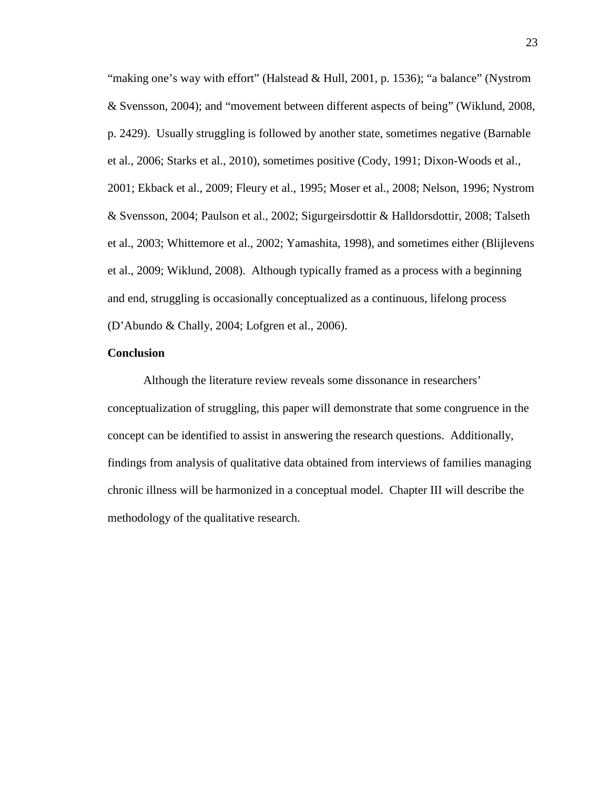"making one's way with effort" (Halstead & Hull, 2001, p. 1536); "a balance" (Nystrom & Svensson, 2004); and "movement between different aspects of being" (Wiklund, 2008, p. 2429). Usually struggling is followed by another state, sometimes negative (Barnable et al., 2006; Starks et al., 2010), sometimes positive (Cody, 1991; Dixon-Woods et al., 2001; Ekback et al., 2009; Fleury et al., 1995; Moser et al., 2008; Nelson, 1996; Nystrom & Svensson, 2004; Paulson et al., 2002; Sigurgeirsdottir & Halldorsdottir, 2008; Talseth et al., 2003; Whittemore et al., 2002; Yamashita, 1998), and sometimes either (Blijlevens et al., 2009; Wiklund, 2008). Although typically framed as a process with a beginning and end, struggling is occasionally conceptualized as a continuous, lifelong process (D'Abundo & Chally, 2004; Lofgren et al., 2006).

## **Conclusion**

Although the literature review reveals some dissonance in researchers' conceptualization of struggling, this paper will demonstrate that some congruence in the concept can be identified to assist in answering the research questions. Additionally, findings from analysis of qualitative data obtained from interviews of families managing chronic illness will be harmonized in a conceptual model. Chapter III will describe the methodology of the qualitative research.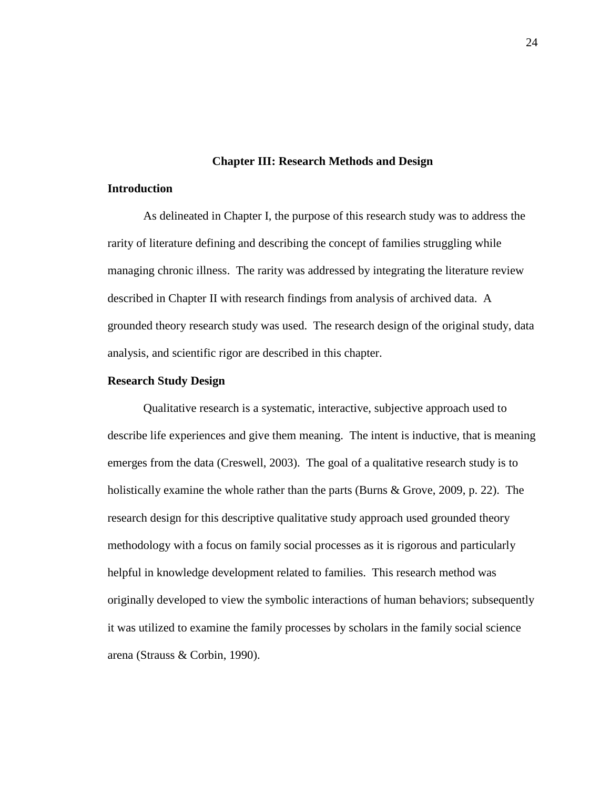#### **Chapter III: Research Methods and Design**

## **Introduction**

 As delineated in Chapter I, the purpose of this research study was to address the rarity of literature defining and describing the concept of families struggling while managing chronic illness. The rarity was addressed by integrating the literature review described in Chapter II with research findings from analysis of archived data. A grounded theory research study was used. The research design of the original study, data analysis, and scientific rigor are described in this chapter.

## **Research Study Design**

 Qualitative research is a systematic, interactive, subjective approach used to describe life experiences and give them meaning. The intent is inductive, that is meaning emerges from the data (Creswell, 2003). The goal of a qualitative research study is to holistically examine the whole rather than the parts (Burns & Grove, 2009, p. 22). The research design for this descriptive qualitative study approach used grounded theory methodology with a focus on family social processes as it is rigorous and particularly helpful in knowledge development related to families. This research method was originally developed to view the symbolic interactions of human behaviors; subsequently it was utilized to examine the family processes by scholars in the family social science arena (Strauss & Corbin, 1990).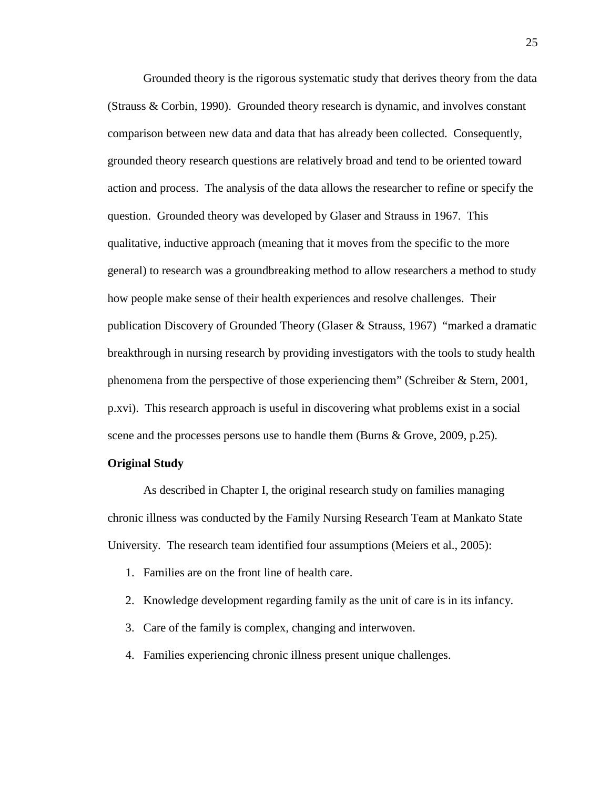Grounded theory is the rigorous systematic study that derives theory from the data (Strauss & Corbin, 1990). Grounded theory research is dynamic, and involves constant comparison between new data and data that has already been collected. Consequently, grounded theory research questions are relatively broad and tend to be oriented toward action and process. The analysis of the data allows the researcher to refine or specify the question. Grounded theory was developed by Glaser and Strauss in 1967. This qualitative, inductive approach (meaning that it moves from the specific to the more general) to research was a groundbreaking method to allow researchers a method to study how people make sense of their health experiences and resolve challenges. Their publication Discovery of Grounded Theory (Glaser & Strauss, 1967) "marked a dramatic breakthrough in nursing research by providing investigators with the tools to study health phenomena from the perspective of those experiencing them" (Schreiber & Stern, 2001, p.xvi). This research approach is useful in discovering what problems exist in a social scene and the processes persons use to handle them (Burns & Grove, 2009, p.25).

## **Original Study**

 As described in Chapter I, the original research study on families managing chronic illness was conducted by the Family Nursing Research Team at Mankato State University. The research team identified four assumptions (Meiers et al., 2005):

- 1. Families are on the front line of health care.
- 2. Knowledge development regarding family as the unit of care is in its infancy.
- 3. Care of the family is complex, changing and interwoven.
- 4. Families experiencing chronic illness present unique challenges.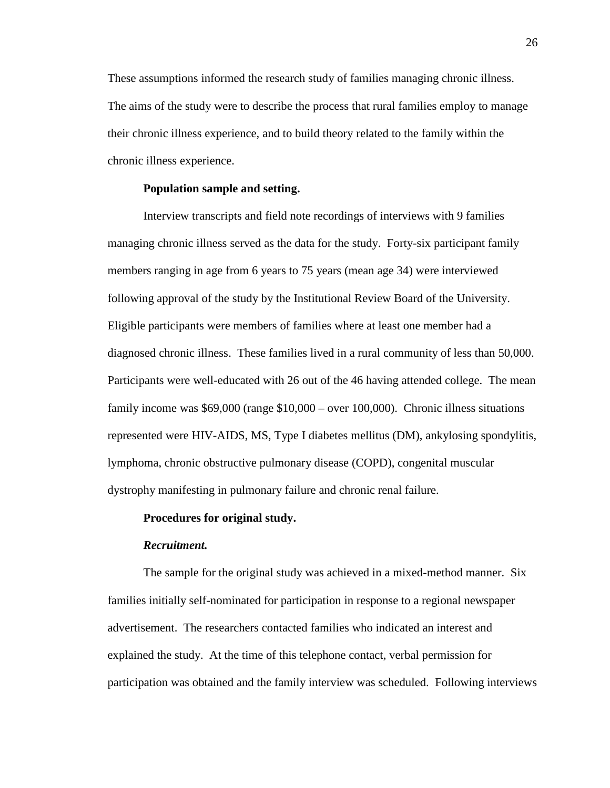These assumptions informed the research study of families managing chronic illness. The aims of the study were to describe the process that rural families employ to manage their chronic illness experience, and to build theory related to the family within the chronic illness experience.

# **Population sample and setting.**

Interview transcripts and field note recordings of interviews with 9 families managing chronic illness served as the data for the study. Forty-six participant family members ranging in age from 6 years to 75 years (mean age 34) were interviewed following approval of the study by the Institutional Review Board of the University. Eligible participants were members of families where at least one member had a diagnosed chronic illness. These families lived in a rural community of less than 50,000. Participants were well-educated with 26 out of the 46 having attended college. The mean family income was \$69,000 (range \$10,000 – over 100,000). Chronic illness situations represented were HIV-AIDS, MS, Type I diabetes mellitus (DM), ankylosing spondylitis, lymphoma, chronic obstructive pulmonary disease (COPD), congenital muscular dystrophy manifesting in pulmonary failure and chronic renal failure.

# **Procedures for original study.**

#### *Recruitment.*

The sample for the original study was achieved in a mixed-method manner. Six families initially self-nominated for participation in response to a regional newspaper advertisement. The researchers contacted families who indicated an interest and explained the study. At the time of this telephone contact, verbal permission for participation was obtained and the family interview was scheduled. Following interviews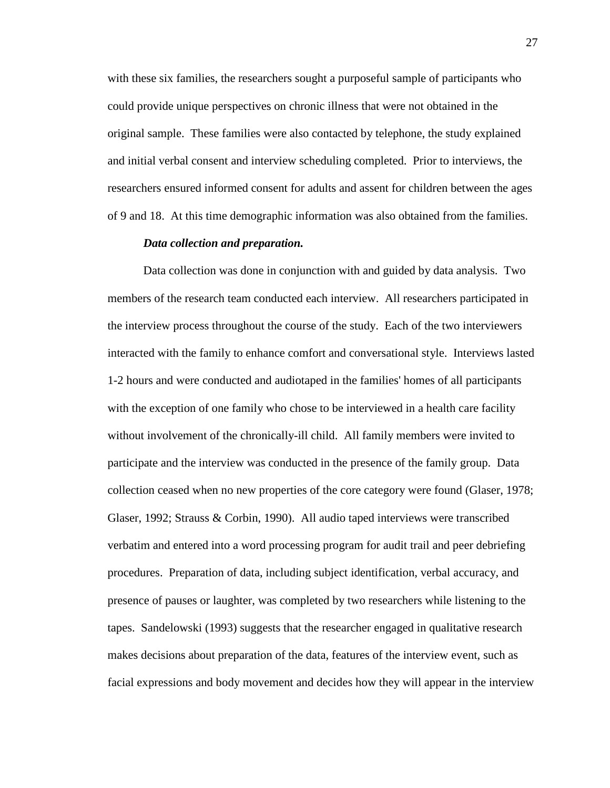with these six families, the researchers sought a purposeful sample of participants who could provide unique perspectives on chronic illness that were not obtained in the original sample. These families were also contacted by telephone, the study explained and initial verbal consent and interview scheduling completed. Prior to interviews, the researchers ensured informed consent for adults and assent for children between the ages of 9 and 18. At this time demographic information was also obtained from the families.

#### *Data collection and preparation.*

Data collection was done in conjunction with and guided by data analysis. Two members of the research team conducted each interview. All researchers participated in the interview process throughout the course of the study. Each of the two interviewers interacted with the family to enhance comfort and conversational style. Interviews lasted 1-2 hours and were conducted and audiotaped in the families' homes of all participants with the exception of one family who chose to be interviewed in a health care facility without involvement of the chronically-ill child. All family members were invited to participate and the interview was conducted in the presence of the family group. Data collection ceased when no new properties of the core category were found (Glaser, 1978; Glaser, 1992; Strauss & Corbin, 1990). All audio taped interviews were transcribed verbatim and entered into a word processing program for audit trail and peer debriefing procedures. Preparation of data, including subject identification, verbal accuracy, and presence of pauses or laughter, was completed by two researchers while listening to the tapes. Sandelowski (1993) suggests that the researcher engaged in qualitative research makes decisions about preparation of the data, features of the interview event, such as facial expressions and body movement and decides how they will appear in the interview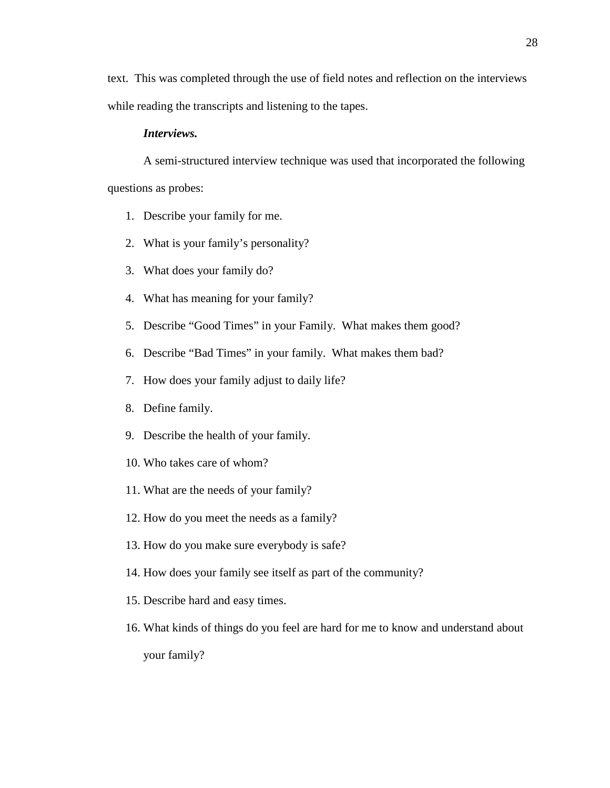text. This was completed through the use of field notes and reflection on the interviews while reading the transcripts and listening to the tapes.

### *Interviews.*

A semi-structured interview technique was used that incorporated the following questions as probes:

- 1. Describe your family for me.
- 2. What is your family's personality?
- 3. What does your family do?
- 4. What has meaning for your family?
- 5. Describe "Good Times" in your Family. What makes them good?
- 6. Describe "Bad Times" in your family. What makes them bad?
- 7. How does your family adjust to daily life?
- 8. Define family.
- 9. Describe the health of your family.
- 10. Who takes care of whom?
- 11. What are the needs of your family?
- 12. How do you meet the needs as a family?
- 13. How do you make sure everybody is safe?
- 14. How does your family see itself as part of the community?
- 15. Describe hard and easy times.
- 16. What kinds of things do you feel are hard for me to know and understand about your family?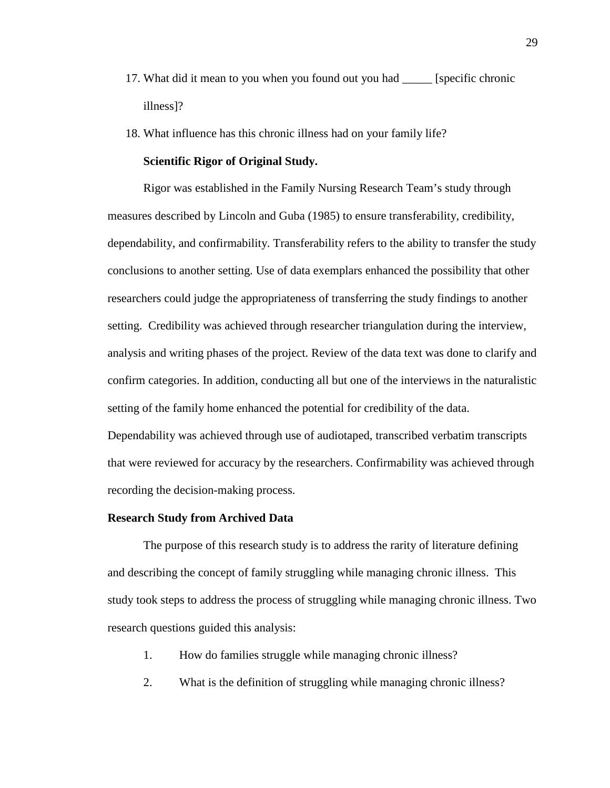- 17. What did it mean to you when you found out you had \_\_\_\_\_ [specific chronic illness]?
- 18. What influence has this chronic illness had on your family life?

# **Scientific Rigor of Original Study.**

Rigor was established in the Family Nursing Research Team's study through measures described by Lincoln and Guba (1985) to ensure transferability, credibility, dependability, and confirmability. Transferability refers to the ability to transfer the study conclusions to another setting. Use of data exemplars enhanced the possibility that other researchers could judge the appropriateness of transferring the study findings to another setting. Credibility was achieved through researcher triangulation during the interview, analysis and writing phases of the project. Review of the data text was done to clarify and confirm categories. In addition, conducting all but one of the interviews in the naturalistic setting of the family home enhanced the potential for credibility of the data. Dependability was achieved through use of audiotaped, transcribed verbatim transcripts that were reviewed for accuracy by the researchers. Confirmability was achieved through recording the decision-making process.

# **Research Study from Archived Data**

The purpose of this research study is to address the rarity of literature defining and describing the concept of family struggling while managing chronic illness. This study took steps to address the process of struggling while managing chronic illness. Two research questions guided this analysis:

- 1. How do families struggle while managing chronic illness?
- 2. What is the definition of struggling while managing chronic illness?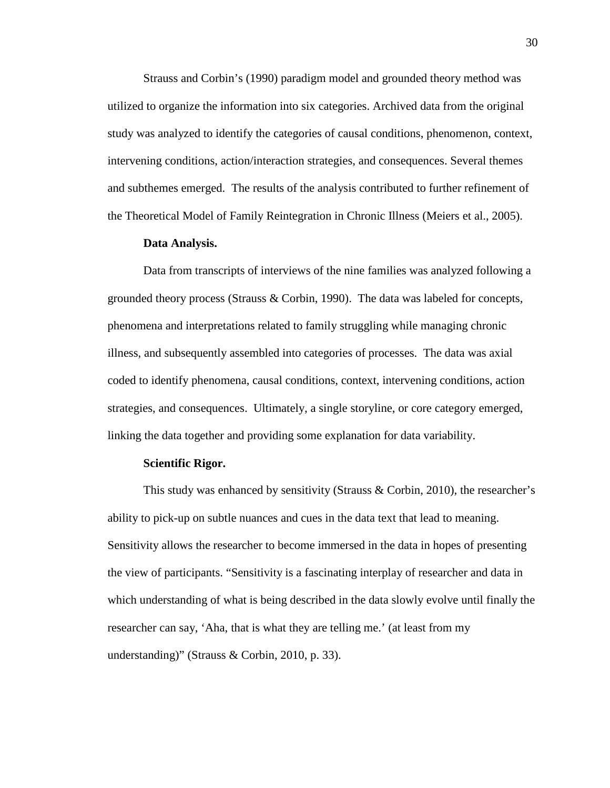Strauss and Corbin's (1990) paradigm model and grounded theory method was utilized to organize the information into six categories. Archived data from the original study was analyzed to identify the categories of causal conditions, phenomenon, context, intervening conditions, action/interaction strategies, and consequences. Several themes and subthemes emerged. The results of the analysis contributed to further refinement of the Theoretical Model of Family Reintegration in Chronic Illness (Meiers et al., 2005).

# **Data Analysis.**

 Data from transcripts of interviews of the nine families was analyzed following a grounded theory process (Strauss & Corbin, 1990). The data was labeled for concepts, phenomena and interpretations related to family struggling while managing chronic illness, and subsequently assembled into categories of processes. The data was axial coded to identify phenomena, causal conditions, context, intervening conditions, action strategies, and consequences. Ultimately, a single storyline, or core category emerged, linking the data together and providing some explanation for data variability.

#### **Scientific Rigor.**

This study was enhanced by sensitivity (Strauss & Corbin, 2010), the researcher's ability to pick-up on subtle nuances and cues in the data text that lead to meaning. Sensitivity allows the researcher to become immersed in the data in hopes of presenting the view of participants. "Sensitivity is a fascinating interplay of researcher and data in which understanding of what is being described in the data slowly evolve until finally the researcher can say, 'Aha, that is what they are telling me.' (at least from my understanding)" (Strauss & Corbin, 2010, p. 33).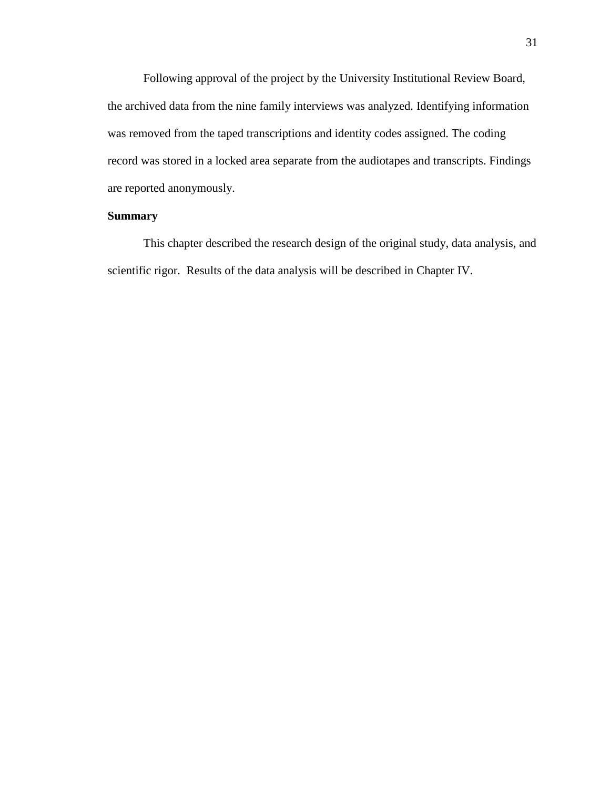Following approval of the project by the University Institutional Review Board, the archived data from the nine family interviews was analyzed. Identifying information was removed from the taped transcriptions and identity codes assigned. The coding record was stored in a locked area separate from the audiotapes and transcripts. Findings are reported anonymously.

# **Summary**

 This chapter described the research design of the original study, data analysis, and scientific rigor. Results of the data analysis will be described in Chapter IV.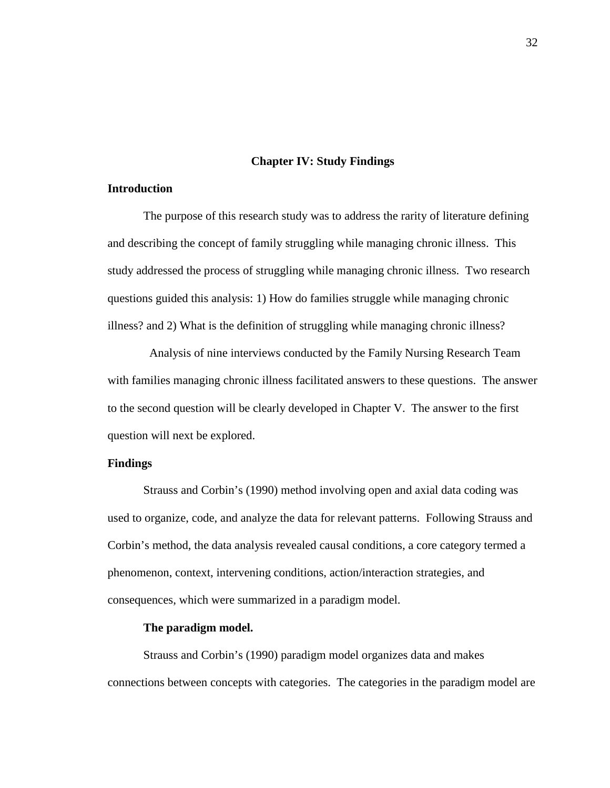### **Chapter IV: Study Findings**

### **Introduction**

The purpose of this research study was to address the rarity of literature defining and describing the concept of family struggling while managing chronic illness. This study addressed the process of struggling while managing chronic illness. Two research questions guided this analysis: 1) How do families struggle while managing chronic illness? and 2) What is the definition of struggling while managing chronic illness?

 Analysis of nine interviews conducted by the Family Nursing Research Team with families managing chronic illness facilitated answers to these questions. The answer to the second question will be clearly developed in Chapter V. The answer to the first question will next be explored.

# **Findings**

Strauss and Corbin's (1990) method involving open and axial data coding was used to organize, code, and analyze the data for relevant patterns. Following Strauss and Corbin's method, the data analysis revealed causal conditions, a core category termed a phenomenon, context, intervening conditions, action/interaction strategies, and consequences, which were summarized in a paradigm model.

### **The paradigm model.**

Strauss and Corbin's (1990) paradigm model organizes data and makes connections between concepts with categories. The categories in the paradigm model are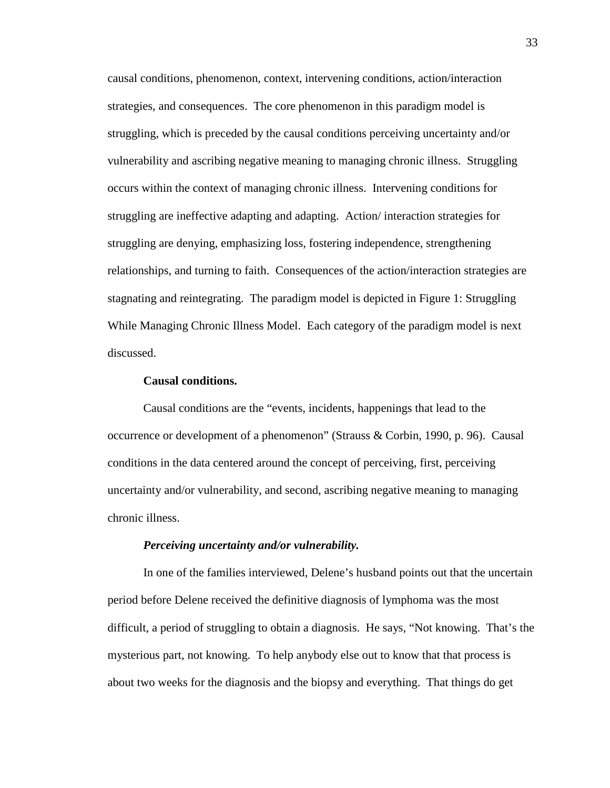causal conditions, phenomenon, context, intervening conditions, action/interaction strategies, and consequences. The core phenomenon in this paradigm model is struggling, which is preceded by the causal conditions perceiving uncertainty and/or vulnerability and ascribing negative meaning to managing chronic illness. Struggling occurs within the context of managing chronic illness. Intervening conditions for struggling are ineffective adapting and adapting. Action/ interaction strategies for struggling are denying, emphasizing loss, fostering independence, strengthening relationships, and turning to faith. Consequences of the action/interaction strategies are stagnating and reintegrating. The paradigm model is depicted in Figure 1: Struggling While Managing Chronic Illness Model. Each category of the paradigm model is next discussed.

# **Causal conditions.**

Causal conditions are the "events, incidents, happenings that lead to the occurrence or development of a phenomenon" (Strauss & Corbin, 1990, p. 96). Causal conditions in the data centered around the concept of perceiving, first, perceiving uncertainty and/or vulnerability, and second, ascribing negative meaning to managing chronic illness.

# *Perceiving uncertainty and/or vulnerability.*

In one of the families interviewed, Delene's husband points out that the uncertain period before Delene received the definitive diagnosis of lymphoma was the most difficult, a period of struggling to obtain a diagnosis. He says, "Not knowing. That's the mysterious part, not knowing. To help anybody else out to know that that process is about two weeks for the diagnosis and the biopsy and everything. That things do get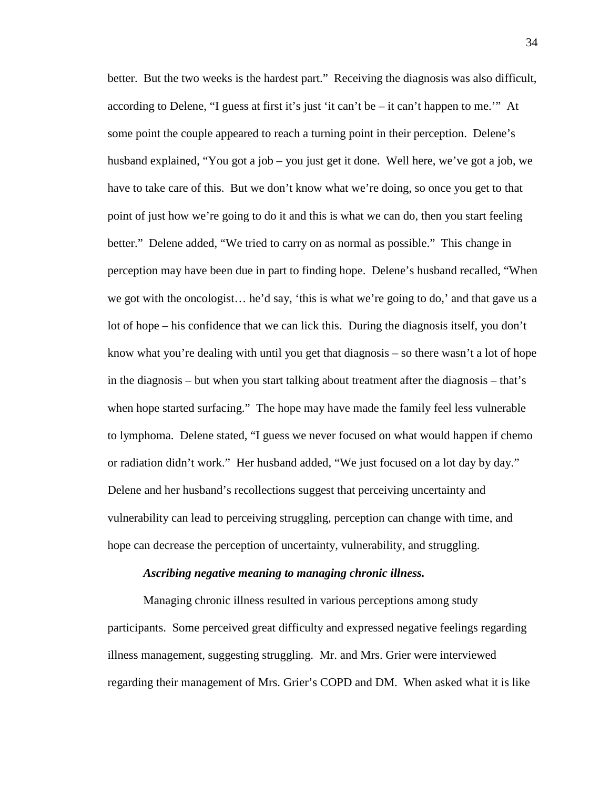better. But the two weeks is the hardest part." Receiving the diagnosis was also difficult, according to Delene, "I guess at first it's just 'it can't be – it can't happen to me.'" At some point the couple appeared to reach a turning point in their perception. Delene's husband explained, "You got a job – you just get it done. Well here, we've got a job, we have to take care of this. But we don't know what we're doing, so once you get to that point of just how we're going to do it and this is what we can do, then you start feeling better." Delene added, "We tried to carry on as normal as possible." This change in perception may have been due in part to finding hope. Delene's husband recalled, "When we got with the oncologist… he'd say, 'this is what we're going to do,' and that gave us a lot of hope – his confidence that we can lick this. During the diagnosis itself, you don't know what you're dealing with until you get that diagnosis – so there wasn't a lot of hope in the diagnosis – but when you start talking about treatment after the diagnosis – that's when hope started surfacing." The hope may have made the family feel less vulnerable to lymphoma. Delene stated, "I guess we never focused on what would happen if chemo or radiation didn't work." Her husband added, "We just focused on a lot day by day." Delene and her husband's recollections suggest that perceiving uncertainty and vulnerability can lead to perceiving struggling, perception can change with time, and hope can decrease the perception of uncertainty, vulnerability, and struggling.

#### *Ascribing negative meaning to managing chronic illness.*

Managing chronic illness resulted in various perceptions among study participants. Some perceived great difficulty and expressed negative feelings regarding illness management, suggesting struggling. Mr. and Mrs. Grier were interviewed regarding their management of Mrs. Grier's COPD and DM. When asked what it is like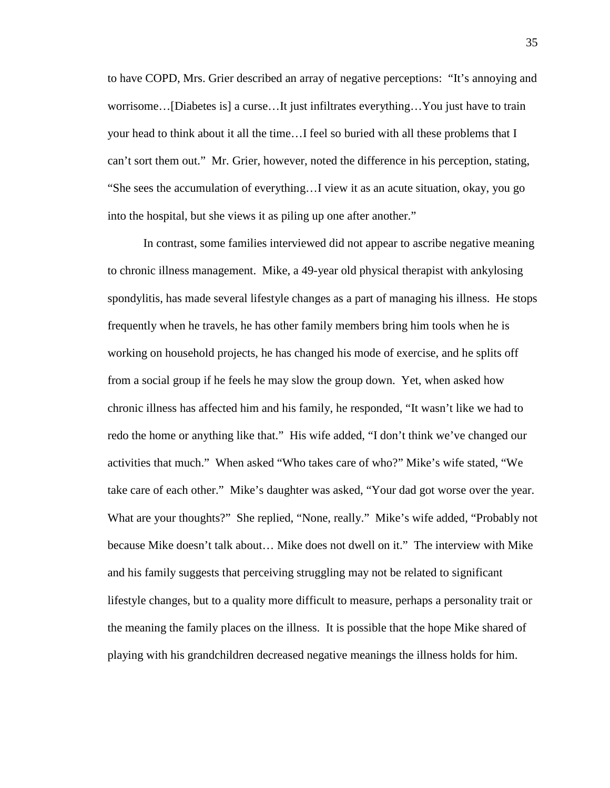to have COPD, Mrs. Grier described an array of negative perceptions: "It's annoying and worrisome…[Diabetes is] a curse…It just infiltrates everything…You just have to train your head to think about it all the time…I feel so buried with all these problems that I can't sort them out." Mr. Grier, however, noted the difference in his perception, stating, "She sees the accumulation of everything…I view it as an acute situation, okay, you go into the hospital, but she views it as piling up one after another."

In contrast, some families interviewed did not appear to ascribe negative meaning to chronic illness management. Mike, a 49-year old physical therapist with ankylosing spondylitis, has made several lifestyle changes as a part of managing his illness. He stops frequently when he travels, he has other family members bring him tools when he is working on household projects, he has changed his mode of exercise, and he splits off from a social group if he feels he may slow the group down. Yet, when asked how chronic illness has affected him and his family, he responded, "It wasn't like we had to redo the home or anything like that." His wife added, "I don't think we've changed our activities that much." When asked "Who takes care of who?" Mike's wife stated, "We take care of each other." Mike's daughter was asked, "Your dad got worse over the year. What are your thoughts?" She replied, "None, really." Mike's wife added, "Probably not because Mike doesn't talk about… Mike does not dwell on it." The interview with Mike and his family suggests that perceiving struggling may not be related to significant lifestyle changes, but to a quality more difficult to measure, perhaps a personality trait or the meaning the family places on the illness. It is possible that the hope Mike shared of playing with his grandchildren decreased negative meanings the illness holds for him.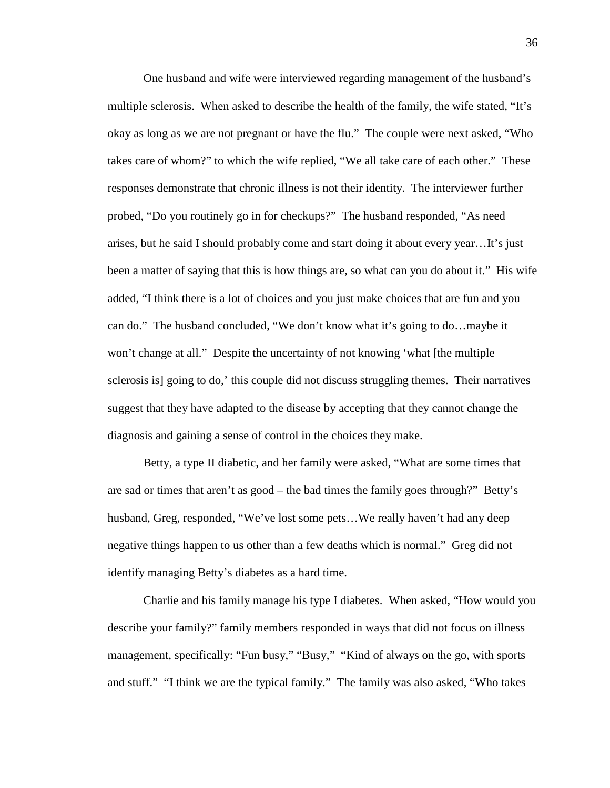One husband and wife were interviewed regarding management of the husband's multiple sclerosis. When asked to describe the health of the family, the wife stated, "It's okay as long as we are not pregnant or have the flu." The couple were next asked, "Who takes care of whom?" to which the wife replied, "We all take care of each other." These responses demonstrate that chronic illness is not their identity. The interviewer further probed, "Do you routinely go in for checkups?" The husband responded, "As need arises, but he said I should probably come and start doing it about every year…It's just been a matter of saying that this is how things are, so what can you do about it." His wife added, "I think there is a lot of choices and you just make choices that are fun and you can do." The husband concluded, "We don't know what it's going to do…maybe it won't change at all." Despite the uncertainty of not knowing 'what [the multiple sclerosis is] going to do,' this couple did not discuss struggling themes. Their narratives suggest that they have adapted to the disease by accepting that they cannot change the diagnosis and gaining a sense of control in the choices they make.

Betty, a type II diabetic, and her family were asked, "What are some times that are sad or times that aren't as good – the bad times the family goes through?" Betty's husband, Greg, responded, "We've lost some pets…We really haven't had any deep negative things happen to us other than a few deaths which is normal." Greg did not identify managing Betty's diabetes as a hard time.

Charlie and his family manage his type I diabetes. When asked, "How would you describe your family?" family members responded in ways that did not focus on illness management, specifically: "Fun busy," "Busy," "Kind of always on the go, with sports and stuff." "I think we are the typical family." The family was also asked, "Who takes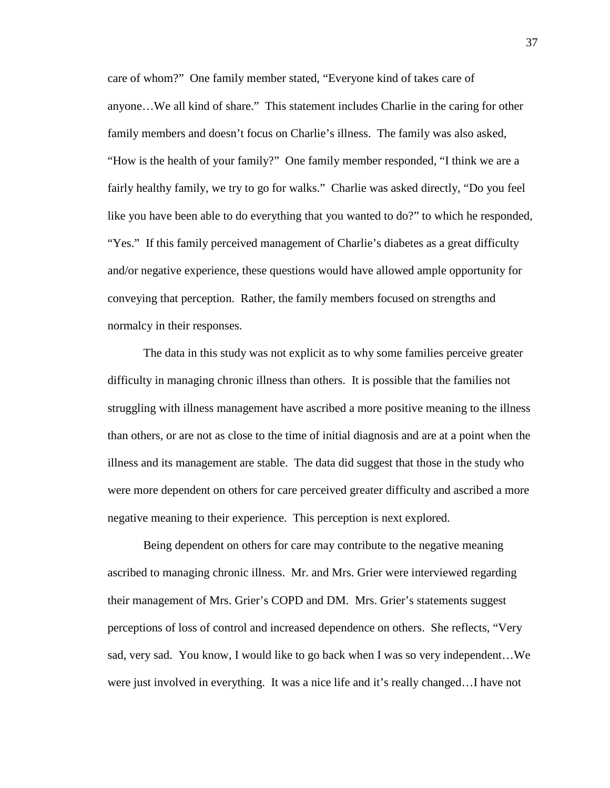care of whom?" One family member stated, "Everyone kind of takes care of anyone…We all kind of share." This statement includes Charlie in the caring for other family members and doesn't focus on Charlie's illness. The family was also asked, "How is the health of your family?" One family member responded, "I think we are a fairly healthy family, we try to go for walks." Charlie was asked directly, "Do you feel like you have been able to do everything that you wanted to do?" to which he responded, "Yes." If this family perceived management of Charlie's diabetes as a great difficulty and/or negative experience, these questions would have allowed ample opportunity for conveying that perception. Rather, the family members focused on strengths and normalcy in their responses.

The data in this study was not explicit as to why some families perceive greater difficulty in managing chronic illness than others. It is possible that the families not struggling with illness management have ascribed a more positive meaning to the illness than others, or are not as close to the time of initial diagnosis and are at a point when the illness and its management are stable. The data did suggest that those in the study who were more dependent on others for care perceived greater difficulty and ascribed a more negative meaning to their experience. This perception is next explored.

Being dependent on others for care may contribute to the negative meaning ascribed to managing chronic illness. Mr. and Mrs. Grier were interviewed regarding their management of Mrs. Grier's COPD and DM. Mrs. Grier's statements suggest perceptions of loss of control and increased dependence on others. She reflects, "Very sad, very sad. You know, I would like to go back when I was so very independent…We were just involved in everything. It was a nice life and it's really changed…I have not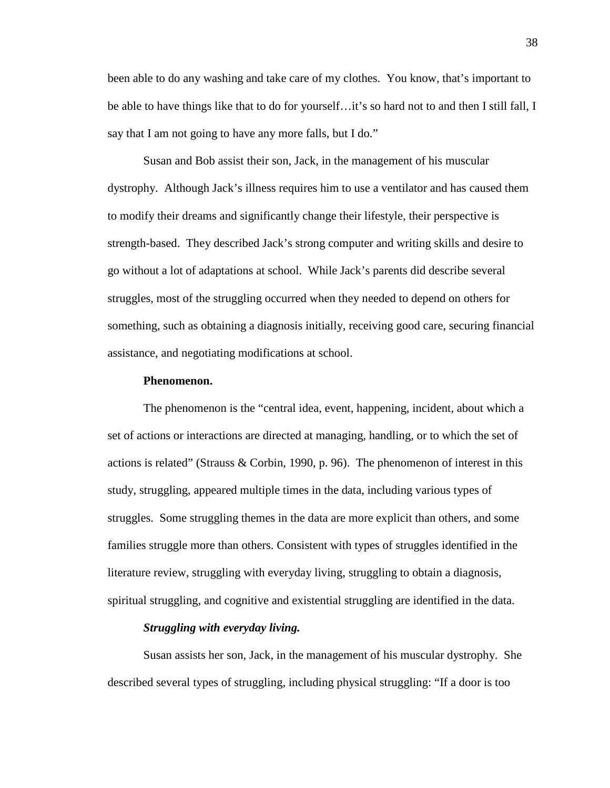been able to do any washing and take care of my clothes. You know, that's important to be able to have things like that to do for yourself…it's so hard not to and then I still fall, I say that I am not going to have any more falls, but I do."

Susan and Bob assist their son, Jack, in the management of his muscular dystrophy. Although Jack's illness requires him to use a ventilator and has caused them to modify their dreams and significantly change their lifestyle, their perspective is strength-based. They described Jack's strong computer and writing skills and desire to go without a lot of adaptations at school. While Jack's parents did describe several struggles, most of the struggling occurred when they needed to depend on others for something, such as obtaining a diagnosis initially, receiving good care, securing financial assistance, and negotiating modifications at school.

#### **Phenomenon.**

 The phenomenon is the "central idea, event, happening, incident, about which a set of actions or interactions are directed at managing, handling, or to which the set of actions is related" (Strauss & Corbin, 1990, p. 96). The phenomenon of interest in this study, struggling, appeared multiple times in the data, including various types of struggles. Some struggling themes in the data are more explicit than others, and some families struggle more than others. Consistent with types of struggles identified in the literature review, struggling with everyday living, struggling to obtain a diagnosis, spiritual struggling, and cognitive and existential struggling are identified in the data.

# *Struggling with everyday living.*

Susan assists her son, Jack, in the management of his muscular dystrophy. She described several types of struggling, including physical struggling: "If a door is too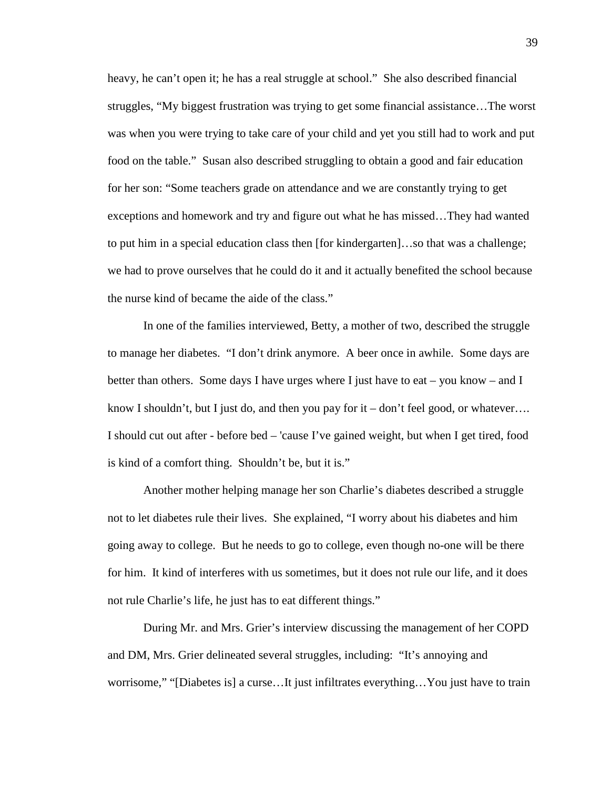heavy, he can't open it; he has a real struggle at school." She also described financial struggles, "My biggest frustration was trying to get some financial assistance…The worst was when you were trying to take care of your child and yet you still had to work and put food on the table." Susan also described struggling to obtain a good and fair education for her son: "Some teachers grade on attendance and we are constantly trying to get exceptions and homework and try and figure out what he has missed…They had wanted to put him in a special education class then [for kindergarten]…so that was a challenge; we had to prove ourselves that he could do it and it actually benefited the school because the nurse kind of became the aide of the class."

In one of the families interviewed, Betty, a mother of two, described the struggle to manage her diabetes. "I don't drink anymore. A beer once in awhile. Some days are better than others. Some days I have urges where I just have to eat – you know – and I know I shouldn't, but I just do, and then you pay for it – don't feel good, or whatever.... I should cut out after - before bed – 'cause I've gained weight, but when I get tired, food is kind of a comfort thing. Shouldn't be, but it is."

Another mother helping manage her son Charlie's diabetes described a struggle not to let diabetes rule their lives. She explained, "I worry about his diabetes and him going away to college. But he needs to go to college, even though no-one will be there for him. It kind of interferes with us sometimes, but it does not rule our life, and it does not rule Charlie's life, he just has to eat different things."

During Mr. and Mrs. Grier's interview discussing the management of her COPD and DM, Mrs. Grier delineated several struggles, including: "It's annoying and worrisome," "[Diabetes is] a curse…It just infiltrates everything…You just have to train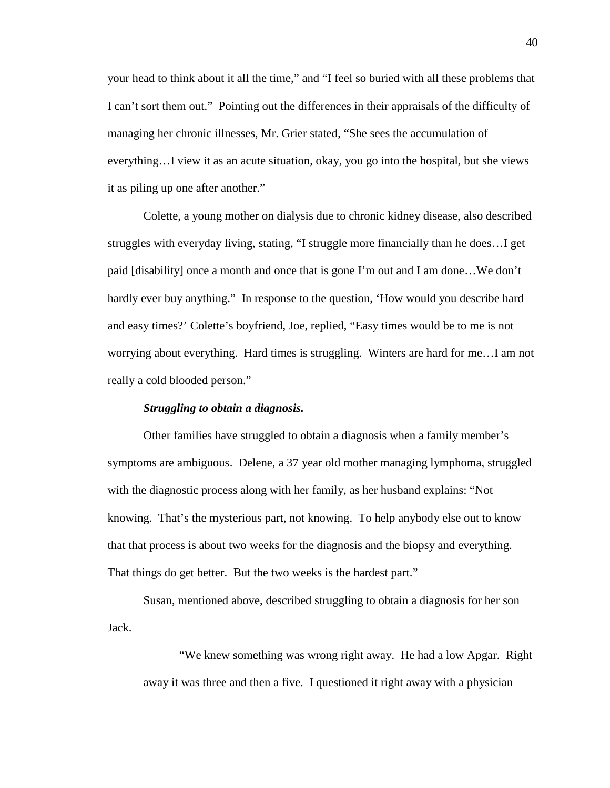your head to think about it all the time," and "I feel so buried with all these problems that I can't sort them out." Pointing out the differences in their appraisals of the difficulty of managing her chronic illnesses, Mr. Grier stated, "She sees the accumulation of everything…I view it as an acute situation, okay, you go into the hospital, but she views it as piling up one after another."

Colette, a young mother on dialysis due to chronic kidney disease, also described struggles with everyday living, stating, "I struggle more financially than he does…I get paid [disability] once a month and once that is gone I'm out and I am done…We don't hardly ever buy anything." In response to the question, 'How would you describe hard and easy times?' Colette's boyfriend, Joe, replied, "Easy times would be to me is not worrying about everything. Hard times is struggling. Winters are hard for me…I am not really a cold blooded person."

# *Struggling to obtain a diagnosis.*

Other families have struggled to obtain a diagnosis when a family member's symptoms are ambiguous. Delene, a 37 year old mother managing lymphoma, struggled with the diagnostic process along with her family, as her husband explains: "Not knowing. That's the mysterious part, not knowing. To help anybody else out to know that that process is about two weeks for the diagnosis and the biopsy and everything. That things do get better. But the two weeks is the hardest part."

Susan, mentioned above, described struggling to obtain a diagnosis for her son Jack.

"We knew something was wrong right away. He had a low Apgar. Right away it was three and then a five. I questioned it right away with a physician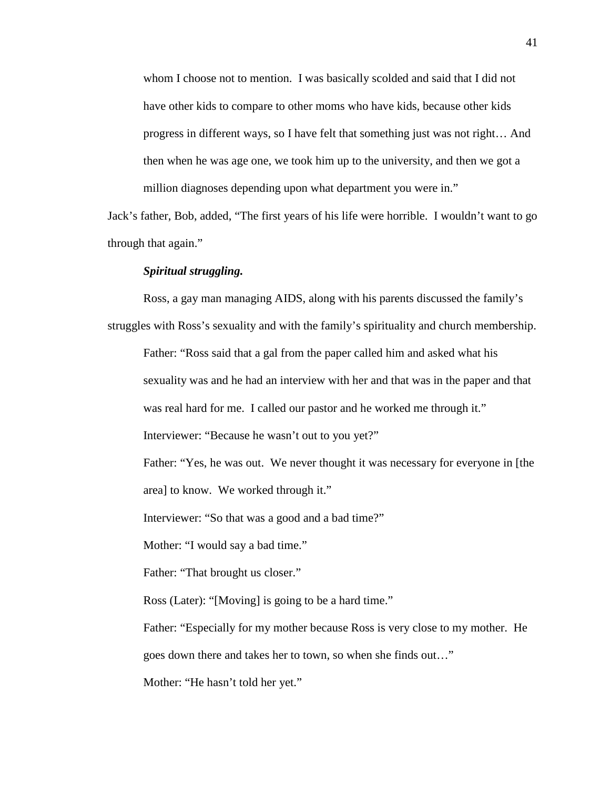whom I choose not to mention. I was basically scolded and said that I did not have other kids to compare to other moms who have kids, because other kids progress in different ways, so I have felt that something just was not right… And then when he was age one, we took him up to the university, and then we got a million diagnoses depending upon what department you were in."

Jack's father, Bob, added, "The first years of his life were horrible. I wouldn't want to go through that again."

#### *Spiritual struggling.*

Ross, a gay man managing AIDS, along with his parents discussed the family's struggles with Ross's sexuality and with the family's spirituality and church membership. Father: "Ross said that a gal from the paper called him and asked what his sexuality was and he had an interview with her and that was in the paper and that

was real hard for me. I called our pastor and he worked me through it."

Interviewer: "Because he wasn't out to you yet?"

Father: "Yes, he was out. We never thought it was necessary for everyone in [the area] to know. We worked through it."

Interviewer: "So that was a good and a bad time?"

Mother: "I would say a bad time."

Father: "That brought us closer."

Ross (Later): "[Moving] is going to be a hard time."

Father: "Especially for my mother because Ross is very close to my mother. He

goes down there and takes her to town, so when she finds out…"

Mother: "He hasn't told her yet."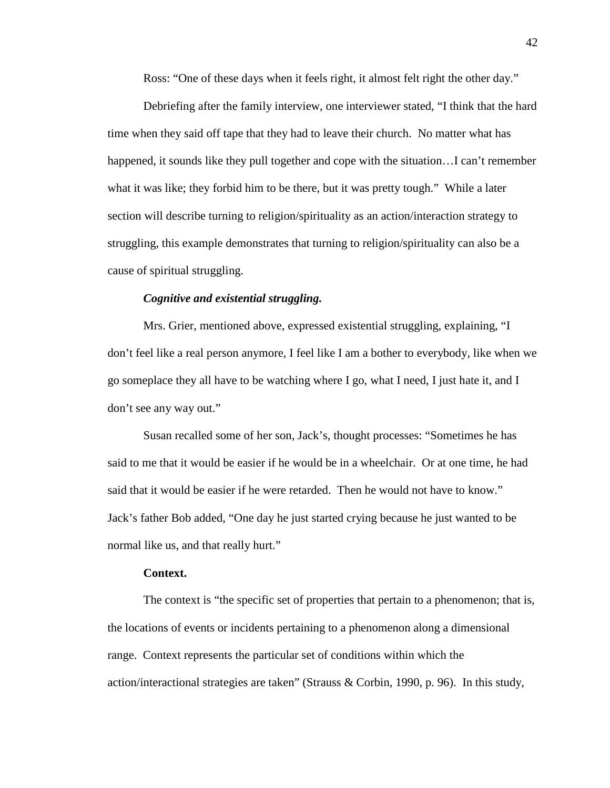Ross: "One of these days when it feels right, it almost felt right the other day."

Debriefing after the family interview, one interviewer stated, "I think that the hard time when they said off tape that they had to leave their church. No matter what has happened, it sounds like they pull together and cope with the situation…I can't remember what it was like; they forbid him to be there, but it was pretty tough." While a later section will describe turning to religion/spirituality as an action/interaction strategy to struggling, this example demonstrates that turning to religion/spirituality can also be a cause of spiritual struggling.

# *Cognitive and existential struggling.*

Mrs. Grier, mentioned above, expressed existential struggling, explaining, "I don't feel like a real person anymore, I feel like I am a bother to everybody, like when we go someplace they all have to be watching where I go, what I need, I just hate it, and I don't see any way out."

Susan recalled some of her son, Jack's, thought processes: "Sometimes he has said to me that it would be easier if he would be in a wheelchair. Or at one time, he had said that it would be easier if he were retarded. Then he would not have to know." Jack's father Bob added, "One day he just started crying because he just wanted to be normal like us, and that really hurt."

#### **Context.**

The context is "the specific set of properties that pertain to a phenomenon; that is, the locations of events or incidents pertaining to a phenomenon along a dimensional range. Context represents the particular set of conditions within which the action/interactional strategies are taken" (Strauss & Corbin, 1990, p. 96). In this study,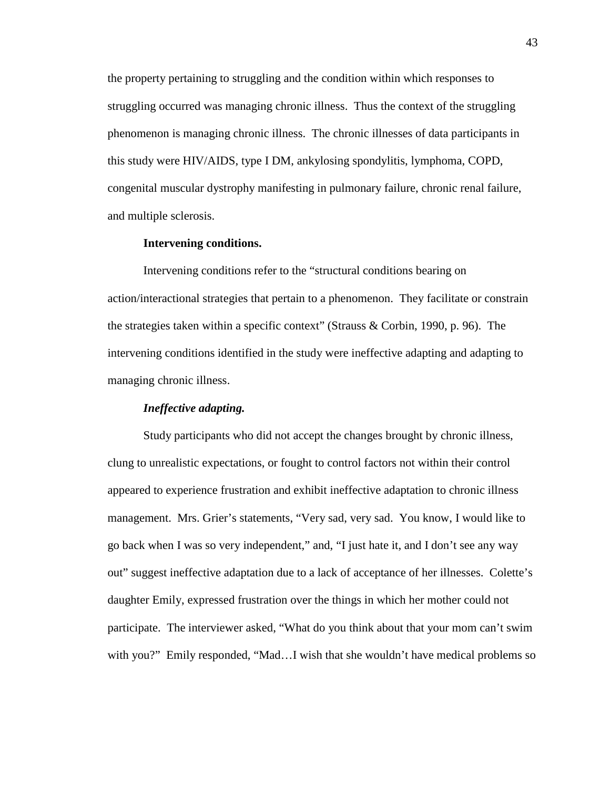the property pertaining to struggling and the condition within which responses to struggling occurred was managing chronic illness. Thus the context of the struggling phenomenon is managing chronic illness. The chronic illnesses of data participants in this study were HIV/AIDS, type I DM, ankylosing spondylitis, lymphoma, COPD, congenital muscular dystrophy manifesting in pulmonary failure, chronic renal failure, and multiple sclerosis.

# **Intervening conditions.**

Intervening conditions refer to the "structural conditions bearing on action/interactional strategies that pertain to a phenomenon. They facilitate or constrain the strategies taken within a specific context" (Strauss & Corbin, 1990, p. 96). The intervening conditions identified in the study were ineffective adapting and adapting to managing chronic illness.

# *Ineffective adapting.*

Study participants who did not accept the changes brought by chronic illness, clung to unrealistic expectations, or fought to control factors not within their control appeared to experience frustration and exhibit ineffective adaptation to chronic illness management. Mrs. Grier's statements, "Very sad, very sad. You know, I would like to go back when I was so very independent," and, "I just hate it, and I don't see any way out" suggest ineffective adaptation due to a lack of acceptance of her illnesses. Colette's daughter Emily, expressed frustration over the things in which her mother could not participate. The interviewer asked, "What do you think about that your mom can't swim with you?" Emily responded, "Mad…I wish that she wouldn't have medical problems so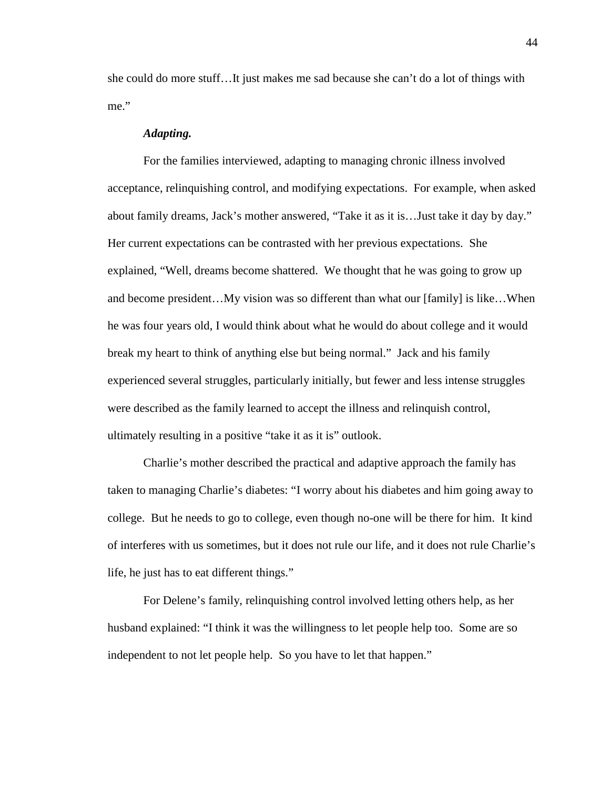she could do more stuff…It just makes me sad because she can't do a lot of things with me."

#### *Adapting.*

For the families interviewed, adapting to managing chronic illness involved acceptance, relinquishing control, and modifying expectations. For example, when asked about family dreams, Jack's mother answered, "Take it as it is…Just take it day by day." Her current expectations can be contrasted with her previous expectations. She explained, "Well, dreams become shattered. We thought that he was going to grow up and become president…My vision was so different than what our [family] is like…When he was four years old, I would think about what he would do about college and it would break my heart to think of anything else but being normal." Jack and his family experienced several struggles, particularly initially, but fewer and less intense struggles were described as the family learned to accept the illness and relinquish control, ultimately resulting in a positive "take it as it is" outlook.

Charlie's mother described the practical and adaptive approach the family has taken to managing Charlie's diabetes: "I worry about his diabetes and him going away to college. But he needs to go to college, even though no-one will be there for him. It kind of interferes with us sometimes, but it does not rule our life, and it does not rule Charlie's life, he just has to eat different things."

For Delene's family, relinquishing control involved letting others help, as her husband explained: "I think it was the willingness to let people help too. Some are so independent to not let people help. So you have to let that happen."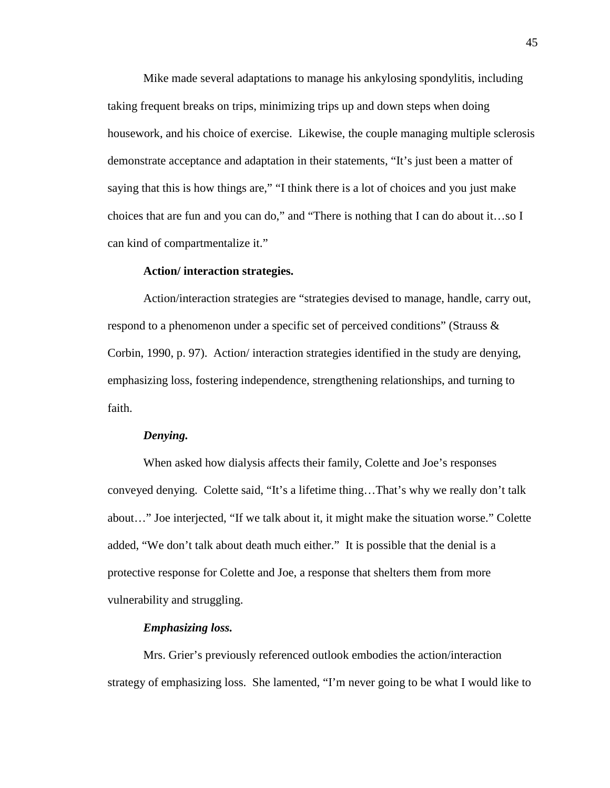Mike made several adaptations to manage his ankylosing spondylitis, including taking frequent breaks on trips, minimizing trips up and down steps when doing housework, and his choice of exercise. Likewise, the couple managing multiple sclerosis demonstrate acceptance and adaptation in their statements, "It's just been a matter of saying that this is how things are," "I think there is a lot of choices and you just make choices that are fun and you can do," and "There is nothing that I can do about it…so I can kind of compartmentalize it."

#### **Action/ interaction strategies.**

 Action/interaction strategies are "strategies devised to manage, handle, carry out, respond to a phenomenon under a specific set of perceived conditions" (Strauss & Corbin, 1990, p. 97). Action/ interaction strategies identified in the study are denying, emphasizing loss, fostering independence, strengthening relationships, and turning to faith.

#### *Denying.*

When asked how dialysis affects their family, Colette and Joe's responses conveyed denying. Colette said, "It's a lifetime thing…That's why we really don't talk about…" Joe interjected, "If we talk about it, it might make the situation worse." Colette added, "We don't talk about death much either." It is possible that the denial is a protective response for Colette and Joe, a response that shelters them from more vulnerability and struggling.

### *Emphasizing loss.*

Mrs. Grier's previously referenced outlook embodies the action/interaction strategy of emphasizing loss. She lamented, "I'm never going to be what I would like to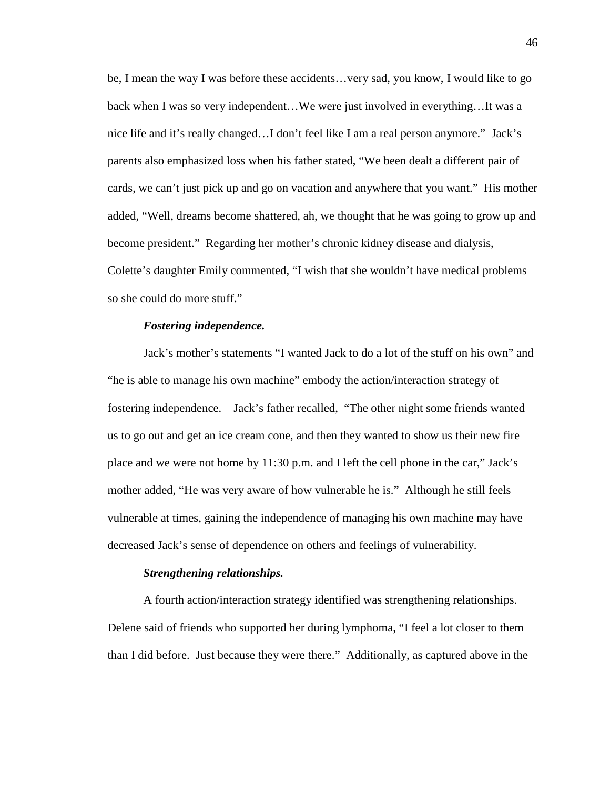be, I mean the way I was before these accidents…very sad, you know, I would like to go back when I was so very independent…We were just involved in everything…It was a nice life and it's really changed…I don't feel like I am a real person anymore." Jack's parents also emphasized loss when his father stated, "We been dealt a different pair of cards, we can't just pick up and go on vacation and anywhere that you want." His mother added, "Well, dreams become shattered, ah, we thought that he was going to grow up and become president." Regarding her mother's chronic kidney disease and dialysis, Colette's daughter Emily commented, "I wish that she wouldn't have medical problems so she could do more stuff."

# *Fostering independence.*

Jack's mother's statements "I wanted Jack to do a lot of the stuff on his own" and "he is able to manage his own machine" embody the action/interaction strategy of fostering independence. Jack's father recalled, "The other night some friends wanted us to go out and get an ice cream cone, and then they wanted to show us their new fire place and we were not home by 11:30 p.m. and I left the cell phone in the car," Jack's mother added, "He was very aware of how vulnerable he is." Although he still feels vulnerable at times, gaining the independence of managing his own machine may have decreased Jack's sense of dependence on others and feelings of vulnerability.

#### *Strengthening relationships.*

A fourth action/interaction strategy identified was strengthening relationships. Delene said of friends who supported her during lymphoma, "I feel a lot closer to them than I did before. Just because they were there." Additionally, as captured above in the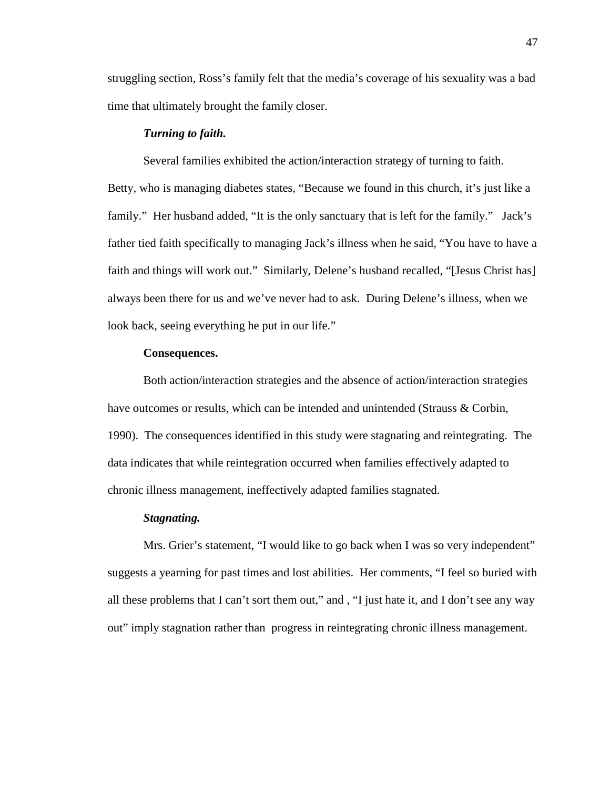struggling section, Ross's family felt that the media's coverage of his sexuality was a bad time that ultimately brought the family closer.

#### *Turning to faith.*

Several families exhibited the action/interaction strategy of turning to faith. Betty, who is managing diabetes states, "Because we found in this church, it's just like a family." Her husband added, "It is the only sanctuary that is left for the family." Jack's father tied faith specifically to managing Jack's illness when he said, "You have to have a faith and things will work out." Similarly, Delene's husband recalled, "[Jesus Christ has] always been there for us and we've never had to ask. During Delene's illness, when we look back, seeing everything he put in our life."

# **Consequences.**

 Both action/interaction strategies and the absence of action/interaction strategies have outcomes or results, which can be intended and unintended (Strauss & Corbin, 1990). The consequences identified in this study were stagnating and reintegrating. The data indicates that while reintegration occurred when families effectively adapted to chronic illness management, ineffectively adapted families stagnated.

#### *Stagnating.*

Mrs. Grier's statement, "I would like to go back when I was so very independent" suggests a yearning for past times and lost abilities. Her comments, "I feel so buried with all these problems that I can't sort them out," and , "I just hate it, and I don't see any way out" imply stagnation rather than progress in reintegrating chronic illness management.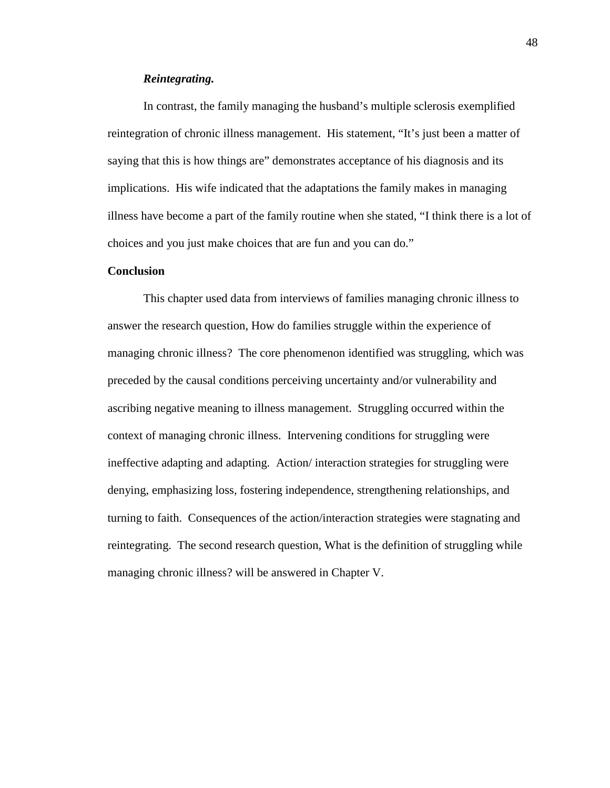# *Reintegrating.*

In contrast, the family managing the husband's multiple sclerosis exemplified reintegration of chronic illness management. His statement, "It's just been a matter of saying that this is how things are" demonstrates acceptance of his diagnosis and its implications. His wife indicated that the adaptations the family makes in managing illness have become a part of the family routine when she stated, "I think there is a lot of choices and you just make choices that are fun and you can do."

### **Conclusion**

This chapter used data from interviews of families managing chronic illness to answer the research question, How do families struggle within the experience of managing chronic illness? The core phenomenon identified was struggling, which was preceded by the causal conditions perceiving uncertainty and/or vulnerability and ascribing negative meaning to illness management. Struggling occurred within the context of managing chronic illness. Intervening conditions for struggling were ineffective adapting and adapting. Action/ interaction strategies for struggling were denying, emphasizing loss, fostering independence, strengthening relationships, and turning to faith. Consequences of the action/interaction strategies were stagnating and reintegrating. The second research question, What is the definition of struggling while managing chronic illness? will be answered in Chapter V.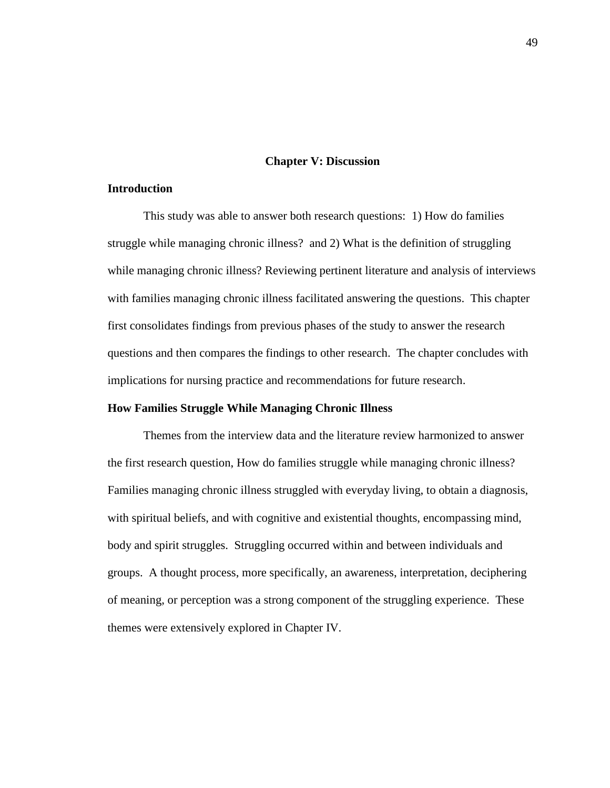### **Chapter V: Discussion**

# **Introduction**

This study was able to answer both research questions: 1) How do families struggle while managing chronic illness? and 2) What is the definition of struggling while managing chronic illness? Reviewing pertinent literature and analysis of interviews with families managing chronic illness facilitated answering the questions. This chapter first consolidates findings from previous phases of the study to answer the research questions and then compares the findings to other research. The chapter concludes with implications for nursing practice and recommendations for future research.

# **How Families Struggle While Managing Chronic Illness**

Themes from the interview data and the literature review harmonized to answer the first research question, How do families struggle while managing chronic illness? Families managing chronic illness struggled with everyday living, to obtain a diagnosis, with spiritual beliefs, and with cognitive and existential thoughts, encompassing mind, body and spirit struggles. Struggling occurred within and between individuals and groups. A thought process, more specifically, an awareness, interpretation, deciphering of meaning, or perception was a strong component of the struggling experience. These themes were extensively explored in Chapter IV.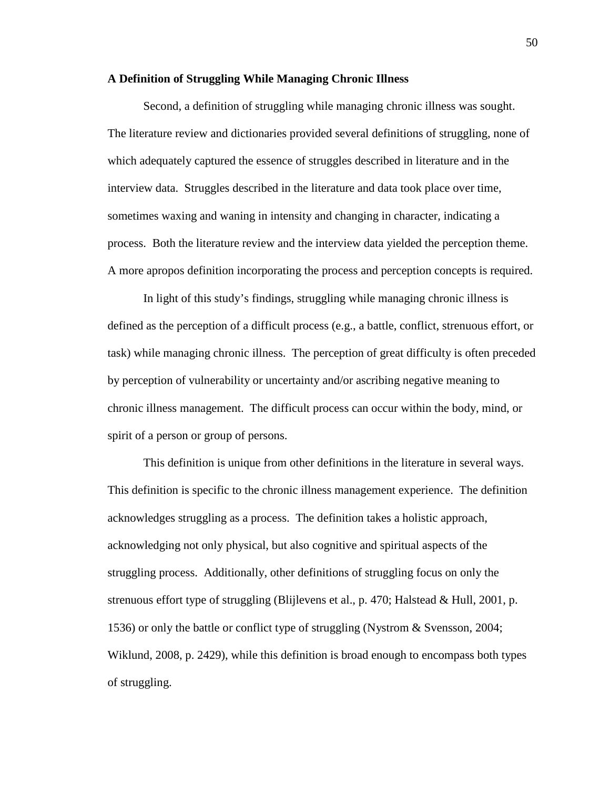# **A Definition of Struggling While Managing Chronic Illness**

Second, a definition of struggling while managing chronic illness was sought. The literature review and dictionaries provided several definitions of struggling, none of which adequately captured the essence of struggles described in literature and in the interview data. Struggles described in the literature and data took place over time, sometimes waxing and waning in intensity and changing in character, indicating a process. Both the literature review and the interview data yielded the perception theme. A more apropos definition incorporating the process and perception concepts is required.

In light of this study's findings, struggling while managing chronic illness is defined as the perception of a difficult process (e.g., a battle, conflict, strenuous effort, or task) while managing chronic illness. The perception of great difficulty is often preceded by perception of vulnerability or uncertainty and/or ascribing negative meaning to chronic illness management. The difficult process can occur within the body, mind, or spirit of a person or group of persons.

This definition is unique from other definitions in the literature in several ways. This definition is specific to the chronic illness management experience. The definition acknowledges struggling as a process. The definition takes a holistic approach, acknowledging not only physical, but also cognitive and spiritual aspects of the struggling process. Additionally, other definitions of struggling focus on only the strenuous effort type of struggling (Blijlevens et al., p. 470; Halstead & Hull, 2001, p. 1536) or only the battle or conflict type of struggling (Nystrom & Svensson, 2004; Wiklund, 2008, p. 2429), while this definition is broad enough to encompass both types of struggling.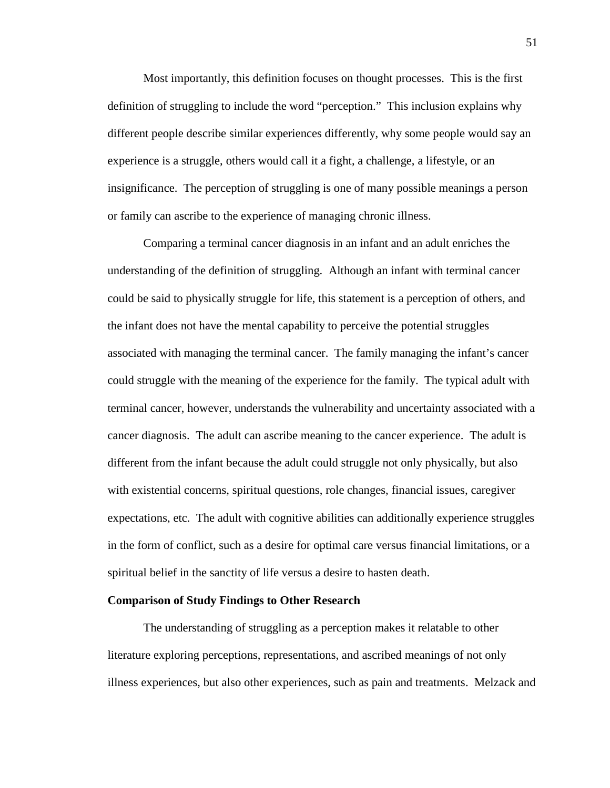Most importantly, this definition focuses on thought processes. This is the first definition of struggling to include the word "perception." This inclusion explains why different people describe similar experiences differently, why some people would say an experience is a struggle, others would call it a fight, a challenge, a lifestyle, or an insignificance. The perception of struggling is one of many possible meanings a person or family can ascribe to the experience of managing chronic illness.

Comparing a terminal cancer diagnosis in an infant and an adult enriches the understanding of the definition of struggling. Although an infant with terminal cancer could be said to physically struggle for life, this statement is a perception of others, and the infant does not have the mental capability to perceive the potential struggles associated with managing the terminal cancer. The family managing the infant's cancer could struggle with the meaning of the experience for the family. The typical adult with terminal cancer, however, understands the vulnerability and uncertainty associated with a cancer diagnosis. The adult can ascribe meaning to the cancer experience. The adult is different from the infant because the adult could struggle not only physically, but also with existential concerns, spiritual questions, role changes, financial issues, caregiver expectations, etc. The adult with cognitive abilities can additionally experience struggles in the form of conflict, such as a desire for optimal care versus financial limitations, or a spiritual belief in the sanctity of life versus a desire to hasten death.

# **Comparison of Study Findings to Other Research**

The understanding of struggling as a perception makes it relatable to other literature exploring perceptions, representations, and ascribed meanings of not only illness experiences, but also other experiences, such as pain and treatments. Melzack and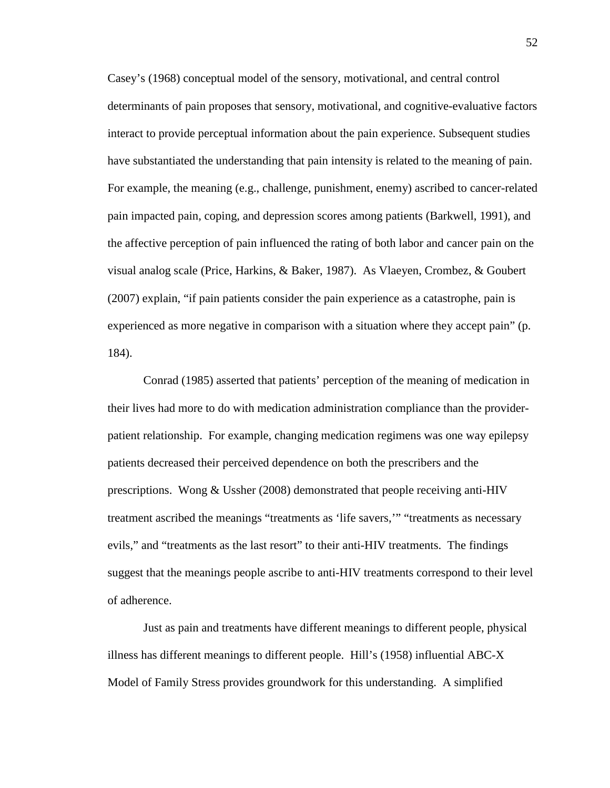Casey's (1968) conceptual model of the sensory, motivational, and central control determinants of pain proposes that sensory, motivational, and cognitive-evaluative factors interact to provide perceptual information about the pain experience. Subsequent studies have substantiated the understanding that pain intensity is related to the meaning of pain. For example, the meaning (e.g., challenge, punishment, enemy) ascribed to cancer-related pain impacted pain, coping, and depression scores among patients (Barkwell, 1991), and the affective perception of pain influenced the rating of both labor and cancer pain on the visual analog scale (Price, Harkins, & Baker, 1987). As Vlaeyen, Crombez, & Goubert (2007) explain, "if pain patients consider the pain experience as a catastrophe, pain is experienced as more negative in comparison with a situation where they accept pain" (p. 184).

Conrad (1985) asserted that patients' perception of the meaning of medication in their lives had more to do with medication administration compliance than the providerpatient relationship. For example, changing medication regimens was one way epilepsy patients decreased their perceived dependence on both the prescribers and the prescriptions. Wong & Ussher (2008) demonstrated that people receiving anti-HIV treatment ascribed the meanings "treatments as 'life savers,'" "treatments as necessary evils," and "treatments as the last resort" to their anti-HIV treatments. The findings suggest that the meanings people ascribe to anti-HIV treatments correspond to their level of adherence.

Just as pain and treatments have different meanings to different people, physical illness has different meanings to different people. Hill's (1958) influential ABC-X Model of Family Stress provides groundwork for this understanding. A simplified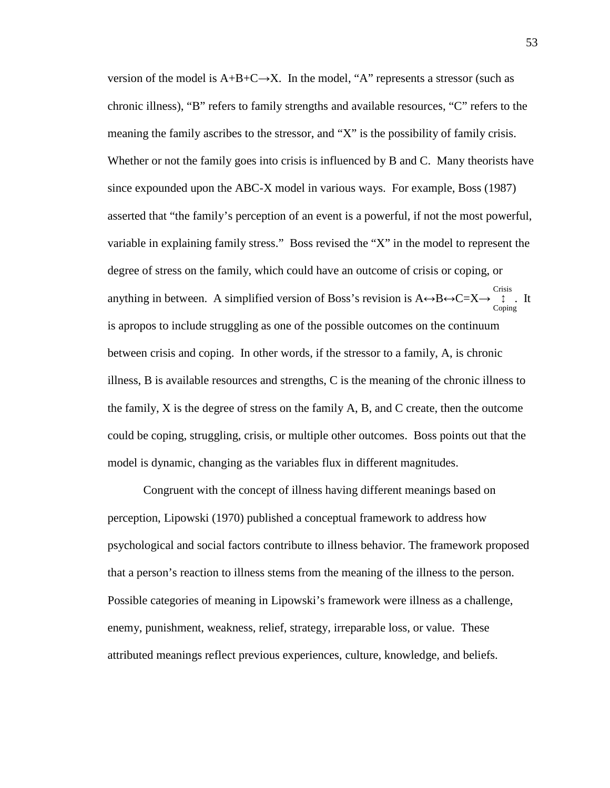version of the model is  $A+B+C\rightarrow X$ . In the model, "A" represents a stressor (such as chronic illness), "B" refers to family strengths and available resources, "C" refers to the meaning the family ascribes to the stressor, and "X" is the possibility of family crisis. Whether or not the family goes into crisis is influenced by B and C. Many theorists have since expounded upon the ABC-X model in various ways. For example, Boss (1987) asserted that "the family's perception of an event is a powerful, if not the most powerful, variable in explaining family stress." Boss revised the "X" in the model to represent the degree of stress on the family, which could have an outcome of crisis or coping, or anything in between. A simplified version of Boss's revision is  $A \leftrightarrow B \leftrightarrow C=X \rightarrow \begin{bmatrix} \text{crisis} \end{bmatrix}$ . It is apropos to include struggling as one of the possible outcomes on the continuum between crisis and coping. In other words, if the stressor to a family, A, is chronic illness, B is available resources and strengths, C is the meaning of the chronic illness to the family, X is the degree of stress on the family A, B, and C create, then the outcome could be coping, struggling, crisis, or multiple other outcomes. Boss points out that the model is dynamic, changing as the variables flux in different magnitudes. ↕ Coping

Congruent with the concept of illness having different meanings based on perception, Lipowski (1970) published a conceptual framework to address how psychological and social factors contribute to illness behavior. The framework proposed that a person's reaction to illness stems from the meaning of the illness to the person. Possible categories of meaning in Lipowski's framework were illness as a challenge, enemy, punishment, weakness, relief, strategy, irreparable loss, or value. These attributed meanings reflect previous experiences, culture, knowledge, and beliefs.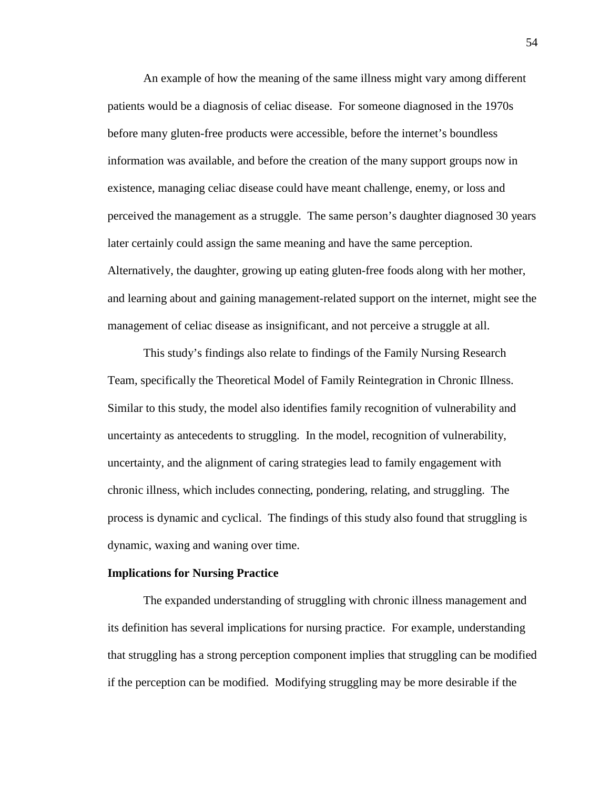An example of how the meaning of the same illness might vary among different patients would be a diagnosis of celiac disease. For someone diagnosed in the 1970s before many gluten-free products were accessible, before the internet's boundless information was available, and before the creation of the many support groups now in existence, managing celiac disease could have meant challenge, enemy, or loss and perceived the management as a struggle. The same person's daughter diagnosed 30 years later certainly could assign the same meaning and have the same perception. Alternatively, the daughter, growing up eating gluten-free foods along with her mother, and learning about and gaining management-related support on the internet, might see the management of celiac disease as insignificant, and not perceive a struggle at all.

This study's findings also relate to findings of the Family Nursing Research Team, specifically the Theoretical Model of Family Reintegration in Chronic Illness. Similar to this study, the model also identifies family recognition of vulnerability and uncertainty as antecedents to struggling. In the model, recognition of vulnerability, uncertainty, and the alignment of caring strategies lead to family engagement with chronic illness, which includes connecting, pondering, relating, and struggling. The process is dynamic and cyclical. The findings of this study also found that struggling is dynamic, waxing and waning over time.

#### **Implications for Nursing Practice**

 The expanded understanding of struggling with chronic illness management and its definition has several implications for nursing practice. For example, understanding that struggling has a strong perception component implies that struggling can be modified if the perception can be modified. Modifying struggling may be more desirable if the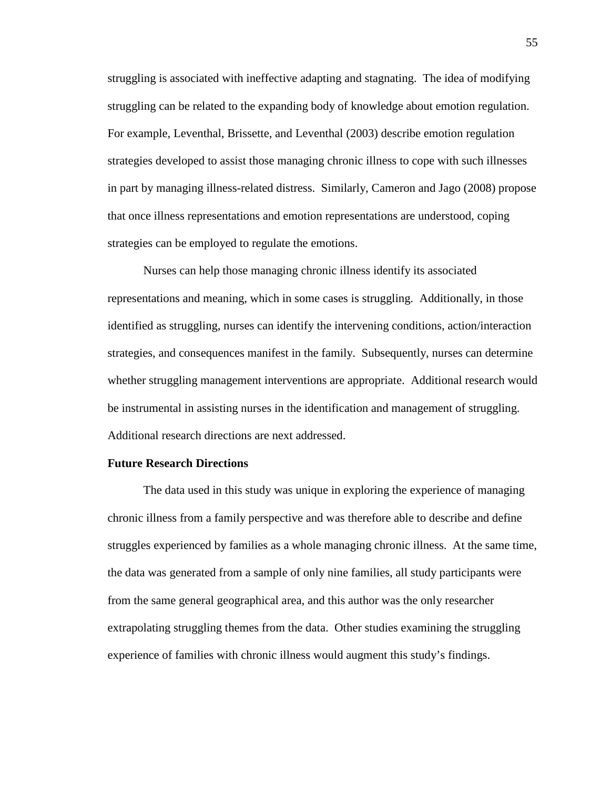struggling is associated with ineffective adapting and stagnating. The idea of modifying struggling can be related to the expanding body of knowledge about emotion regulation. For example, Leventhal, Brissette, and Leventhal (2003) describe emotion regulation strategies developed to assist those managing chronic illness to cope with such illnesses in part by managing illness-related distress. Similarly, Cameron and Jago (2008) propose that once illness representations and emotion representations are understood, coping strategies can be employed to regulate the emotions.

Nurses can help those managing chronic illness identify its associated representations and meaning, which in some cases is struggling. Additionally, in those identified as struggling, nurses can identify the intervening conditions, action/interaction strategies, and consequences manifest in the family. Subsequently, nurses can determine whether struggling management interventions are appropriate. Additional research would be instrumental in assisting nurses in the identification and management of struggling. Additional research directions are next addressed.

#### **Future Research Directions**

 The data used in this study was unique in exploring the experience of managing chronic illness from a family perspective and was therefore able to describe and define struggles experienced by families as a whole managing chronic illness. At the same time, the data was generated from a sample of only nine families, all study participants were from the same general geographical area, and this author was the only researcher extrapolating struggling themes from the data. Other studies examining the struggling experience of families with chronic illness would augment this study's findings.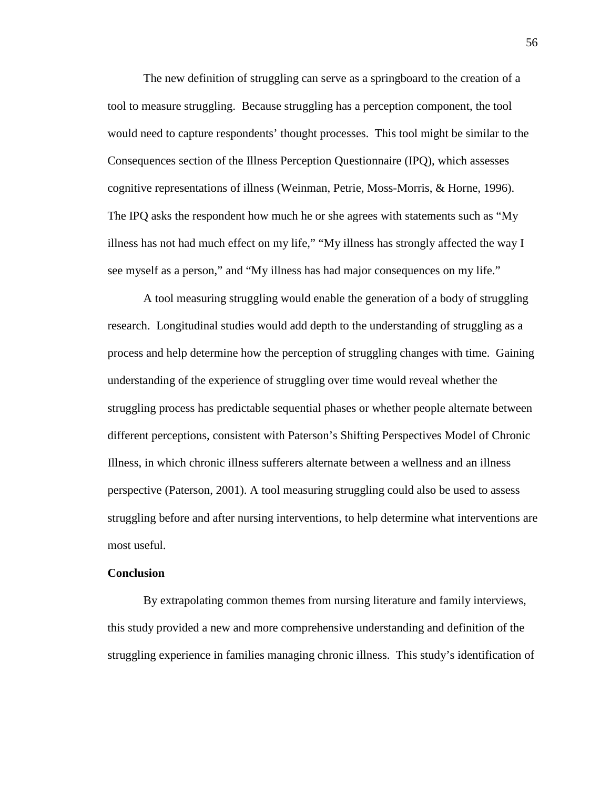The new definition of struggling can serve as a springboard to the creation of a tool to measure struggling. Because struggling has a perception component, the tool would need to capture respondents' thought processes. This tool might be similar to the Consequences section of the Illness Perception Questionnaire (IPQ), which assesses cognitive representations of illness (Weinman, Petrie, Moss-Morris, & Horne, 1996). The IPQ asks the respondent how much he or she agrees with statements such as "My illness has not had much effect on my life," "My illness has strongly affected the way I see myself as a person," and "My illness has had major consequences on my life."

 A tool measuring struggling would enable the generation of a body of struggling research. Longitudinal studies would add depth to the understanding of struggling as a process and help determine how the perception of struggling changes with time. Gaining understanding of the experience of struggling over time would reveal whether the struggling process has predictable sequential phases or whether people alternate between different perceptions, consistent with Paterson's Shifting Perspectives Model of Chronic Illness, in which chronic illness sufferers alternate between a wellness and an illness perspective (Paterson, 2001). A tool measuring struggling could also be used to assess struggling before and after nursing interventions, to help determine what interventions are most useful.

# **Conclusion**

By extrapolating common themes from nursing literature and family interviews, this study provided a new and more comprehensive understanding and definition of the struggling experience in families managing chronic illness. This study's identification of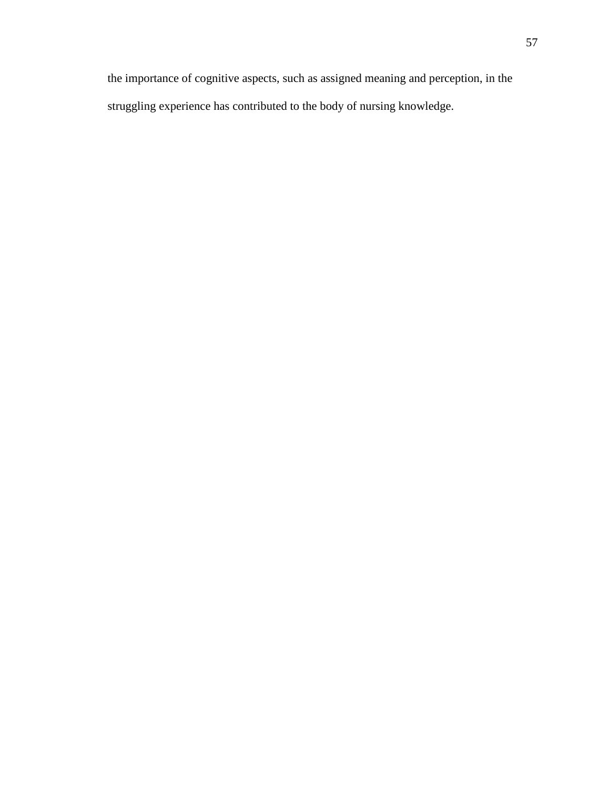the importance of cognitive aspects, such as assigned meaning and perception, in the struggling experience has contributed to the body of nursing knowledge.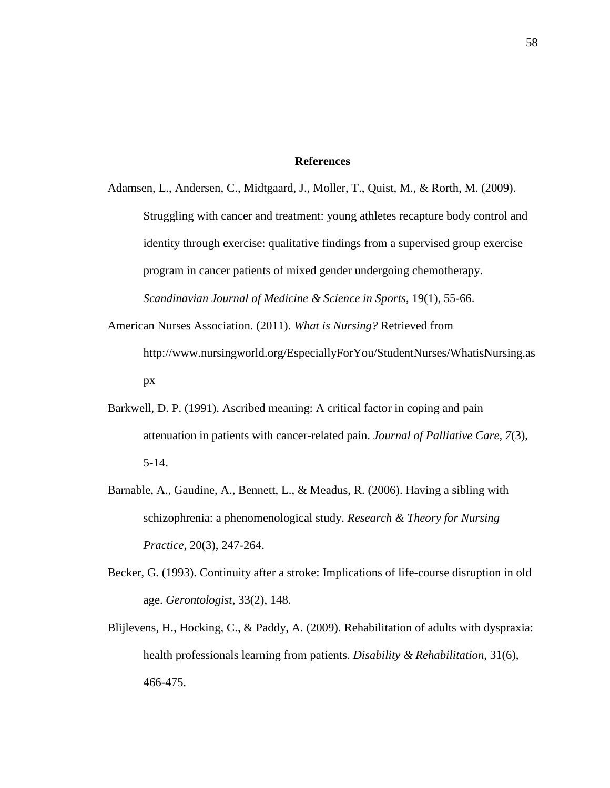# **References**

- Adamsen, L., Andersen, C., Midtgaard, J., Moller, T., Quist, M., & Rorth, M. (2009). Struggling with cancer and treatment: young athletes recapture body control and identity through exercise: qualitative findings from a supervised group exercise program in cancer patients of mixed gender undergoing chemotherapy. *Scandinavian Journal of Medicine & Science in Sports*, 19(1), 55-66.
- American Nurses Association. (2011). *What is Nursing?* Retrieved from http://www.nursingworld.org/EspeciallyForYou/StudentNurses/WhatisNursing.as px
- Barkwell, D. P. (1991). Ascribed meaning: A critical factor in coping and pain attenuation in patients with cancer-related pain. *Journal of Palliative Care, 7*(3), 5-14.
- Barnable, A., Gaudine, A., Bennett, L., & Meadus, R. (2006). Having a sibling with schizophrenia: a phenomenological study. *Research & Theory for Nursing Practice*, 20(3), 247-264.
- Becker, G. (1993). Continuity after a stroke: Implications of life-course disruption in old age. *Gerontologist*, 33(2), 148.
- Blijlevens, H., Hocking, C., & Paddy, A. (2009). Rehabilitation of adults with dyspraxia: health professionals learning from patients. *Disability & Rehabilitation*, 31(6), 466-475.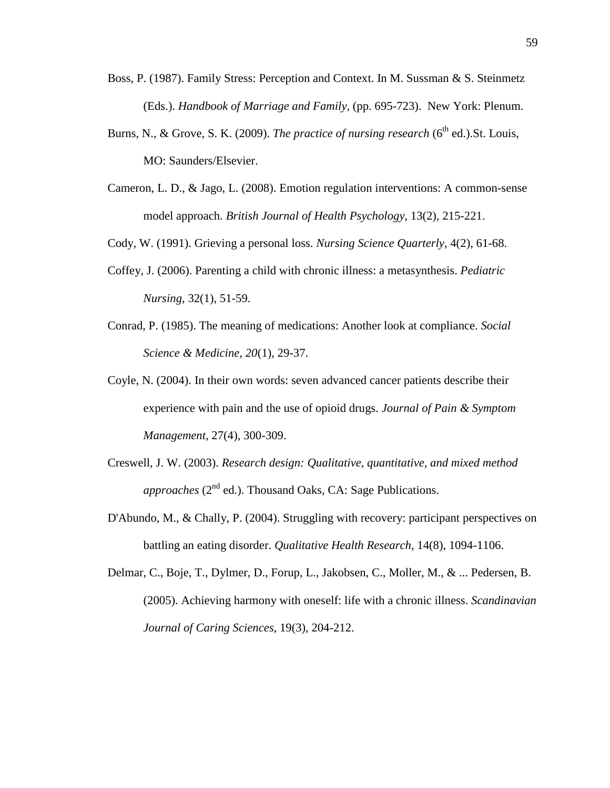- Boss, P. (1987). Family Stress: Perception and Context. In M. Sussman & S. Steinmetz (Eds.). *Handbook of Marriage and Family,* (pp. 695-723). New York: Plenum.
- Burns, N., & Grove, S. K. (2009). *The practice of nursing research* (6<sup>th</sup> ed.). St. Louis, MO: Saunders/Elsevier.
- Cameron, L. D., & Jago, L. (2008). Emotion regulation interventions: A common-sense model approach. *British Journal of Health Psychology*, 13(2), 215-221.
- Cody, W. (1991). Grieving a personal loss. *Nursing Science Quarterly*, 4(2), 61-68.
- Coffey, J. (2006). Parenting a child with chronic illness: a metasynthesis. *Pediatric Nursing*, 32(1), 51-59.
- Conrad, P. (1985). The meaning of medications: Another look at compliance. *Social Science & Medicine, 20*(1), 29-37.
- Coyle, N. (2004). In their own words: seven advanced cancer patients describe their experience with pain and the use of opioid drugs. *Journal of Pain & Symptom Management*, 27(4), 300-309.
- Creswell, J. W. (2003). *Research design: Qualitative, quantitative, and mixed method approaches* (2<sup>nd</sup> ed.). Thousand Oaks, CA: Sage Publications.
- D'Abundo, M., & Chally, P. (2004). Struggling with recovery: participant perspectives on battling an eating disorder. *Qualitative Health Research*, 14(8), 1094-1106.
- Delmar, C., Boje, T., Dylmer, D., Forup, L., Jakobsen, C., Moller, M., & ... Pedersen, B. (2005). Achieving harmony with oneself: life with a chronic illness. *Scandinavian Journal of Caring Sciences*, 19(3), 204-212.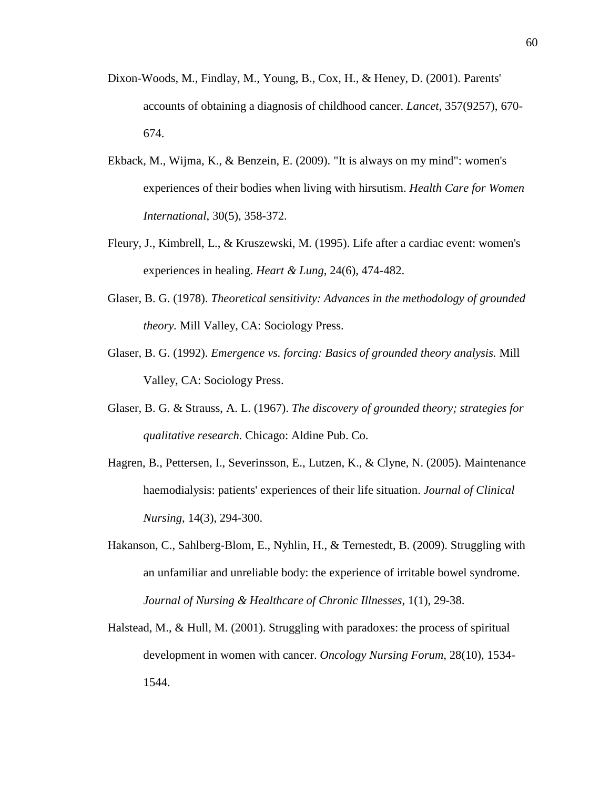- Dixon-Woods, M., Findlay, M., Young, B., Cox, H., & Heney, D. (2001). Parents' accounts of obtaining a diagnosis of childhood cancer. *Lancet*, 357(9257), 670- 674.
- Ekback, M., Wijma, K., & Benzein, E. (2009). "It is always on my mind": women's experiences of their bodies when living with hirsutism. *Health Care for Women International*, 30(5), 358-372.
- Fleury, J., Kimbrell, L., & Kruszewski, M. (1995). Life after a cardiac event: women's experiences in healing. *Heart & Lung*, 24(6), 474-482.
- Glaser, B. G. (1978). *Theoretical sensitivity: Advances in the methodology of grounded theory.* Mill Valley, CA: Sociology Press.
- Glaser, B. G. (1992). *Emergence vs. forcing: Basics of grounded theory analysis.* Mill Valley, CA: Sociology Press.
- Glaser, B. G. & Strauss, A. L. (1967). *The discovery of grounded theory; strategies for qualitative research.* Chicago: Aldine Pub. Co.
- Hagren, B., Pettersen, I., Severinsson, E., Lutzen, K., & Clyne, N. (2005). Maintenance haemodialysis: patients' experiences of their life situation. *Journal of Clinical Nursing*, 14(3), 294-300.
- Hakanson, C., Sahlberg-Blom, E., Nyhlin, H., & Ternestedt, B. (2009). Struggling with an unfamiliar and unreliable body: the experience of irritable bowel syndrome. *Journal of Nursing & Healthcare of Chronic Illnesses*, 1(1), 29-38.
- Halstead, M., & Hull, M. (2001). Struggling with paradoxes: the process of spiritual development in women with cancer. *Oncology Nursing Forum*, 28(10), 1534- 1544.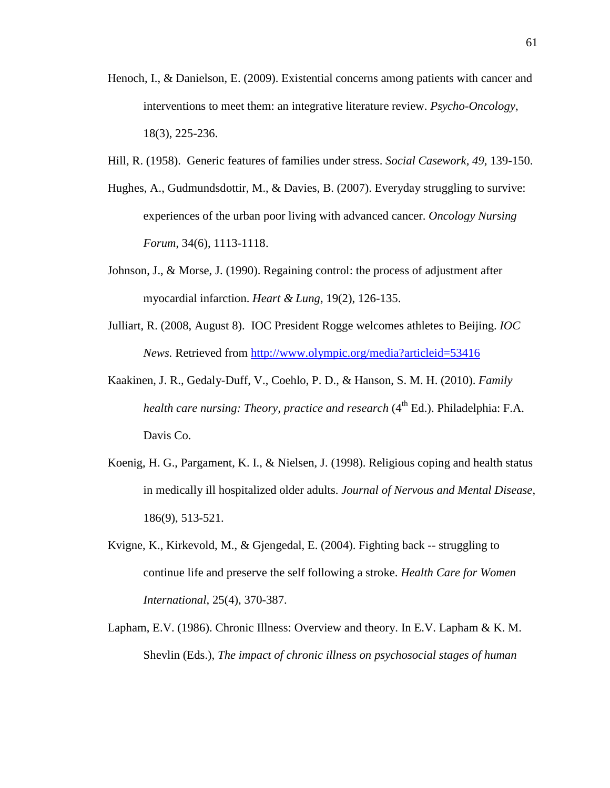- Henoch, I., & Danielson, E. (2009). Existential concerns among patients with cancer and interventions to meet them: an integrative literature review. *Psycho-Oncology*, 18(3), 225-236.
- Hill, R. (1958). Generic features of families under stress. *Social Casework, 49*, 139-150.
- Hughes, A., Gudmundsdottir, M., & Davies, B. (2007). Everyday struggling to survive: experiences of the urban poor living with advanced cancer. *Oncology Nursing Forum*, 34(6), 1113-1118.
- Johnson, J., & Morse, J. (1990). Regaining control: the process of adjustment after myocardial infarction. *Heart & Lung*, 19(2), 126-135.
- Julliart, R. (2008, August 8). IOC President Rogge welcomes athletes to Beijing. *IOC News.* Retrieved from http://www.olympic.org/media?articleid=53416
- Kaakinen, J. R., Gedaly-Duff, V., Coehlo, P. D., & Hanson, S. M. H. (2010). *Family health care nursing: Theory, practice and research* (4<sup>th</sup> Ed.). Philadelphia: F.A. Davis Co.
- Koenig, H. G., Pargament, K. I., & Nielsen, J. (1998). Religious coping and health status in medically ill hospitalized older adults. *Journal of Nervous and Mental Disease*, 186(9), 513-521.
- Kvigne, K., Kirkevold, M., & Gjengedal, E. (2004). Fighting back -- struggling to continue life and preserve the self following a stroke. *Health Care for Women International*, 25(4), 370-387.
- Lapham, E.V. (1986). Chronic Illness: Overview and theory. In E.V. Lapham & K. M. Shevlin (Eds.), *The impact of chronic illness on psychosocial stages of human*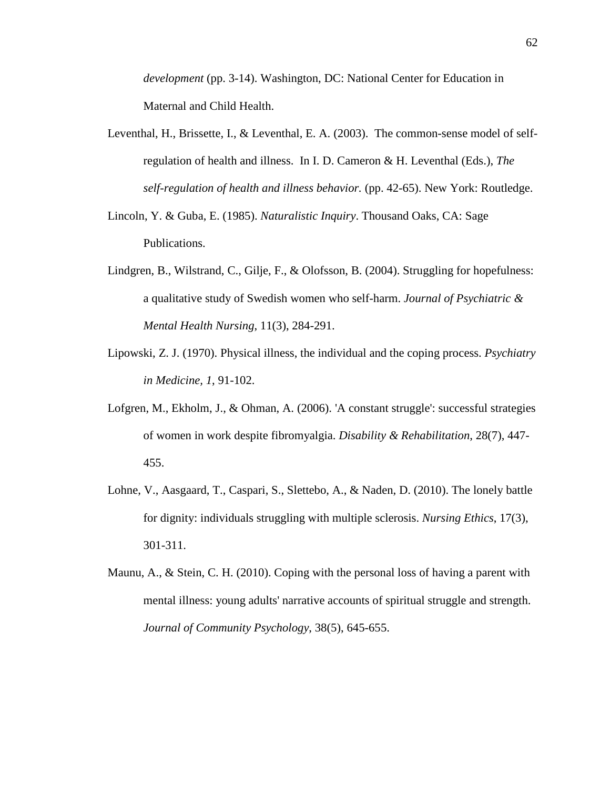*development* (pp. 3-14). Washington, DC: National Center for Education in Maternal and Child Health.

- Leventhal, H., Brissette, I., & Leventhal, E. A. (2003). The common-sense model of selfregulation of health and illness. In I. D. Cameron & H. Leventhal (Eds.), *The self-regulation of health and illness behavior.* (pp. 42-65). New York: Routledge.
- Lincoln, Y. & Guba, E. (1985). *Naturalistic Inquiry*. Thousand Oaks, CA: Sage Publications.
- Lindgren, B., Wilstrand, C., Gilje, F., & Olofsson, B. (2004). Struggling for hopefulness: a qualitative study of Swedish women who self-harm. *Journal of Psychiatric & Mental Health Nursing*, 11(3), 284-291.
- Lipowski, Z. J. (1970). Physical illness, the individual and the coping process. *Psychiatry in Medicine, 1*, 91-102.
- Lofgren, M., Ekholm, J., & Ohman, A. (2006). 'A constant struggle': successful strategies of women in work despite fibromyalgia. *Disability & Rehabilitation*, 28(7), 447- 455.
- Lohne, V., Aasgaard, T., Caspari, S., Slettebo, A., & Naden, D. (2010). The lonely battle for dignity: individuals struggling with multiple sclerosis. *Nursing Ethics*, 17(3), 301-311.
- Maunu, A., & Stein, C. H. (2010). Coping with the personal loss of having a parent with mental illness: young adults' narrative accounts of spiritual struggle and strength. *Journal of Community Psychology*, 38(5), 645-655.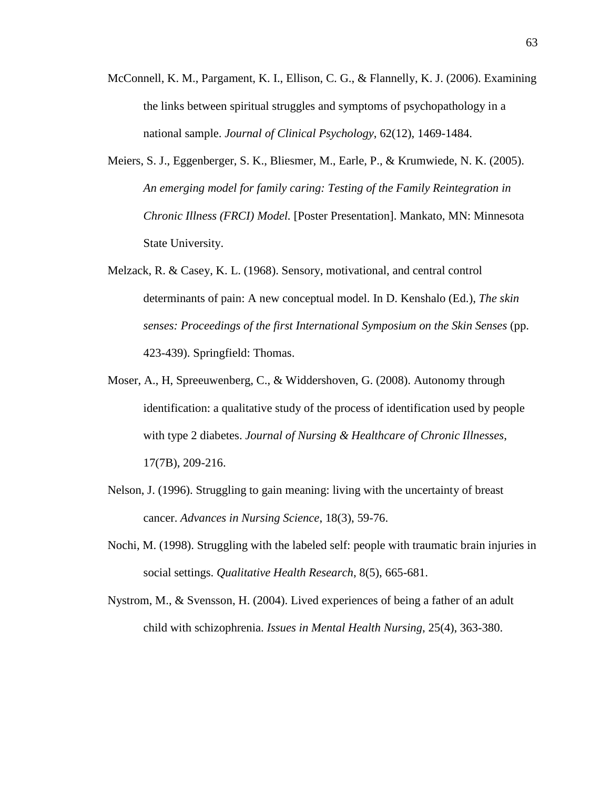- McConnell, K. M., Pargament, K. I., Ellison, C. G., & Flannelly, K. J. (2006). Examining the links between spiritual struggles and symptoms of psychopathology in a national sample. *Journal of Clinical Psychology*, 62(12), 1469-1484.
- Meiers, S. J., Eggenberger, S. K., Bliesmer, M., Earle, P., & Krumwiede, N. K. (2005). *An emerging model for family caring: Testing of the Family Reintegration in Chronic Illness (FRCI) Model.* [Poster Presentation]. Mankato, MN: Minnesota State University.
- Melzack, R. & Casey, K. L. (1968). Sensory, motivational, and central control determinants of pain: A new conceptual model. In D. Kenshalo (Ed.), *The skin senses: Proceedings of the first International Symposium on the Skin Senses* (pp. 423-439). Springfield: Thomas.
- Moser, A., H, Spreeuwenberg, C., & Widdershoven, G. (2008). Autonomy through identification: a qualitative study of the process of identification used by people with type 2 diabetes. *Journal of Nursing & Healthcare of Chronic Illnesses*, 17(7B), 209-216.
- Nelson, J. (1996). Struggling to gain meaning: living with the uncertainty of breast cancer. *Advances in Nursing Science*, 18(3), 59-76.
- Nochi, M. (1998). Struggling with the labeled self: people with traumatic brain injuries in social settings. *Qualitative Health Research*, 8(5), 665-681.
- Nystrom, M., & Svensson, H. (2004). Lived experiences of being a father of an adult child with schizophrenia. *Issues in Mental Health Nursing*, 25(4), 363-380.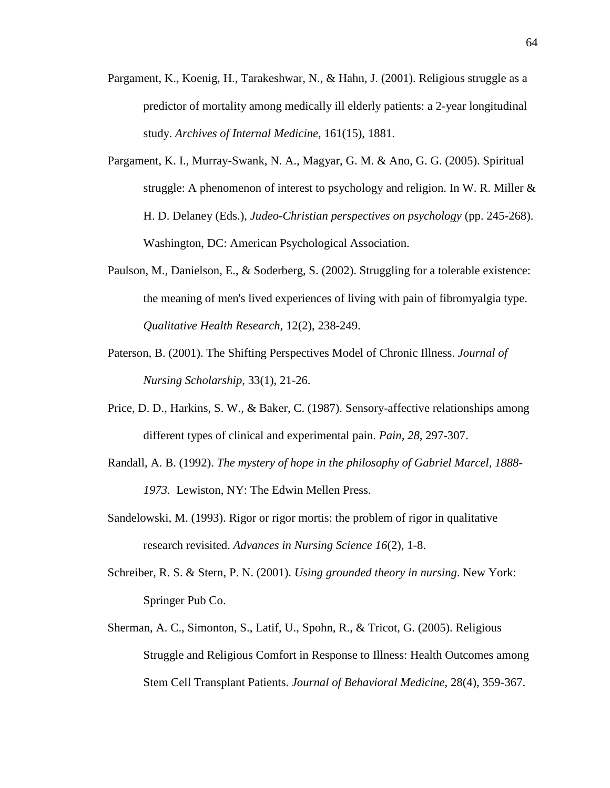- Pargament, K., Koenig, H., Tarakeshwar, N., & Hahn, J. (2001). Religious struggle as a predictor of mortality among medically ill elderly patients: a 2-year longitudinal study. *Archives of Internal Medicine*, 161(15), 1881.
- Pargament, K. I., Murray-Swank, N. A., Magyar, G. M. & Ano, G. G. (2005). Spiritual struggle: A phenomenon of interest to psychology and religion. In W. R. Miller & H. D. Delaney (Eds.), *Judeo-Christian perspectives on psychology* (pp. 245-268). Washington, DC: American Psychological Association.
- Paulson, M., Danielson, E., & Soderberg, S. (2002). Struggling for a tolerable existence: the meaning of men's lived experiences of living with pain of fibromyalgia type. *Qualitative Health Research*, 12(2), 238-249.
- Paterson, B. (2001). The Shifting Perspectives Model of Chronic Illness. *Journal of Nursing Scholarship*, 33(1), 21-26.
- Price, D. D., Harkins, S. W., & Baker, C. (1987). Sensory-affective relationships among different types of clinical and experimental pain. *Pain, 28,* 297-307.
- Randall, A. B. (1992). *The mystery of hope in the philosophy of Gabriel Marcel, 1888- 1973.* Lewiston, NY: The Edwin Mellen Press.
- Sandelowski, M. (1993). Rigor or rigor mortis: the problem of rigor in qualitative research revisited. *Advances in Nursing Science 16*(2), 1-8.
- Schreiber, R. S. & Stern, P. N. (2001). *Using grounded theory in nursing*. New York: Springer Pub Co.
- Sherman, A. C., Simonton, S., Latif, U., Spohn, R., & Tricot, G. (2005). Religious Struggle and Religious Comfort in Response to Illness: Health Outcomes among Stem Cell Transplant Patients. *Journal of Behavioral Medicine*, 28(4), 359-367.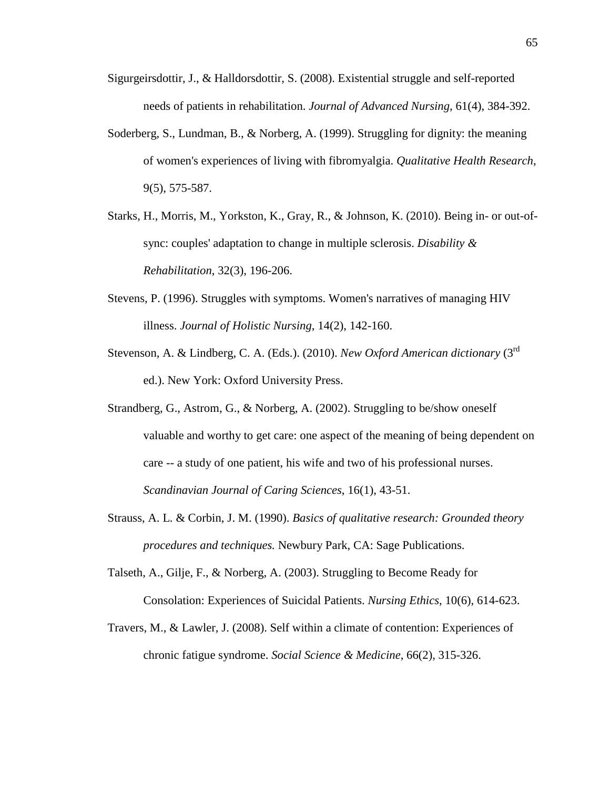- Sigurgeirsdottir, J., & Halldorsdottir, S. (2008). Existential struggle and self-reported needs of patients in rehabilitation. *Journal of Advanced Nursing*, 61(4), 384-392.
- Soderberg, S., Lundman, B., & Norberg, A. (1999). Struggling for dignity: the meaning of women's experiences of living with fibromyalgia. *Qualitative Health Research*, 9(5), 575-587.
- Starks, H., Morris, M., Yorkston, K., Gray, R., & Johnson, K. (2010). Being in- or out-ofsync: couples' adaptation to change in multiple sclerosis. *Disability & Rehabilitation*, 32(3), 196-206.
- Stevens, P. (1996). Struggles with symptoms. Women's narratives of managing HIV illness. *Journal of Holistic Nursing*, 14(2), 142-160.
- Stevenson, A. & Lindberg, C. A. (Eds.). (2010). *New Oxford American dictionary* (3rd ed.). New York: Oxford University Press.
- Strandberg, G., Astrom, G., & Norberg, A. (2002). Struggling to be/show oneself valuable and worthy to get care: one aspect of the meaning of being dependent on care -- a study of one patient, his wife and two of his professional nurses. *Scandinavian Journal of Caring Sciences*, 16(1), 43-51.
- Strauss, A. L. & Corbin, J. M. (1990). *Basics of qualitative research: Grounded theory procedures and techniques.* Newbury Park, CA: Sage Publications.
- Talseth, A., Gilje, F., & Norberg, A. (2003). Struggling to Become Ready for Consolation: Experiences of Suicidal Patients. *Nursing Ethics*, 10(6), 614-623.
- Travers, M., & Lawler, J. (2008). Self within a climate of contention: Experiences of chronic fatigue syndrome. *Social Science & Medicine*, 66(2), 315-326.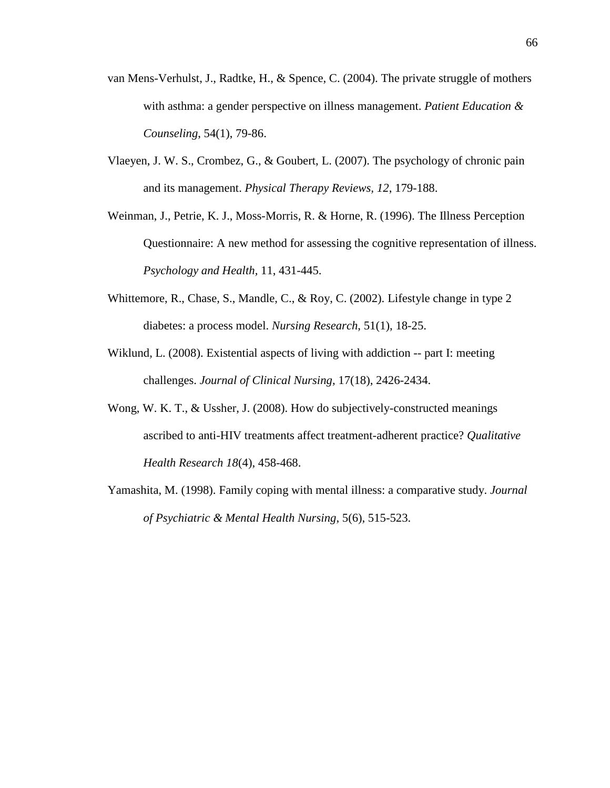- van Mens-Verhulst, J., Radtke, H., & Spence, C. (2004). The private struggle of mothers with asthma: a gender perspective on illness management. *Patient Education & Counseling*, 54(1), 79-86.
- Vlaeyen, J. W. S., Crombez, G., & Goubert, L. (2007). The psychology of chronic pain and its management. *Physical Therapy Reviews, 12*, 179-188.
- Weinman, J., Petrie, K. J., Moss-Morris, R. & Horne, R. (1996). The Illness Perception Questionnaire: A new method for assessing the cognitive representation of illness. *Psychology and Health,* 11, 431-445.
- Whittemore, R., Chase, S., Mandle, C., & Roy, C. (2002). Lifestyle change in type 2 diabetes: a process model. *Nursing Research*, 51(1), 18-25.
- Wiklund, L. (2008). Existential aspects of living with addiction -- part I: meeting challenges. *Journal of Clinical Nursing*, 17(18), 2426-2434.
- Wong, W. K. T., & Ussher, J. (2008). How do subjectively-constructed meanings ascribed to anti-HIV treatments affect treatment-adherent practice? *Qualitative Health Research 18*(4), 458-468.
- Yamashita, M. (1998). Family coping with mental illness: a comparative study. *Journal of Psychiatric & Mental Health Nursing*, 5(6), 515-523.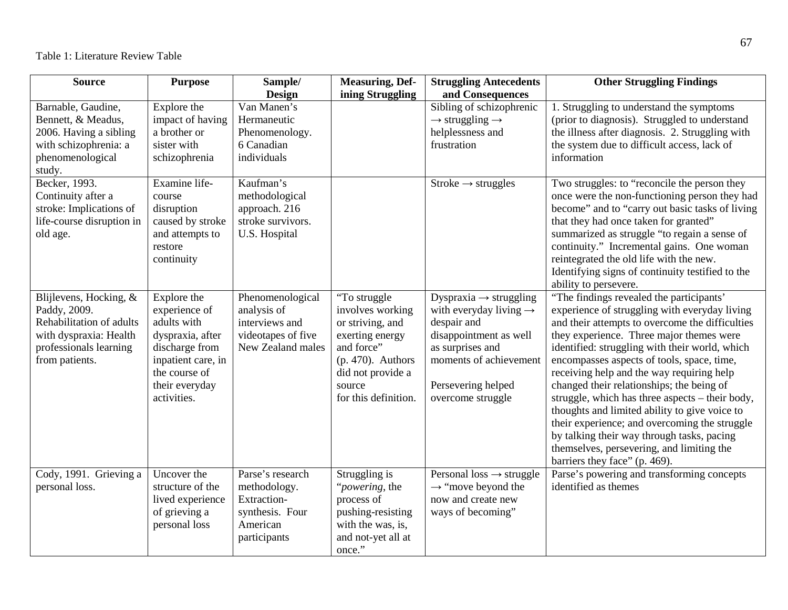| <b>Source</b>                                                                                                                            | <b>Purpose</b>                                                                                                                                            | Sample/<br><b>Design</b>                                                                       | <b>Measuring, Def-</b><br>ining Struggling                                                                                                                           | <b>Struggling Antecedents</b><br>and Consequences                                                                                                                                                          | <b>Other Struggling Findings</b>                                                                                                                                                                                                                                                                                                                                                                                                                                                                                                                                                                                                                                    |
|------------------------------------------------------------------------------------------------------------------------------------------|-----------------------------------------------------------------------------------------------------------------------------------------------------------|------------------------------------------------------------------------------------------------|----------------------------------------------------------------------------------------------------------------------------------------------------------------------|------------------------------------------------------------------------------------------------------------------------------------------------------------------------------------------------------------|---------------------------------------------------------------------------------------------------------------------------------------------------------------------------------------------------------------------------------------------------------------------------------------------------------------------------------------------------------------------------------------------------------------------------------------------------------------------------------------------------------------------------------------------------------------------------------------------------------------------------------------------------------------------|
| Barnable, Gaudine,<br>Bennett, & Meadus,<br>2006. Having a sibling<br>with schizophrenia: a<br>phenomenological<br>study.                | Explore the<br>impact of having<br>a brother or<br>sister with<br>schizophrenia                                                                           | Van Manen's<br>Hermaneutic<br>Phenomenology.<br>6 Canadian<br>individuals                      |                                                                                                                                                                      | Sibling of schizophrenic<br>$\rightarrow$ struggling $\rightarrow$<br>helplessness and<br>frustration                                                                                                      | 1. Struggling to understand the symptoms<br>(prior to diagnosis). Struggled to understand<br>the illness after diagnosis. 2. Struggling with<br>the system due to difficult access, lack of<br>information                                                                                                                                                                                                                                                                                                                                                                                                                                                          |
| Becker, 1993.<br>Continuity after a<br>stroke: Implications of<br>life-course disruption in<br>old age.                                  | Examine life-<br>course<br>disruption<br>caused by stroke<br>and attempts to<br>restore<br>continuity                                                     | Kaufman's<br>methodological<br>approach. 216<br>stroke survivors.<br>U.S. Hospital             |                                                                                                                                                                      | Stroke $\rightarrow$ struggles                                                                                                                                                                             | Two struggles: to "reconcile the person they<br>once were the non-functioning person they had<br>become" and to "carry out basic tasks of living<br>that they had once taken for granted"<br>summarized as struggle "to regain a sense of<br>continuity." Incremental gains. One woman<br>reintegrated the old life with the new.<br>Identifying signs of continuity testified to the<br>ability to persevere.                                                                                                                                                                                                                                                      |
| Blijlevens, Hocking, &<br>Paddy, 2009.<br>Rehabilitation of adults<br>with dyspraxia: Health<br>professionals learning<br>from patients. | Explore the<br>experience of<br>adults with<br>dyspraxia, after<br>discharge from<br>inpatient care, in<br>the course of<br>their everyday<br>activities. | Phenomenological<br>analysis of<br>interviews and<br>videotapes of five<br>New Zealand males   | "To struggle<br>involves working<br>or striving, and<br>exerting energy<br>and force"<br>$(p. 470)$ . Authors<br>did not provide a<br>source<br>for this definition. | Dyspraxia $\rightarrow$ struggling<br>with everyday living $\rightarrow$<br>despair and<br>disappointment as well<br>as surprises and<br>moments of achievement<br>Persevering helped<br>overcome struggle | "The findings revealed the participants"<br>experience of struggling with everyday living<br>and their attempts to overcome the difficulties<br>they experience. Three major themes were<br>identified: struggling with their world, which<br>encompasses aspects of tools, space, time,<br>receiving help and the way requiring help<br>changed their relationships; the being of<br>struggle, which has three aspects - their body,<br>thoughts and limited ability to give voice to<br>their experience; and overcoming the struggle<br>by talking their way through tasks, pacing<br>themselves, persevering, and limiting the<br>barriers they face" (p. 469). |
| Cody, 1991. Grieving a<br>personal loss.                                                                                                 | Uncover the<br>structure of the<br>lived experience<br>of grieving a<br>personal loss                                                                     | Parse's research<br>methodology.<br>Extraction-<br>synthesis. Four<br>American<br>participants | Struggling is<br>" <i>powering</i> , the<br>process of<br>pushing-resisting<br>with the was, is,<br>and not-yet all at<br>once."                                     | Personal loss $\rightarrow$ struggle<br>$\rightarrow$ "move beyond the<br>now and create new<br>ways of becoming"                                                                                          | Parse's powering and transforming concepts<br>identified as themes                                                                                                                                                                                                                                                                                                                                                                                                                                                                                                                                                                                                  |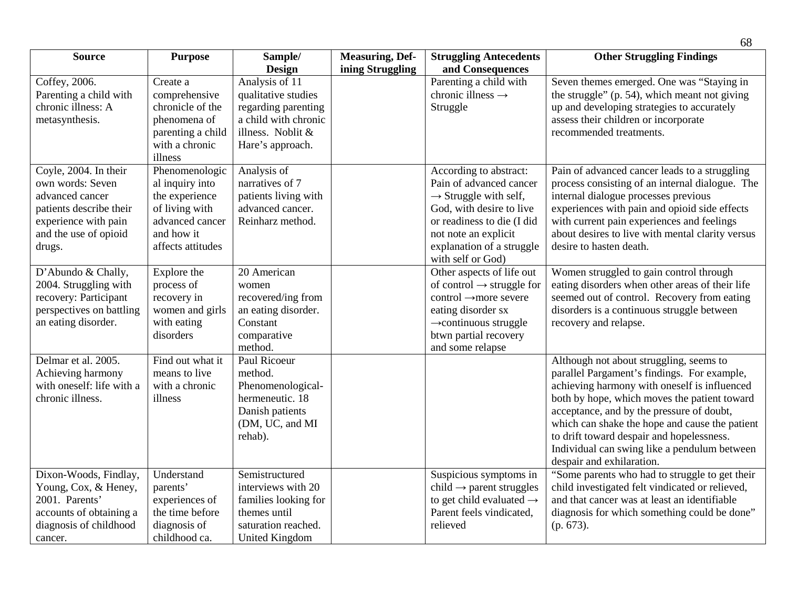|                                                                                                                                                    |                                                                                                                             |                                                                                                                               |                                            |                                                                                                                                                                                                                            | 68                                                                                                                                                                                                                                                                                                                                                                                                              |
|----------------------------------------------------------------------------------------------------------------------------------------------------|-----------------------------------------------------------------------------------------------------------------------------|-------------------------------------------------------------------------------------------------------------------------------|--------------------------------------------|----------------------------------------------------------------------------------------------------------------------------------------------------------------------------------------------------------------------------|-----------------------------------------------------------------------------------------------------------------------------------------------------------------------------------------------------------------------------------------------------------------------------------------------------------------------------------------------------------------------------------------------------------------|
| <b>Source</b>                                                                                                                                      | <b>Purpose</b>                                                                                                              | Sample/<br>Design                                                                                                             | <b>Measuring, Def-</b><br>ining Struggling | <b>Struggling Antecedents</b><br>and Consequences                                                                                                                                                                          | <b>Other Struggling Findings</b>                                                                                                                                                                                                                                                                                                                                                                                |
| Coffey, 2006.<br>Parenting a child with<br>chronic illness: A<br>metasynthesis.                                                                    | Create a<br>comprehensive<br>chronicle of the<br>phenomena of<br>parenting a child<br>with a chronic<br>illness             | Analysis of 11<br>qualitative studies<br>regarding parenting<br>a child with chronic<br>illness. Noblit &<br>Hare's approach. |                                            | Parenting a child with<br>chronic illness $\rightarrow$<br>Struggle                                                                                                                                                        | Seven themes emerged. One was "Staying in<br>the struggle" (p. 54), which meant not giving<br>up and developing strategies to accurately<br>assess their children or incorporate<br>recommended treatments.                                                                                                                                                                                                     |
| Coyle, 2004. In their<br>own words: Seven<br>advanced cancer<br>patients describe their<br>experience with pain<br>and the use of opioid<br>drugs. | Phenomenologic<br>al inquiry into<br>the experience<br>of living with<br>advanced cancer<br>and how it<br>affects attitudes | Analysis of<br>narratives of 7<br>patients living with<br>advanced cancer.<br>Reinharz method.                                |                                            | According to abstract:<br>Pain of advanced cancer<br>$\rightarrow$ Struggle with self,<br>God, with desire to live<br>or readiness to die (I did<br>not note an explicit<br>explanation of a struggle<br>with self or God) | Pain of advanced cancer leads to a struggling<br>process consisting of an internal dialogue. The<br>internal dialogue processes previous<br>experiences with pain and opioid side effects<br>with current pain experiences and feelings<br>about desires to live with mental clarity versus<br>desire to hasten death.                                                                                          |
| D'Abundo & Chally,<br>2004. Struggling with<br>recovery: Participant<br>perspectives on battling<br>an eating disorder.                            | Explore the<br>process of<br>recovery in<br>women and girls<br>with eating<br>disorders                                     | 20 American<br>women<br>recovered/ing from<br>an eating disorder.<br>Constant<br>comparative<br>method.                       |                                            | Other aspects of life out<br>of control $\rightarrow$ struggle for<br>control →more severe<br>eating disorder sx<br>$\rightarrow$ continuous struggle<br>btwn partial recovery<br>and some relapse                         | Women struggled to gain control through<br>eating disorders when other areas of their life<br>seemed out of control. Recovery from eating<br>disorders is a continuous struggle between<br>recovery and relapse.                                                                                                                                                                                                |
| Delmar et al. 2005.<br>Achieving harmony<br>with oneself: life with a<br>chronic illness.                                                          | Find out what it<br>means to live<br>with a chronic<br>illness                                                              | Paul Ricoeur<br>method.<br>Phenomenological-<br>hermeneutic. 18<br>Danish patients<br>(DM, UC, and MI<br>rehab).              |                                            |                                                                                                                                                                                                                            | Although not about struggling, seems to<br>parallel Pargament's findings. For example,<br>achieving harmony with oneself is influenced<br>both by hope, which moves the patient toward<br>acceptance, and by the pressure of doubt,<br>which can shake the hope and cause the patient<br>to drift toward despair and hopelessness.<br>Individual can swing like a pendulum between<br>despair and exhilaration. |
| Dixon-Woods, Findlay,<br>Young, Cox, & Heney,<br>2001. Parents'<br>accounts of obtaining a<br>diagnosis of childhood<br>cancer.                    | Understand<br>parents'<br>experiences of<br>the time before<br>diagnosis of<br>childhood ca.                                | Semistructured<br>interviews with 20<br>families looking for<br>themes until<br>saturation reached.<br><b>United Kingdom</b>  |                                            | Suspicious symptoms in<br>child $\rightarrow$ parent struggles<br>to get child evaluated $\rightarrow$<br>Parent feels vindicated,<br>relieved                                                                             | "Some parents who had to struggle to get their<br>child investigated felt vindicated or relieved,<br>and that cancer was at least an identifiable<br>diagnosis for which something could be done"<br>$(p. 673)$ .                                                                                                                                                                                               |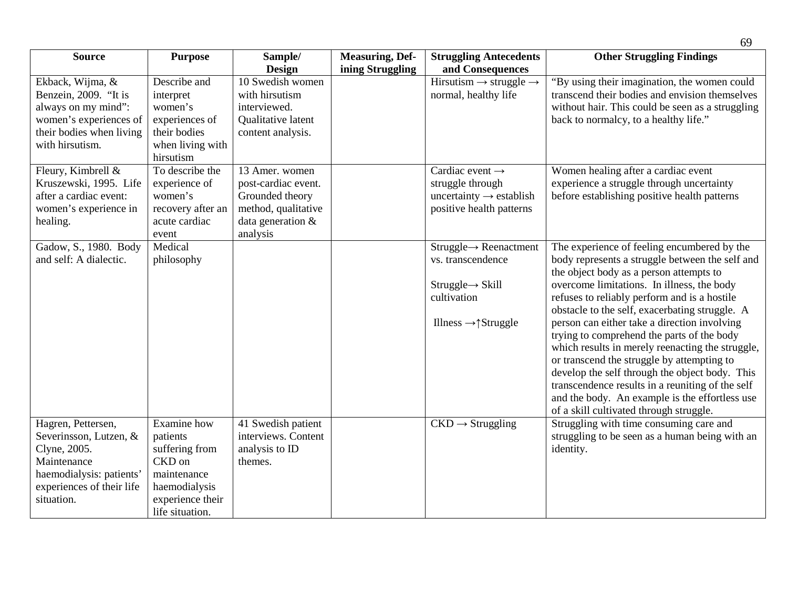| <b>Source</b>                                                                                                                                      | <b>Purpose</b>                                                                                                             | Sample/<br><b>Design</b>                                                                                         | <b>Measuring, Def-</b><br>ining Struggling | <b>Struggling Antecedents</b><br>and Consequences                                                                                                 | <b>Other Struggling Findings</b>                                                                                                                                                                                                                                                                                                                                                                                                                                                                                                                                                                                                                                                             |
|----------------------------------------------------------------------------------------------------------------------------------------------------|----------------------------------------------------------------------------------------------------------------------------|------------------------------------------------------------------------------------------------------------------|--------------------------------------------|---------------------------------------------------------------------------------------------------------------------------------------------------|----------------------------------------------------------------------------------------------------------------------------------------------------------------------------------------------------------------------------------------------------------------------------------------------------------------------------------------------------------------------------------------------------------------------------------------------------------------------------------------------------------------------------------------------------------------------------------------------------------------------------------------------------------------------------------------------|
| Ekback, Wijma, &<br>Benzein, 2009. "It is<br>always on my mind":<br>women's experiences of<br>their bodies when living<br>with hirsutism.          | Describe and<br>interpret<br>women's<br>experiences of<br>their bodies<br>when living with<br>hirsutism                    | 10 Swedish women<br>with hirsutism<br>interviewed.<br>Qualitative latent<br>content analysis.                    |                                            | Hirsutism $\rightarrow$ struggle $\rightarrow$<br>normal, healthy life                                                                            | "By using their imagination, the women could<br>transcend their bodies and envision themselves<br>without hair. This could be seen as a struggling<br>back to normalcy, to a healthy life."                                                                                                                                                                                                                                                                                                                                                                                                                                                                                                  |
| Fleury, Kimbrell &<br>Kruszewski, 1995. Life<br>after a cardiac event:<br>women's experience in<br>healing.                                        | To describe the<br>experience of<br>women's<br>recovery after an<br>acute cardiac<br>event                                 | 13 Amer. women<br>post-cardiac event.<br>Grounded theory<br>method, qualitative<br>data generation &<br>analysis |                                            | Cardiac event $\rightarrow$<br>struggle through<br>uncertainty $\rightarrow$ establish<br>positive health patterns                                | Women healing after a cardiac event<br>experience a struggle through uncertainty<br>before establishing positive health patterns                                                                                                                                                                                                                                                                                                                                                                                                                                                                                                                                                             |
| Gadow, S., 1980. Body<br>and self: A dialectic.                                                                                                    | Medical<br>philosophy                                                                                                      |                                                                                                                  |                                            | $Struggle \rightarrow Reenactment$<br>vs. transcendence<br>$Struggle \rightarrow Skill$<br>cultivation<br>Illness $\rightarrow \uparrow$ Struggle | The experience of feeling encumbered by the<br>body represents a struggle between the self and<br>the object body as a person attempts to<br>overcome limitations. In illness, the body<br>refuses to reliably perform and is a hostile<br>obstacle to the self, exacerbating struggle. A<br>person can either take a direction involving<br>trying to comprehend the parts of the body<br>which results in merely reenacting the struggle,<br>or transcend the struggle by attempting to<br>develop the self through the object body. This<br>transcendence results in a reuniting of the self<br>and the body. An example is the effortless use<br>of a skill cultivated through struggle. |
| Hagren, Pettersen,<br>Severinsson, Lutzen, &<br>Clyne, 2005.<br>Maintenance<br>haemodialysis: patients'<br>experiences of their life<br>situation. | Examine how<br>patients<br>suffering from<br>CKD on<br>maintenance<br>haemodialysis<br>experience their<br>life situation. | 41 Swedish patient<br>interviews. Content<br>analysis to ID<br>themes.                                           |                                            | $CKD \rightarrow Strugging$                                                                                                                       | Struggling with time consuming care and<br>struggling to be seen as a human being with an<br>identity.                                                                                                                                                                                                                                                                                                                                                                                                                                                                                                                                                                                       |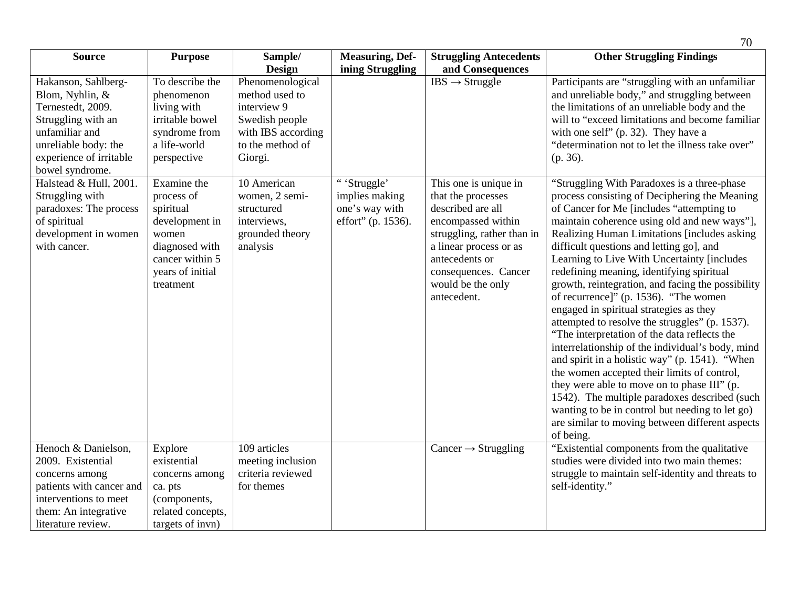| <b>Source</b>                                                                                                                                                             | <b>Purpose</b>                                                                                                                          | Sample/                                                                                                                  | <b>Measuring, Def-</b>                                                | <b>Struggling Antecedents</b>                                                                                                                                                                                                | <b>Other Struggling Findings</b>                                                                                                                                                                                                                                                                                                                                                                                                                                                                                                                                                                                                                                                                                                                                                                                                                                                                                                                                                                     |
|---------------------------------------------------------------------------------------------------------------------------------------------------------------------------|-----------------------------------------------------------------------------------------------------------------------------------------|--------------------------------------------------------------------------------------------------------------------------|-----------------------------------------------------------------------|------------------------------------------------------------------------------------------------------------------------------------------------------------------------------------------------------------------------------|------------------------------------------------------------------------------------------------------------------------------------------------------------------------------------------------------------------------------------------------------------------------------------------------------------------------------------------------------------------------------------------------------------------------------------------------------------------------------------------------------------------------------------------------------------------------------------------------------------------------------------------------------------------------------------------------------------------------------------------------------------------------------------------------------------------------------------------------------------------------------------------------------------------------------------------------------------------------------------------------------|
|                                                                                                                                                                           |                                                                                                                                         | <b>Design</b>                                                                                                            | ining Struggling                                                      | and Consequences                                                                                                                                                                                                             |                                                                                                                                                                                                                                                                                                                                                                                                                                                                                                                                                                                                                                                                                                                                                                                                                                                                                                                                                                                                      |
| Hakanson, Sahlberg-<br>Blom, Nyhlin, &<br>Ternestedt, 2009.<br>Struggling with an<br>unfamiliar and<br>unreliable body: the<br>experience of irritable<br>bowel syndrome. | To describe the<br>phenomenon<br>living with<br>irritable bowel<br>syndrome from<br>a life-world<br>perspective                         | Phenomenological<br>method used to<br>interview 9<br>Swedish people<br>with IBS according<br>to the method of<br>Giorgi. |                                                                       | $IBS \rightarrow$ Struggle                                                                                                                                                                                                   | Participants are "struggling with an unfamiliar<br>and unreliable body," and struggling between<br>the limitations of an unreliable body and the<br>will to "exceed limitations and become familiar<br>with one self" $(p. 32)$ . They have a<br>"determination not to let the illness take over"<br>$(p. 36)$ .                                                                                                                                                                                                                                                                                                                                                                                                                                                                                                                                                                                                                                                                                     |
| Halstead & Hull, 2001.<br>Struggling with<br>paradoxes: The process<br>of spiritual<br>development in women<br>with cancer.                                               | Examine the<br>process of<br>spiritual<br>development in<br>women<br>diagnosed with<br>cancer within 5<br>years of initial<br>treatment | 10 American<br>women, 2 semi-<br>structured<br>interviews,<br>grounded theory<br>analysis                                | "'Struggle'<br>implies making<br>one's way with<br>effort" (p. 1536). | This one is unique in<br>that the processes<br>described are all<br>encompassed within<br>struggling, rather than in<br>a linear process or as<br>antecedents or<br>consequences. Cancer<br>would be the only<br>antecedent. | "Struggling With Paradoxes is a three-phase<br>process consisting of Deciphering the Meaning<br>of Cancer for Me [includes "attempting to<br>maintain coherence using old and new ways"],<br>Realizing Human Limitations [includes asking<br>difficult questions and letting go], and<br>Learning to Live With Uncertainty [includes<br>redefining meaning, identifying spiritual<br>growth, reintegration, and facing the possibility<br>of recurrence]" (p. 1536). "The women<br>engaged in spiritual strategies as they<br>attempted to resolve the struggles" (p. 1537).<br>"The interpretation of the data reflects the<br>interrelationship of the individual's body, mind<br>and spirit in a holistic way" (p. 1541). "When<br>the women accepted their limits of control,<br>they were able to move on to phase III" (p.<br>1542). The multiple paradoxes described (such<br>wanting to be in control but needing to let go)<br>are similar to moving between different aspects<br>of being. |
| Henoch & Danielson,                                                                                                                                                       | Explore                                                                                                                                 | 109 articles                                                                                                             |                                                                       | Cancer $\rightarrow$ Struggling                                                                                                                                                                                              | "Existential components from the qualitative                                                                                                                                                                                                                                                                                                                                                                                                                                                                                                                                                                                                                                                                                                                                                                                                                                                                                                                                                         |
| 2009. Existential                                                                                                                                                         | existential                                                                                                                             | meeting inclusion                                                                                                        |                                                                       |                                                                                                                                                                                                                              | studies were divided into two main themes:                                                                                                                                                                                                                                                                                                                                                                                                                                                                                                                                                                                                                                                                                                                                                                                                                                                                                                                                                           |
| concerns among                                                                                                                                                            | concerns among                                                                                                                          | criteria reviewed                                                                                                        |                                                                       |                                                                                                                                                                                                                              | struggle to maintain self-identity and threats to                                                                                                                                                                                                                                                                                                                                                                                                                                                                                                                                                                                                                                                                                                                                                                                                                                                                                                                                                    |
| patients with cancer and                                                                                                                                                  | ca. pts                                                                                                                                 | for themes                                                                                                               |                                                                       |                                                                                                                                                                                                                              | self-identity."                                                                                                                                                                                                                                                                                                                                                                                                                                                                                                                                                                                                                                                                                                                                                                                                                                                                                                                                                                                      |
| interventions to meet                                                                                                                                                     | (components,                                                                                                                            |                                                                                                                          |                                                                       |                                                                                                                                                                                                                              |                                                                                                                                                                                                                                                                                                                                                                                                                                                                                                                                                                                                                                                                                                                                                                                                                                                                                                                                                                                                      |
| them: An integrative                                                                                                                                                      | related concepts,                                                                                                                       |                                                                                                                          |                                                                       |                                                                                                                                                                                                                              |                                                                                                                                                                                                                                                                                                                                                                                                                                                                                                                                                                                                                                                                                                                                                                                                                                                                                                                                                                                                      |
| literature review.                                                                                                                                                        | targets of invn)                                                                                                                        |                                                                                                                          |                                                                       |                                                                                                                                                                                                                              |                                                                                                                                                                                                                                                                                                                                                                                                                                                                                                                                                                                                                                                                                                                                                                                                                                                                                                                                                                                                      |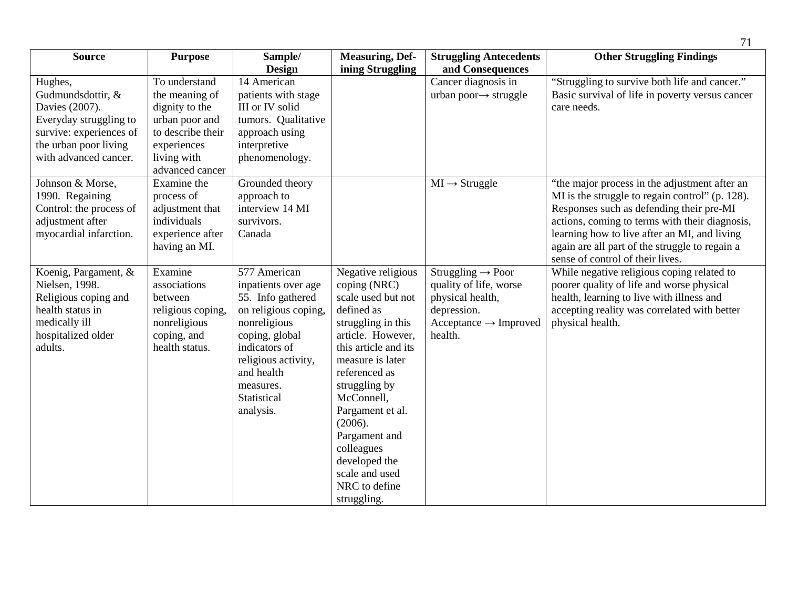|                         |                                |                      |                        |                                   | 71                                              |
|-------------------------|--------------------------------|----------------------|------------------------|-----------------------------------|-------------------------------------------------|
| <b>Source</b>           | <b>Purpose</b>                 | Sample/              | <b>Measuring, Def-</b> | <b>Struggling Antecedents</b>     | <b>Other Struggling Findings</b>                |
|                         |                                | <b>Design</b>        | ining Struggling       | and Consequences                  |                                                 |
| Hughes,                 | To understand                  | 14 American          |                        | Cancer diagnosis in               | "Struggling to survive both life and cancer."   |
| Gudmundsdottir, &       | the meaning of                 | patients with stage  |                        | urban poor $\rightarrow$ struggle | Basic survival of life in poverty versus cancer |
| Davies (2007).          | dignity to the                 | III or IV solid      |                        |                                   | care needs.                                     |
| Everyday struggling to  | urban poor and                 | tumors. Qualitative  |                        |                                   |                                                 |
| survive: experiences of | to describe their              | approach using       |                        |                                   |                                                 |
| the urban poor living   | experiences                    | interpretive         |                        |                                   |                                                 |
| with advanced cancer.   | living with<br>advanced cancer | phenomenology.       |                        |                                   |                                                 |
| Johnson & Morse,        | Examine the                    | Grounded theory      |                        | $MI \rightarrow$ Struggle         | "the major process in the adjustment after an   |
| 1990. Regaining         | process of                     | approach to          |                        |                                   | MI is the struggle to regain control" (p. 128). |
| Control: the process of | adjustment that                | interview 14 MI      |                        |                                   | Responses such as defending their pre-MI        |
| adjustment after        | individuals                    | survivors.           |                        |                                   | actions, coming to terms with their diagnosis,  |
| myocardial infarction.  | experience after               | Canada               |                        |                                   | learning how to live after an MI, and living    |
|                         | having an MI.                  |                      |                        |                                   | again are all part of the struggle to regain a  |
|                         |                                |                      |                        |                                   | sense of control of their lives.                |
| Koenig, Pargament, &    | Examine                        | 577 American         | Negative religious     | Struggling $\rightarrow$ Poor     | While negative religious coping related to      |
| Nielsen, 1998.          | associations                   | inpatients over age  | coping (NRC)           | quality of life, worse            | poorer quality of life and worse physical       |
| Religious coping and    | between                        | 55. Info gathered    | scale used but not     | physical health,                  | health, learning to live with illness and       |
| health status in        | religious coping,              | on religious coping. | defined as             | depression.                       | accepting reality was correlated with better    |
| medically ill           | nonreligious                   | nonreligious         | struggling in this     | $Acceptance \rightarrow Improved$ | physical health.                                |
| hospitalized older      | coping, and                    | coping, global       | article. However,      | health.                           |                                                 |
| adults.                 | health status.                 | indicators of        | this article and its   |                                   |                                                 |
|                         |                                | religious activity,  | measure is later       |                                   |                                                 |
|                         |                                | and health           | referenced as          |                                   |                                                 |
|                         |                                | measures.            | struggling by          |                                   |                                                 |
|                         |                                | Statistical          | McConnell,             |                                   |                                                 |
|                         |                                | analysis.            | Pargament et al.       |                                   |                                                 |
|                         |                                |                      | (2006).                |                                   |                                                 |
|                         |                                |                      | Pargament and          |                                   |                                                 |
|                         |                                |                      | colleagues             |                                   |                                                 |
|                         |                                |                      | developed the          |                                   |                                                 |
|                         |                                |                      | scale and used         |                                   |                                                 |
|                         |                                |                      | NRC to define          |                                   |                                                 |
|                         |                                |                      | struggling.            |                                   |                                                 |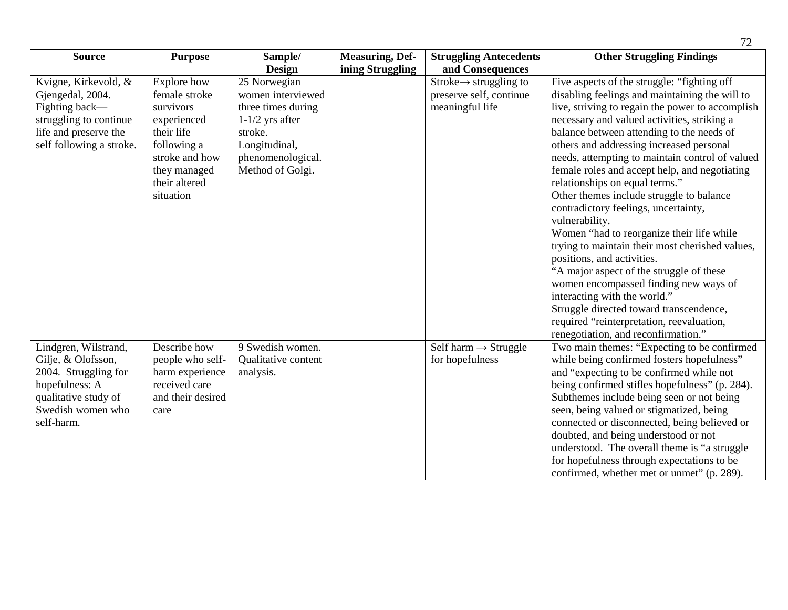| <b>Source</b>            | <b>Purpose</b>    | Sample/             | <b>Measuring, Def-</b> | <b>Struggling Antecedents</b>      | <b>Other Struggling Findings</b>                 |
|--------------------------|-------------------|---------------------|------------------------|------------------------------------|--------------------------------------------------|
|                          |                   | <b>Design</b>       | ining Struggling       | and Consequences                   |                                                  |
| Kvigne, Kirkevold, &     | Explore how       | 25 Norwegian        |                        | $Stroke \rightarrow$ struggling to | Five aspects of the struggle: "fighting off      |
| Gjengedal, 2004.         | female stroke     | women interviewed   |                        | preserve self, continue            | disabling feelings and maintaining the will to   |
| Fighting back-           | survivors         | three times during  |                        | meaningful life                    | live, striving to regain the power to accomplish |
| struggling to continue   | experienced       | $1-1/2$ yrs after   |                        |                                    | necessary and valued activities, striking a      |
| life and preserve the    | their life        | stroke.             |                        |                                    | balance between attending to the needs of        |
| self following a stroke. | following a       | Longitudinal,       |                        |                                    | others and addressing increased personal         |
|                          | stroke and how    | phenomenological.   |                        |                                    | needs, attempting to maintain control of valued  |
|                          | they managed      | Method of Golgi.    |                        |                                    | female roles and accept help, and negotiating    |
|                          | their altered     |                     |                        |                                    | relationships on equal terms."                   |
|                          | situation         |                     |                        |                                    | Other themes include struggle to balance         |
|                          |                   |                     |                        |                                    | contradictory feelings, uncertainty,             |
|                          |                   |                     |                        |                                    | vulnerability.                                   |
|                          |                   |                     |                        |                                    | Women "had to reorganize their life while        |
|                          |                   |                     |                        |                                    | trying to maintain their most cherished values,  |
|                          |                   |                     |                        |                                    | positions, and activities.                       |
|                          |                   |                     |                        |                                    | "A major aspect of the struggle of these         |
|                          |                   |                     |                        |                                    | women encompassed finding new ways of            |
|                          |                   |                     |                        |                                    | interacting with the world."                     |
|                          |                   |                     |                        |                                    | Struggle directed toward transcendence,          |
|                          |                   |                     |                        |                                    |                                                  |
|                          |                   |                     |                        |                                    | required "reinterpretation, reevaluation,        |
|                          |                   |                     |                        |                                    | renegotiation, and reconfirmation."              |
| Lindgren, Wilstrand,     | Describe how      | 9 Swedish women.    |                        | Self harm $\rightarrow$ Struggle   | Two main themes: "Expecting to be confirmed      |
| Gilje, & Olofsson,       | people who self-  | Qualitative content |                        | for hopefulness                    | while being confirmed fosters hopefulness"       |
| 2004. Struggling for     | harm experience   | analysis.           |                        |                                    | and "expecting to be confirmed while not         |
| hopefulness: A           | received care     |                     |                        |                                    | being confirmed stifles hopefulness" (p. 284).   |
| qualitative study of     | and their desired |                     |                        |                                    | Subthemes include being seen or not being        |
| Swedish women who        | care              |                     |                        |                                    | seen, being valued or stigmatized, being         |
| self-harm.               |                   |                     |                        |                                    | connected or disconnected, being believed or     |
|                          |                   |                     |                        |                                    | doubted, and being understood or not             |
|                          |                   |                     |                        |                                    | understood. The overall theme is "a struggle     |
|                          |                   |                     |                        |                                    | for hopefulness through expectations to be       |
|                          |                   |                     |                        |                                    | confirmed, whether met or unmet" (p. 289).       |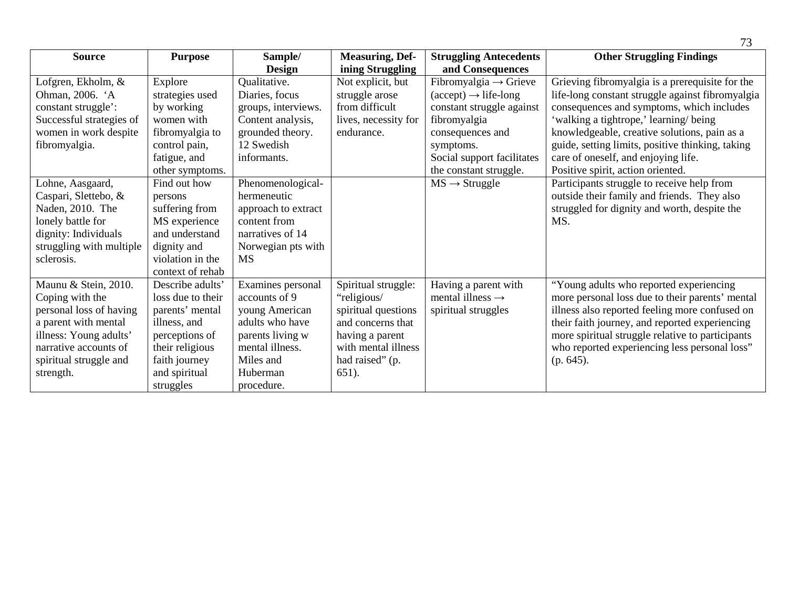| <b>Source</b>            | <b>Purpose</b>    | Sample/             | <b>Measuring, Def-</b> | <b>Struggling Antecedents</b>                  | <b>Other Struggling Findings</b>                 |
|--------------------------|-------------------|---------------------|------------------------|------------------------------------------------|--------------------------------------------------|
|                          |                   | <b>Design</b>       | ining Struggling       | and Consequences                               |                                                  |
| Lofgren, Ekholm, &       | Explore           | Qualitative.        | Not explicit, but      | Fibromyalgia $\rightarrow$ Grieve              | Grieving fibromyalgia is a prerequisite for the  |
| Ohman, 2006. 'A          | strategies used   | Diaries, focus      | struggle arose         | $(\text{accept}) \rightarrow \text{life-long}$ | life-long constant struggle against fibromyalgia |
| constant struggle':      | by working        | groups, interviews. | from difficult         | constant struggle against                      | consequences and symptoms, which includes        |
| Successful strategies of | women with        | Content analysis,   | lives, necessity for   | fibromyalgia                                   | 'walking a tightrope,' learning/being            |
| women in work despite    | fibromyalgia to   | grounded theory.    | endurance.             | consequences and                               | knowledgeable, creative solutions, pain as a     |
| fibromyalgia.            | control pain,     | 12 Swedish          |                        | symptoms.                                      | guide, setting limits, positive thinking, taking |
|                          | fatigue, and      | informants.         |                        | Social support facilitates                     | care of oneself, and enjoying life.              |
|                          | other symptoms.   |                     |                        | the constant struggle.                         | Positive spirit, action oriented.                |
| Lohne, Aasgaard,         | Find out how      | Phenomenological-   |                        | $MS \rightarrow Struggle$                      | Participants struggle to receive help from       |
| Caspari, Slettebo, &     | persons           | hermeneutic         |                        |                                                | outside their family and friends. They also      |
| Naden, 2010. The         | suffering from    | approach to extract |                        |                                                | struggled for dignity and worth, despite the     |
| lonely battle for        | MS experience     | content from        |                        |                                                | MS.                                              |
| dignity: Individuals     | and understand    | narratives of 14    |                        |                                                |                                                  |
| struggling with multiple | dignity and       | Norwegian pts with  |                        |                                                |                                                  |
| sclerosis.               | violation in the  | <b>MS</b>           |                        |                                                |                                                  |
|                          | context of rehab  |                     |                        |                                                |                                                  |
| Maunu & Stein, 2010.     | Describe adults'  | Examines personal   | Spiritual struggle:    | Having a parent with                           | "Young adults who reported experiencing          |
| Coping with the          | loss due to their | accounts of 9       | "religious/            | mental illness $\rightarrow$                   | more personal loss due to their parents' mental  |
| personal loss of having  | parents' mental   | young American      | spiritual questions    | spiritual struggles                            | illness also reported feeling more confused on   |
| a parent with mental     | illness, and      | adults who have     | and concerns that      |                                                | their faith journey, and reported experiencing   |
| illness: Young adults'   | perceptions of    | parents living w    | having a parent        |                                                | more spiritual struggle relative to participants |
| narrative accounts of    | their religious   | mental illness.     | with mental illness    |                                                | who reported experiencing less personal loss"    |
| spiritual struggle and   | faith journey     | Miles and           | had raised" (p.        |                                                | (p. 645).                                        |
| strength.                | and spiritual     | Huberman            | $651$ ).               |                                                |                                                  |
|                          | struggles         | procedure.          |                        |                                                |                                                  |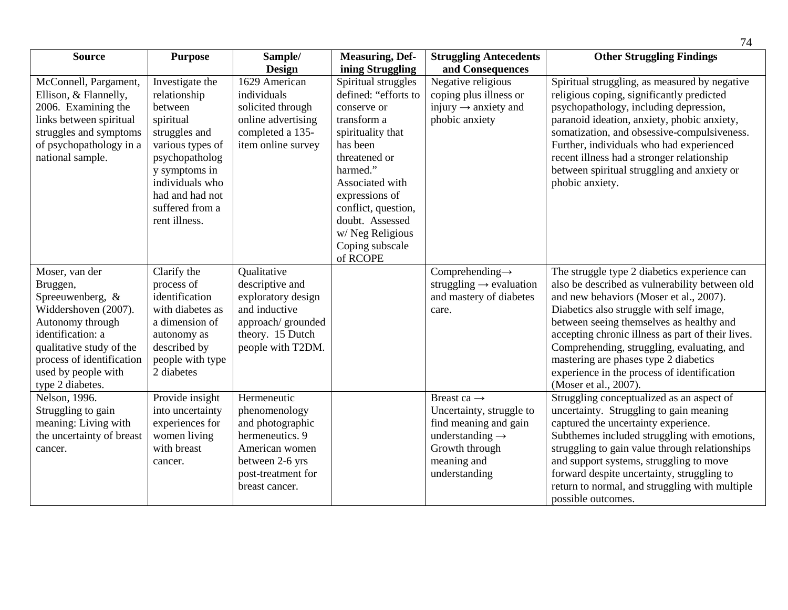|                                                                                                                                                                                                                     |                                                                                                                                                                                                           |                                                                                                                                                  |                                                                                                                                                                                                                                                                          |                                                                                                                                                               | 74                                                                                                                                                                                                                                                                                                                                                                                                                                                    |
|---------------------------------------------------------------------------------------------------------------------------------------------------------------------------------------------------------------------|-----------------------------------------------------------------------------------------------------------------------------------------------------------------------------------------------------------|--------------------------------------------------------------------------------------------------------------------------------------------------|--------------------------------------------------------------------------------------------------------------------------------------------------------------------------------------------------------------------------------------------------------------------------|---------------------------------------------------------------------------------------------------------------------------------------------------------------|-------------------------------------------------------------------------------------------------------------------------------------------------------------------------------------------------------------------------------------------------------------------------------------------------------------------------------------------------------------------------------------------------------------------------------------------------------|
| <b>Source</b>                                                                                                                                                                                                       | <b>Purpose</b>                                                                                                                                                                                            | Sample/<br><b>Design</b>                                                                                                                         | <b>Measuring, Def-</b><br>ining Struggling                                                                                                                                                                                                                               | <b>Struggling Antecedents</b><br>and Consequences                                                                                                             | <b>Other Struggling Findings</b>                                                                                                                                                                                                                                                                                                                                                                                                                      |
| McConnell, Pargament,<br>Ellison, & Flannelly,<br>2006. Examining the<br>links between spiritual<br>struggles and symptoms<br>of psychopathology in a<br>national sample.                                           | Investigate the<br>relationship<br>between<br>spiritual<br>struggles and<br>various types of<br>psychopatholog<br>y symptoms in<br>individuals who<br>had and had not<br>suffered from a<br>rent illness. | 1629 American<br>individuals<br>solicited through<br>online advertising<br>completed a 135-<br>item online survey                                | Spiritual struggles<br>defined: "efforts to<br>conserve or<br>transform a<br>spirituality that<br>has been<br>threatened or<br>harmed."<br>Associated with<br>expressions of<br>conflict, question,<br>doubt. Assessed<br>w/Neg Religious<br>Coping subscale<br>of RCOPE | Negative religious<br>coping plus illness or<br>injury $\rightarrow$ anxiety and<br>phobic anxiety                                                            | Spiritual struggling, as measured by negative<br>religious coping, significantly predicted<br>psychopathology, including depression,<br>paranoid ideation, anxiety, phobic anxiety,<br>somatization, and obsessive-compulsiveness.<br>Further, individuals who had experienced<br>recent illness had a stronger relationship<br>between spiritual struggling and anxiety or<br>phobic anxiety.                                                        |
| Moser, van der<br>Bruggen,<br>Spreeuwenberg, &<br>Widdershoven (2007).<br>Autonomy through<br>identification: a<br>qualitative study of the<br>process of identification<br>used by people with<br>type 2 diabetes. | Clarify the<br>process of<br>identification<br>with diabetes as<br>a dimension of<br>autonomy as<br>described by<br>people with type<br>2 diabetes                                                        | Qualitative<br>descriptive and<br>exploratory design<br>and inductive<br>approach/grounded<br>theory. 15 Dutch<br>people with T2DM.              |                                                                                                                                                                                                                                                                          | Comprehending $\rightarrow$<br>struggling $\rightarrow$ evaluation<br>and mastery of diabetes<br>care.                                                        | The struggle type 2 diabetics experience can<br>also be described as vulnerability between old<br>and new behaviors (Moser et al., 2007).<br>Diabetics also struggle with self image,<br>between seeing themselves as healthy and<br>accepting chronic illness as part of their lives.<br>Comprehending, struggling, evaluating, and<br>mastering are phases type 2 diabetics<br>experience in the process of identification<br>(Moser et al., 2007). |
| Nelson, 1996.<br>Struggling to gain<br>meaning: Living with<br>the uncertainty of breast<br>cancer.                                                                                                                 | Provide insight<br>into uncertainty<br>experiences for<br>women living<br>with breast<br>cancer.                                                                                                          | Hermeneutic<br>phenomenology<br>and photographic<br>hermeneutics. 9<br>American women<br>between 2-6 yrs<br>post-treatment for<br>breast cancer. |                                                                                                                                                                                                                                                                          | Breast ca $\rightarrow$<br>Uncertainty, struggle to<br>find meaning and gain<br>understanding $\rightarrow$<br>Growth through<br>meaning and<br>understanding | Struggling conceptualized as an aspect of<br>uncertainty. Struggling to gain meaning<br>captured the uncertainty experience.<br>Subthemes included struggling with emotions,<br>struggling to gain value through relationships<br>and support systems, struggling to move<br>forward despite uncertainty, struggling to<br>return to normal, and struggling with multiple<br>possible outcomes.                                                       |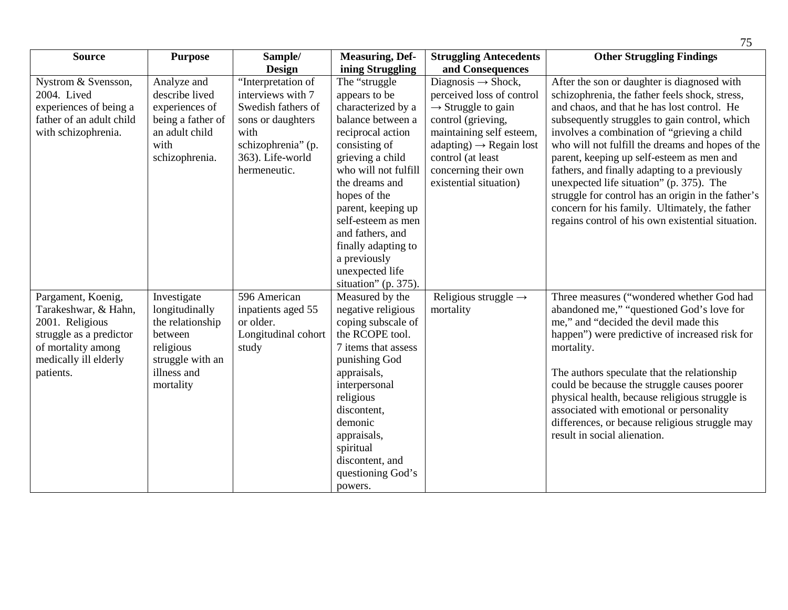| <b>Source</b>            | <b>Purpose</b>    | Sample/             | <b>Measuring, Def-</b> | <b>Struggling Antecedents</b>       | <b>Other Struggling Findings</b>                   |
|--------------------------|-------------------|---------------------|------------------------|-------------------------------------|----------------------------------------------------|
|                          |                   | <b>Design</b>       | ining Struggling       | and Consequences                    |                                                    |
| Nystrom & Svensson,      | Analyze and       | "Interpretation of  | The "struggle          | Diagnosis $\rightarrow$ Shock,      | After the son or daughter is diagnosed with        |
| 2004. Lived              | describe lived    | interviews with 7   | appears to be          | perceived loss of control           | schizophrenia, the father feels shock, stress,     |
| experiences of being a   | experiences of    | Swedish fathers of  | characterized by a     | $\rightarrow$ Struggle to gain      | and chaos, and that he has lost control. He        |
| father of an adult child | being a father of | sons or daughters   | balance between a      | control (grieving,                  | subsequently struggles to gain control, which      |
| with schizophrenia.      | an adult child    | with                | reciprocal action      | maintaining self esteem,            | involves a combination of "grieving a child        |
|                          | with              | schizophrenia" (p.  | consisting of          | $adapting) \rightarrow Regain lost$ | who will not fulfill the dreams and hopes of the   |
|                          | schizophrenia.    | 363). Life-world    | grieving a child       | control (at least                   | parent, keeping up self-esteem as men and          |
|                          |                   | hermeneutic.        | who will not fulfill   | concerning their own                | fathers, and finally adapting to a previously      |
|                          |                   |                     | the dreams and         | existential situation)              | unexpected life situation" (p. 375). The           |
|                          |                   |                     | hopes of the           |                                     | struggle for control has an origin in the father's |
|                          |                   |                     | parent, keeping up     |                                     | concern for his family. Ultimately, the father     |
|                          |                   |                     | self-esteem as men     |                                     | regains control of his own existential situation.  |
|                          |                   |                     | and fathers, and       |                                     |                                                    |
|                          |                   |                     | finally adapting to    |                                     |                                                    |
|                          |                   |                     | a previously           |                                     |                                                    |
|                          |                   |                     | unexpected life        |                                     |                                                    |
|                          |                   |                     | situation" (p. 375).   |                                     |                                                    |
| Pargament, Koenig,       | Investigate       | 596 American        | Measured by the        | Religious struggle $\rightarrow$    | Three measures ("wondered whether God had          |
| Tarakeshwar, & Hahn,     | longitudinally    | inpatients aged 55  | negative religious     | mortality                           | abandoned me," "questioned God's love for          |
| 2001. Religious          | the relationship  | or older.           | coping subscale of     |                                     | me," and "decided the devil made this              |
| struggle as a predictor  | between           | Longitudinal cohort | the RCOPE tool.        |                                     | happen") were predictive of increased risk for     |
| of mortality among       | religious         | study               | 7 items that assess    |                                     | mortality.                                         |
| medically ill elderly    | struggle with an  |                     | punishing God          |                                     |                                                    |
| patients.                | illness and       |                     | appraisals,            |                                     | The authors speculate that the relationship        |
|                          | mortality         |                     | interpersonal          |                                     | could be because the struggle causes poorer        |
|                          |                   |                     | religious              |                                     | physical health, because religious struggle is     |
|                          |                   |                     | discontent,            |                                     | associated with emotional or personality           |
|                          |                   |                     | demonic                |                                     | differences, or because religious struggle may     |
|                          |                   |                     | appraisals,            |                                     | result in social alienation.                       |
|                          |                   |                     | spiritual              |                                     |                                                    |
|                          |                   |                     | discontent, and        |                                     |                                                    |
|                          |                   |                     | questioning God's      |                                     |                                                    |
|                          |                   |                     | powers.                |                                     |                                                    |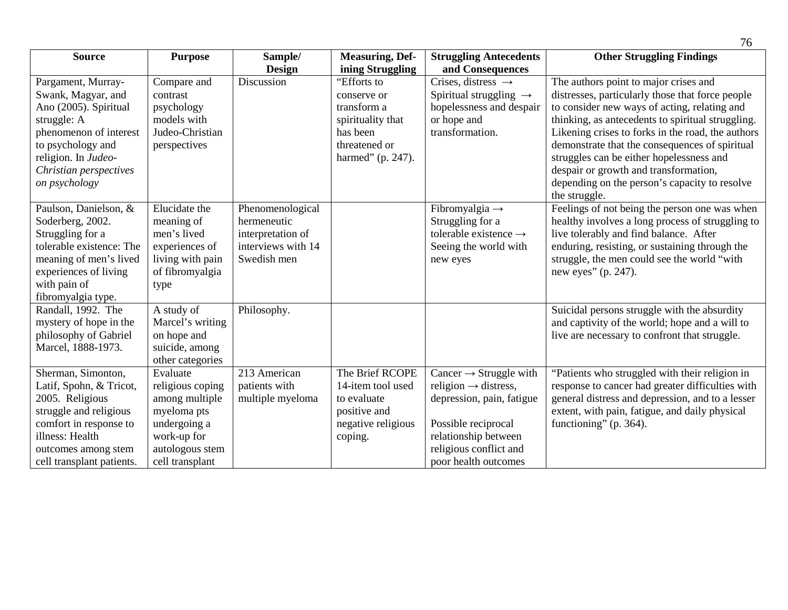| <b>Source</b>                                                                                                                                                                                     | <b>Purpose</b>                                                                                                                     | Sample/                                                                                   | <b>Measuring, Def-</b>                                                                                           | <b>Struggling Antecedents</b>                                                                                                                                                                        | <b>Other Struggling Findings</b>                                                                                                                                                                                                                                                                                                                                                                                                                             |
|---------------------------------------------------------------------------------------------------------------------------------------------------------------------------------------------------|------------------------------------------------------------------------------------------------------------------------------------|-------------------------------------------------------------------------------------------|------------------------------------------------------------------------------------------------------------------|------------------------------------------------------------------------------------------------------------------------------------------------------------------------------------------------------|--------------------------------------------------------------------------------------------------------------------------------------------------------------------------------------------------------------------------------------------------------------------------------------------------------------------------------------------------------------------------------------------------------------------------------------------------------------|
|                                                                                                                                                                                                   |                                                                                                                                    | <b>Design</b>                                                                             | ining Struggling                                                                                                 | and Consequences                                                                                                                                                                                     |                                                                                                                                                                                                                                                                                                                                                                                                                                                              |
| Pargament, Murray-<br>Swank, Magyar, and<br>Ano (2005). Spiritual<br>struggle: A<br>phenomenon of interest<br>to psychology and<br>religion. In Judeo-<br>Christian perspectives<br>on psychology | Compare and<br>contrast<br>psychology<br>models with<br>Judeo-Christian<br>perspectives                                            | Discussion                                                                                | "Efforts to<br>conserve or<br>transform a<br>spirituality that<br>has been<br>threatened or<br>harmed" (p. 247). | Crises, distress $\rightarrow$<br>Spiritual struggling $\rightarrow$<br>hopelessness and despair<br>or hope and<br>transformation.                                                                   | The authors point to major crises and<br>distresses, particularly those that force people<br>to consider new ways of acting, relating and<br>thinking, as antecedents to spiritual struggling.<br>Likening crises to forks in the road, the authors<br>demonstrate that the consequences of spiritual<br>struggles can be either hopelessness and<br>despair or growth and transformation,<br>depending on the person's capacity to resolve<br>the struggle. |
| Paulson, Danielson, &<br>Soderberg, 2002.<br>Struggling for a<br>tolerable existence: The<br>meaning of men's lived<br>experiences of living<br>with pain of<br>fibromyalgia type.                | Elucidate the<br>meaning of<br>men's lived<br>experiences of<br>living with pain<br>of fibromyalgia<br>type                        | Phenomenological<br>hermeneutic<br>interpretation of<br>interviews with 14<br>Swedish men |                                                                                                                  | Fibromyalgia $\rightarrow$<br>Struggling for a<br>tolerable existence $\rightarrow$<br>Seeing the world with<br>new eyes                                                                             | Feelings of not being the person one was when<br>healthy involves a long process of struggling to<br>live tolerably and find balance. After<br>enduring, resisting, or sustaining through the<br>struggle, the men could see the world "with<br>new eyes" (p. 247).                                                                                                                                                                                          |
| Randall, 1992. The<br>mystery of hope in the<br>philosophy of Gabriel<br>Marcel, 1888-1973.                                                                                                       | A study of<br>Marcel's writing<br>on hope and<br>suicide, among<br>other categories                                                | Philosophy.                                                                               |                                                                                                                  |                                                                                                                                                                                                      | Suicidal persons struggle with the absurdity<br>and captivity of the world; hope and a will to<br>live are necessary to confront that struggle.                                                                                                                                                                                                                                                                                                              |
| Sherman, Simonton,<br>Latif, Spohn, & Tricot,<br>2005. Religious<br>struggle and religious<br>comfort in response to<br>illness: Health<br>outcomes among stem<br>cell transplant patients.       | Evaluate<br>religious coping<br>among multiple<br>myeloma pts<br>undergoing a<br>work-up for<br>autologous stem<br>cell transplant | 213 American<br>patients with<br>multiple myeloma                                         | The Brief RCOPE<br>14-item tool used<br>to evaluate<br>positive and<br>negative religious<br>coping.             | Cancer $\rightarrow$ Struggle with<br>religion $\rightarrow$ distress,<br>depression, pain, fatigue<br>Possible reciprocal<br>relationship between<br>religious conflict and<br>poor health outcomes | "Patients who struggled with their religion in<br>response to cancer had greater difficulties with<br>general distress and depression, and to a lesser<br>extent, with pain, fatigue, and daily physical<br>functioning" (p. 364).                                                                                                                                                                                                                           |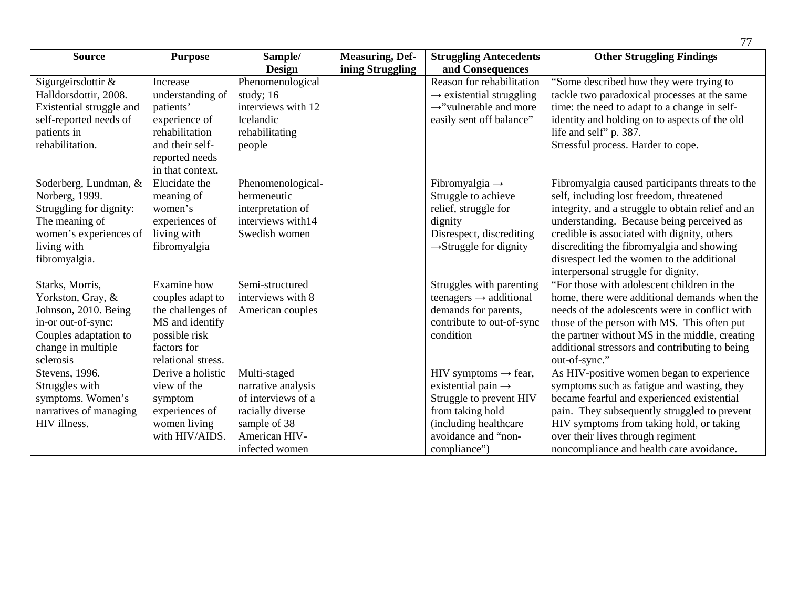| <b>Source</b>            | <b>Purpose</b>     | Sample/            | <b>Measuring, Def-</b> | <b>Struggling Antecedents</b>        | <b>Other Struggling Findings</b>                  |
|--------------------------|--------------------|--------------------|------------------------|--------------------------------------|---------------------------------------------------|
|                          |                    | Design             | ining Struggling       | and Consequences                     |                                                   |
| Sigurgeirsdottir &       | Increase           | Phenomenological   |                        | Reason for rehabilitation            | "Some described how they were trying to           |
| Halldorsdottir, 2008.    | understanding of   | study; 16          |                        | $\rightarrow$ existential struggling | tackle two paradoxical processes at the same      |
| Existential struggle and | patients'          | interviews with 12 |                        | $\rightarrow$ "vulnerable and more   | time: the need to adapt to a change in self-      |
| self-reported needs of   | experience of      | Icelandic          |                        | easily sent off balance"             | identity and holding on to aspects of the old     |
| patients in              | rehabilitation     | rehabilitating     |                        |                                      | life and self" p. 387.                            |
| rehabilitation.          | and their self-    | people             |                        |                                      | Stressful process. Harder to cope.                |
|                          | reported needs     |                    |                        |                                      |                                                   |
|                          | in that context.   |                    |                        |                                      |                                                   |
| Soderberg, Lundman, &    | Elucidate the      | Phenomenological-  |                        | Fibromyalgia $\rightarrow$           | Fibromyalgia caused participants threats to the   |
| Norberg, 1999.           | meaning of         | hermeneutic        |                        | Struggle to achieve                  | self, including lost freedom, threatened          |
| Struggling for dignity:  | women's            | interpretation of  |                        | relief, struggle for                 | integrity, and a struggle to obtain relief and an |
| The meaning of           | experiences of     | interviews with14  |                        | dignity                              | understanding. Because being perceived as         |
| women's experiences of   | living with        | Swedish women      |                        | Disrespect, discrediting             | credible is associated with dignity, others       |
| living with              | fibromyalgia       |                    |                        | $\rightarrow$ Struggle for dignity   | discrediting the fibromyalgia and showing         |
| fibromyalgia.            |                    |                    |                        |                                      | disrespect led the women to the additional        |
|                          |                    |                    |                        |                                      | interpersonal struggle for dignity.               |
| Starks, Morris,          | Examine how        | Semi-structured    |                        | Struggles with parenting             | "For those with adolescent children in the        |
| Yorkston, Gray, &        | couples adapt to   | interviews with 8  |                        | teenagers $\rightarrow$ additional   | home, there were additional demands when the      |
| Johnson, 2010. Being     | the challenges of  | American couples   |                        | demands for parents,                 | needs of the adolescents were in conflict with    |
| in-or out-of-sync:       | MS and identify    |                    |                        | contribute to out-of-sync            | those of the person with MS. This often put       |
| Couples adaptation to    | possible risk      |                    |                        | condition                            | the partner without MS in the middle, creating    |
| change in multiple       | factors for        |                    |                        |                                      | additional stressors and contributing to being    |
| sclerosis                | relational stress. |                    |                        |                                      | out-of-sync."                                     |
| Stevens, 1996.           | Derive a holistic  | Multi-staged       |                        | HIV symptoms $\rightarrow$ fear,     | As HIV-positive women began to experience         |
| Struggles with           | view of the        | narrative analysis |                        | existential pain $\rightarrow$       | symptoms such as fatigue and wasting, they        |
| symptoms. Women's        | symptom            | of interviews of a |                        | Struggle to prevent HIV              | became fearful and experienced existential        |
| narratives of managing   | experiences of     | racially diverse   |                        | from taking hold                     | pain. They subsequently struggled to prevent      |
| HIV illness.             | women living       | sample of 38       |                        | (including healthcare)               | HIV symptoms from taking hold, or taking          |
|                          | with HIV/AIDS.     | American HIV-      |                        | avoidance and "non-                  | over their lives through regiment                 |
|                          |                    | infected women     |                        | compliance")                         | noncompliance and health care avoidance.          |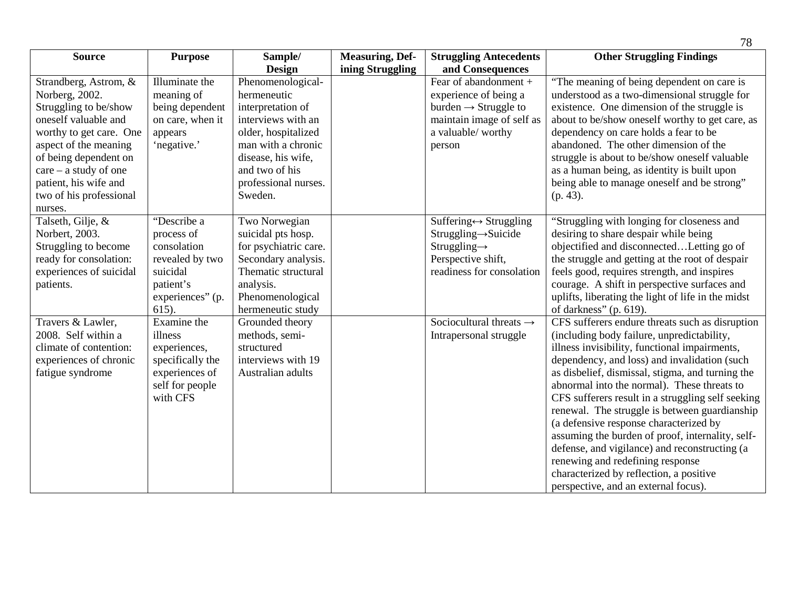| <b>Source</b>           | <b>Purpose</b>   | Sample/               | <b>Measuring, Def-</b> | <b>Struggling Antecedents</b>          | <b>Other Struggling Findings</b>                   |
|-------------------------|------------------|-----------------------|------------------------|----------------------------------------|----------------------------------------------------|
|                         |                  | Design                | ining Struggling       | and Consequences                       |                                                    |
| Strandberg, Astrom, &   | Illuminate the   | Phenomenological-     |                        | Fear of abandonment +                  | "The meaning of being dependent on care is         |
| Norberg, 2002.          | meaning of       | hermeneutic           |                        | experience of being a                  | understood as a two-dimensional struggle for       |
| Struggling to be/show   | being dependent  | interpretation of     |                        | $burden \rightarrow Struggle$ to       | existence. One dimension of the struggle is        |
| oneself valuable and    | on care, when it | interviews with an    |                        | maintain image of self as              | about to be/show oneself worthy to get care, as    |
| worthy to get care. One | appears          | older, hospitalized   |                        | a valuable/ worthy                     | dependency on care holds a fear to be              |
| aspect of the meaning   | 'negative.'      | man with a chronic    |                        | person                                 | abandoned. The other dimension of the              |
| of being dependent on   |                  | disease, his wife,    |                        |                                        | struggle is about to be/show oneself valuable      |
| $care - a study of one$ |                  | and two of his        |                        |                                        | as a human being, as identity is built upon        |
| patient, his wife and   |                  | professional nurses.  |                        |                                        | being able to manage oneself and be strong"        |
| two of his professional |                  | Sweden.               |                        |                                        | $(p. 43)$ .                                        |
| nurses.                 |                  |                       |                        |                                        |                                                    |
| Talseth, Gilje, &       | "Describe a      | Two Norwegian         |                        | Suffering $\leftrightarrow$ Struggling | "Struggling with longing for closeness and         |
| Norbert, 2003.          | process of       | suicidal pts hosp.    |                        | $String \rightarrow$ Suicide           | desiring to share despair while being              |
| Struggling to become    | consolation      | for psychiatric care. |                        | $Stringging \rightarrow$               | objectified and disconnected Letting go of         |
| ready for consolation:  | revealed by two  | Secondary analysis.   |                        | Perspective shift,                     | the struggle and getting at the root of despair    |
| experiences of suicidal | suicidal         | Thematic structural   |                        | readiness for consolation              | feels good, requires strength, and inspires        |
| patients.               | patient's        | analysis.             |                        |                                        | courage. A shift in perspective surfaces and       |
|                         | experiences" (p. | Phenomenological      |                        |                                        | uplifts, liberating the light of life in the midst |
|                         | 615).            | hermeneutic study     |                        |                                        | of darkness" (p. $619$ ).                          |
| Travers & Lawler,       | Examine the      | Grounded theory       |                        | Sociocultural threats $\rightarrow$    | CFS sufferers endure threats such as disruption    |
| 2008. Self within a     | illness          | methods, semi-        |                        | Intrapersonal struggle                 | (including body failure, unpredictability,         |
| climate of contention:  | experiences,     | structured            |                        |                                        | illness invisibility, functional impairments,      |
| experiences of chronic  | specifically the | interviews with 19    |                        |                                        | dependency, and loss) and invalidation (such       |
| fatigue syndrome        | experiences of   | Australian adults     |                        |                                        | as disbelief, dismissal, stigma, and turning the   |
|                         | self for people  |                       |                        |                                        | abnormal into the normal). These threats to        |
|                         | with CFS         |                       |                        |                                        | CFS sufferers result in a struggling self seeking  |
|                         |                  |                       |                        |                                        | renewal. The struggle is between guardianship      |
|                         |                  |                       |                        |                                        | (a defensive response characterized by             |
|                         |                  |                       |                        |                                        | assuming the burden of proof, internality, self-   |
|                         |                  |                       |                        |                                        | defense, and vigilance) and reconstructing (a      |
|                         |                  |                       |                        |                                        | renewing and redefining response                   |
|                         |                  |                       |                        |                                        | characterized by reflection, a positive            |
|                         |                  |                       |                        |                                        | perspective, and an external focus).               |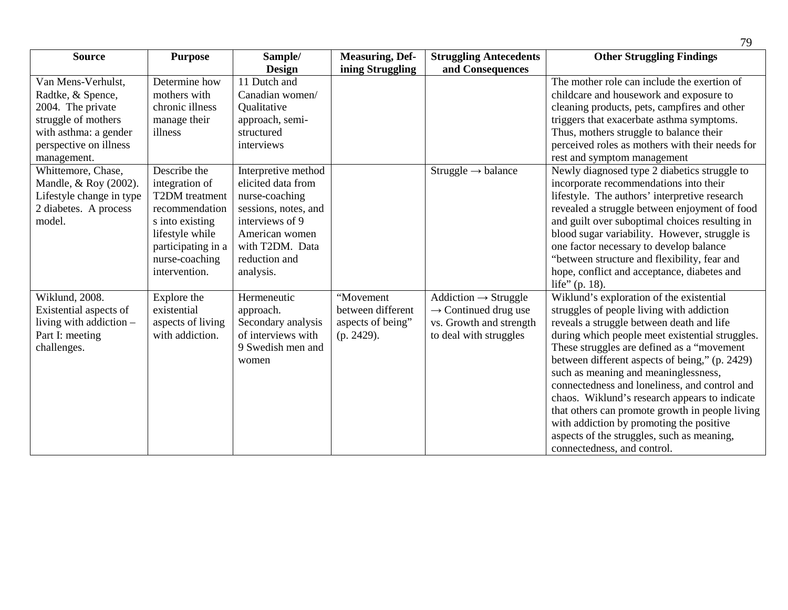| <b>Source</b>                                                                                                                                         | <b>Purpose</b>                                                                                                                                                    | Sample/                                                                                                                                                                   | <b>Measuring, Def-</b>                                            | <b>Struggling Antecedents</b>                                                                                             | <b>Other Struggling Findings</b>                                                                                                                                                                                                                                                                                                                                                                                                                                                                                                                                                                             |
|-------------------------------------------------------------------------------------------------------------------------------------------------------|-------------------------------------------------------------------------------------------------------------------------------------------------------------------|---------------------------------------------------------------------------------------------------------------------------------------------------------------------------|-------------------------------------------------------------------|---------------------------------------------------------------------------------------------------------------------------|--------------------------------------------------------------------------------------------------------------------------------------------------------------------------------------------------------------------------------------------------------------------------------------------------------------------------------------------------------------------------------------------------------------------------------------------------------------------------------------------------------------------------------------------------------------------------------------------------------------|
|                                                                                                                                                       |                                                                                                                                                                   | Design                                                                                                                                                                    | ining Struggling                                                  | and Consequences                                                                                                          |                                                                                                                                                                                                                                                                                                                                                                                                                                                                                                                                                                                                              |
| Van Mens-Verhulst,<br>Radtke, & Spence,<br>2004. The private<br>struggle of mothers<br>with asthma: a gender<br>perspective on illness<br>management. | Determine how<br>mothers with<br>chronic illness<br>manage their<br>illness                                                                                       | 11 Dutch and<br>Canadian women/<br>Qualitative<br>approach, semi-<br>structured<br>interviews                                                                             |                                                                   |                                                                                                                           | The mother role can include the exertion of<br>childcare and housework and exposure to<br>cleaning products, pets, campfires and other<br>triggers that exacerbate asthma symptoms.<br>Thus, mothers struggle to balance their<br>perceived roles as mothers with their needs for<br>rest and symptom management                                                                                                                                                                                                                                                                                             |
| Whittemore, Chase,<br>Mandle, & Roy (2002).<br>Lifestyle change in type<br>2 diabetes. A process<br>model.                                            | Describe the<br>integration of<br>T2DM treatment<br>recommendation<br>s into existing<br>lifestyle while<br>participating in a<br>nurse-coaching<br>intervention. | Interpretive method<br>elicited data from<br>nurse-coaching<br>sessions, notes, and<br>interviews of 9<br>American women<br>with T2DM. Data<br>reduction and<br>analysis. |                                                                   | Struggle $\rightarrow$ balance                                                                                            | Newly diagnosed type 2 diabetics struggle to<br>incorporate recommendations into their<br>lifestyle. The authors' interpretive research<br>revealed a struggle between enjoyment of food<br>and guilt over suboptimal choices resulting in<br>blood sugar variability. However, struggle is<br>one factor necessary to develop balance<br>"between structure and flexibility, fear and<br>hope, conflict and acceptance, diabetes and<br>life" (p. 18).                                                                                                                                                      |
| Wiklund, 2008.<br>Existential aspects of<br>living with addiction -<br>Part I: meeting<br>challenges.                                                 | Explore the<br>existential<br>aspects of living<br>with addiction.                                                                                                | Hermeneutic<br>approach.<br>Secondary analysis<br>of interviews with<br>9 Swedish men and<br>women                                                                        | "Movement<br>between different<br>aspects of being"<br>(p. 2429). | $Addiction \rightarrow Struggle$<br>$\rightarrow$ Continued drug use<br>vs. Growth and strength<br>to deal with struggles | Wiklund's exploration of the existential<br>struggles of people living with addiction<br>reveals a struggle between death and life<br>during which people meet existential struggles.<br>These struggles are defined as a "movement"<br>between different aspects of being," (p. 2429)<br>such as meaning and meaninglessness,<br>connectedness and loneliness, and control and<br>chaos. Wiklund's research appears to indicate<br>that others can promote growth in people living<br>with addiction by promoting the positive<br>aspects of the struggles, such as meaning,<br>connectedness, and control. |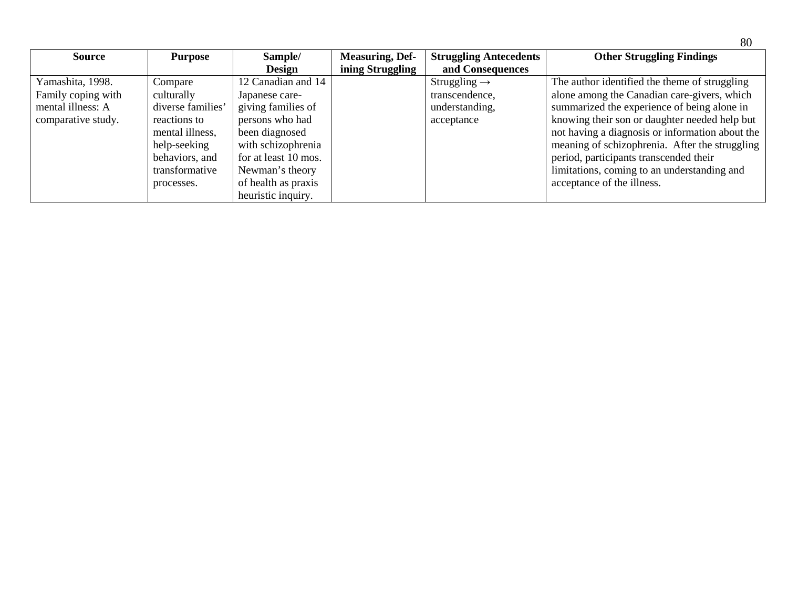| <b>Source</b>      | <b>Purpose</b>    | Sample/              | <b>Measuring, Def-</b> | <b>Struggling Antecedents</b> | <b>Other Struggling Findings</b>                |
|--------------------|-------------------|----------------------|------------------------|-------------------------------|-------------------------------------------------|
|                    |                   | <b>Design</b>        | ining Struggling       | and Consequences              |                                                 |
| Yamashita, 1998.   | Compare           | 12 Canadian and 14   |                        | Struggling $\rightarrow$      | The author identified the theme of struggling   |
| Family coping with | culturally        | Japanese care-       |                        | transcendence,                | alone among the Canadian care-givers, which     |
| mental illness: A  | diverse families' | giving families of   |                        | understanding,                | summarized the experience of being alone in     |
| comparative study. | reactions to      | persons who had      |                        | acceptance                    | knowing their son or daughter needed help but   |
|                    | mental illness,   | been diagnosed       |                        |                               | not having a diagnosis or information about the |
|                    | help-seeking      | with schizophrenia   |                        |                               | meaning of schizophrenia. After the struggling  |
|                    | behaviors, and    | for at least 10 mos. |                        |                               | period, participants transcended their          |
|                    | transformative    | Newman's theory      |                        |                               | limitations, coming to an understanding and     |
|                    | processes.        | of health as praxis  |                        |                               | acceptance of the illness.                      |
|                    |                   | heuristic inquiry.   |                        |                               |                                                 |